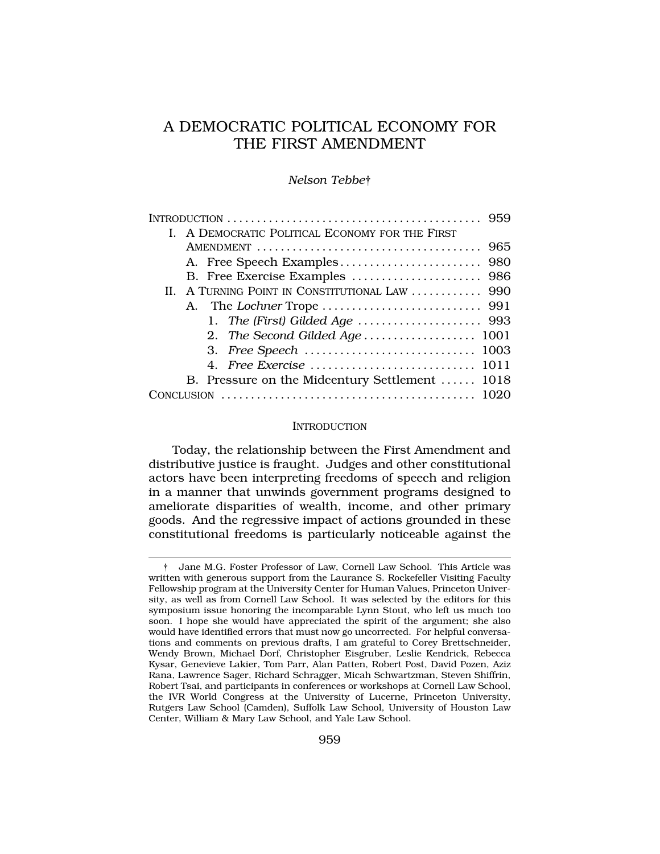# A DEMOCRATIC POLITICAL ECONOMY FOR THE FIRST AMENDMENT

## *Nelson Tebbe*†

|  | $\text{INTRODUCTION}\dots\dots\dots\dots\dots\dots\dots\dots\dots\dots\dots\dots\dots\dots\dots\dots\ 959$ |  |
|--|------------------------------------------------------------------------------------------------------------|--|
|  | I. A DEMOCRATIC POLITICAL ECONOMY FOR THE FIRST                                                            |  |
|  |                                                                                                            |  |
|  |                                                                                                            |  |
|  |                                                                                                            |  |
|  | II. A TURNING POINT IN CONSTITUTIONAL LAW  990                                                             |  |
|  |                                                                                                            |  |
|  |                                                                                                            |  |
|  | 2. The Second Gilded Age 1001                                                                              |  |
|  |                                                                                                            |  |
|  |                                                                                                            |  |
|  | B. Pressure on the Midcentury Settlement  1018                                                             |  |
|  |                                                                                                            |  |
|  |                                                                                                            |  |

#### **INTRODUCTION**

Today, the relationship between the First Amendment and distributive justice is fraught. Judges and other constitutional actors have been interpreting freedoms of speech and religion in a manner that unwinds government programs designed to ameliorate disparities of wealth, income, and other primary goods. And the regressive impact of actions grounded in these constitutional freedoms is particularly noticeable against the

<sup>†</sup> Jane M.G. Foster Professor of Law, Cornell Law School. This Article was written with generous support from the Laurance S. Rockefeller Visiting Faculty Fellowship program at the University Center for Human Values, Princeton University, as well as from Cornell Law School. It was selected by the editors for this symposium issue honoring the incomparable Lynn Stout, who left us much too soon. I hope she would have appreciated the spirit of the argument; she also would have identified errors that must now go uncorrected. For helpful conversations and comments on previous drafts, I am grateful to Corey Brettschneider, Wendy Brown, Michael Dorf, Christopher Eisgruber, Leslie Kendrick, Rebecca Kysar, Genevieve Lakier, Tom Parr, Alan Patten, Robert Post, David Pozen, Aziz Rana, Lawrence Sager, Richard Schragger, Micah Schwartzman, Steven Shiffrin, Robert Tsai, and participants in conferences or workshops at Cornell Law School, the IVR World Congress at the University of Lucerne, Princeton University, Rutgers Law School (Camden), Suffolk Law School, University of Houston Law Center, William & Mary Law School, and Yale Law School.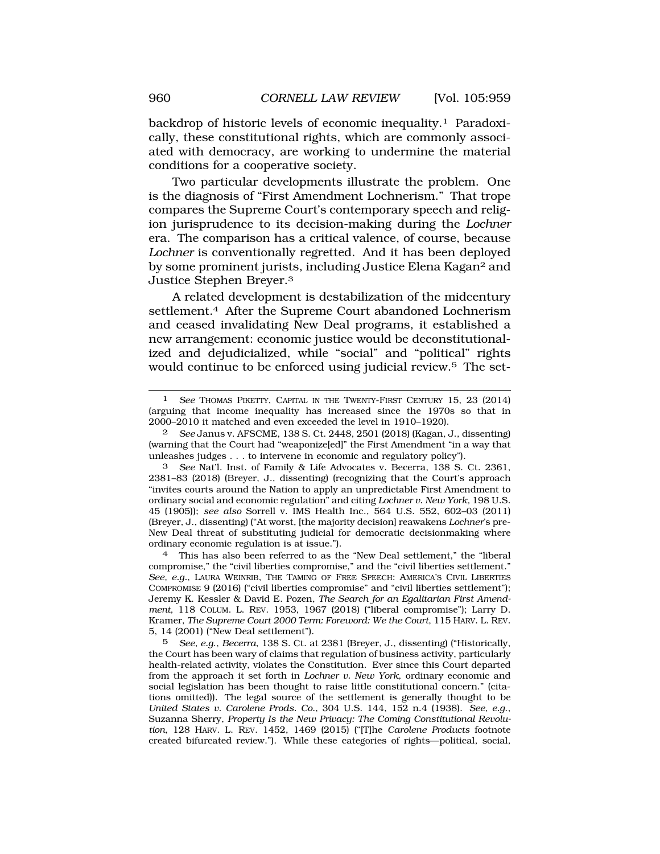backdrop of historic levels of economic inequality.1 Paradoxically, these constitutional rights, which are commonly associated with democracy, are working to undermine the material conditions for a cooperative society.

Two particular developments illustrate the problem. One is the diagnosis of "First Amendment Lochnerism." That trope compares the Supreme Court's contemporary speech and religion jurisprudence to its decision-making during the *Lochner*  era. The comparison has a critical valence, of course, because *Lochner* is conventionally regretted. And it has been deployed by some prominent jurists, including Justice Elena Kagan<sup>2</sup> and Justice Stephen Breyer.3

A related development is destabilization of the midcentury settlement.<sup>4</sup> After the Supreme Court abandoned Lochnerism and ceased invalidating New Deal programs, it established a new arrangement: economic justice would be deconstitutionalized and dejudicialized, while "social" and "political" rights would continue to be enforced using judicial review.5 The set-

4 This has also been referred to as the "New Deal settlement," the "liberal compromise," the "civil liberties compromise," and the "civil liberties settlement." *See, e.g.*, LAURA WEINRIB, THE TAMING OF FREE SPEECH: AMERICA'S CIVIL LIBERTIES COMPROMISE 9 (2016) ("civil liberties compromise" and "civil liberties settlement"); Jeremy K. Kessler & David E. Pozen, *The Search for an Egalitarian First Amendment*, 118 COLUM. L. REV. 1953, 1967 (2018) ("liberal compromise"); Larry D. Kramer, *The Supreme Court 2000 Term: Foreword: We the Court*, 115 HARV. L. REV. 5, 14 (2001) ("New Deal settlement").

5 *See, e.g*., *Becerra*, 138 S. Ct. at 2381 (Breyer, J., dissenting) ("Historically, the Court has been wary of claims that regulation of business activity, particularly health-related activity, violates the Constitution. Ever since this Court departed from the approach it set forth in *Lochner v. New York*, ordinary economic and social legislation has been thought to raise little constitutional concern." (citations omitted)). The legal source of the settlement is generally thought to be *United States v. Carolene Prods. Co.*, 304 U.S. 144, 152 n.4 (1938). *See, e.g*., Suzanna Sherry, *Property Is the New Privacy: The Coming Constitutional Revolution*, 128 HARV. L. REV. 1452, 1469 (2015) ("[T]he *Carolene Products* footnote created bifurcated review."). While these categories of rights—political, social,

<sup>1</sup> *See* THOMAS PIKETTY, CAPITAL IN THE TWENTY-FIRST CENTURY 15, 23 (2014) (arguing that income inequality has increased since the 1970s so that in 2000–2010 it matched and even exceeded the level in 1910–1920).

<sup>2</sup> *See* Janus v. AFSCME, 138 S. Ct. 2448, 2501 (2018) (Kagan, J., dissenting) (warning that the Court had "weaponize[ed]" the First Amendment "in a way that unleashes judges . . . to intervene in economic and regulatory policy").

<sup>3</sup> *See* Nat'l. Inst. of Family & Life Advocates v. Becerra, 138 S. Ct. 2361, 2381–83 (2018) (Breyer, J., dissenting) (recognizing that the Court's approach "invites courts around the Nation to apply an unpredictable First Amendment to ordinary social and economic regulation" and citing *Lochner v. New York,* 198 U.S. 45 (1905)); *see also* Sorrell v. IMS Health Inc., 564 U.S. 552, 602–03 (2011) (Breyer, J., dissenting) ("At worst, [the majority decision] reawakens *Lochner*'s pre-New Deal threat of substituting judicial for democratic decisionmaking where ordinary economic regulation is at issue.").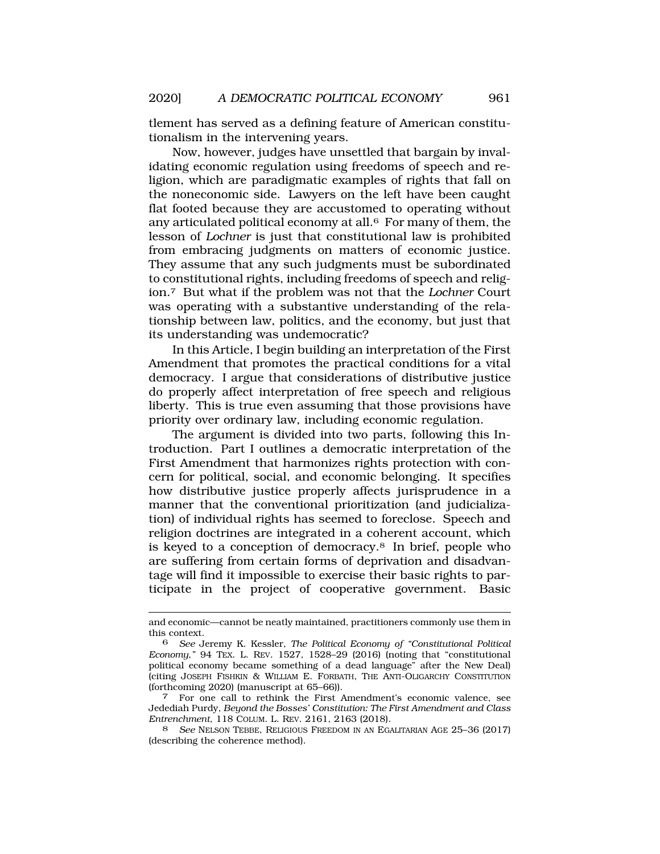tlement has served as a defining feature of American constitutionalism in the intervening years.

Now, however, judges have unsettled that bargain by invalidating economic regulation using freedoms of speech and religion, which are paradigmatic examples of rights that fall on the noneconomic side. Lawyers on the left have been caught flat footed because they are accustomed to operating without any articulated political economy at all.6 For many of them, the lesson of *Lochner* is just that constitutional law is prohibited from embracing judgments on matters of economic justice. They assume that any such judgments must be subordinated to constitutional rights, including freedoms of speech and religion.7 But what if the problem was not that the *Lochner* Court was operating with a substantive understanding of the relationship between law, politics, and the economy, but just that its understanding was undemocratic?

In this Article, I begin building an interpretation of the First Amendment that promotes the practical conditions for a vital democracy. I argue that considerations of distributive justice do properly affect interpretation of free speech and religious liberty. This is true even assuming that those provisions have priority over ordinary law, including economic regulation.

The argument is divided into two parts, following this Introduction. Part I outlines a democratic interpretation of the First Amendment that harmonizes rights protection with concern for political, social, and economic belonging. It specifies how distributive justice properly affects jurisprudence in a manner that the conventional prioritization (and judicialization) of individual rights has seemed to foreclose. Speech and religion doctrines are integrated in a coherent account, which is keyed to a conception of democracy.8 In brief, people who are suffering from certain forms of deprivation and disadvantage will find it impossible to exercise their basic rights to participate in the project of cooperative government. Basic

and economic—cannot be neatly maintained, practitioners commonly use them in this context.

<sup>6</sup> *See* Jeremy K. Kessler, *The Political Economy of "Constitutional Political Economy*,*"* 94 TEX. L. REV. 1527, 1528–29 (2016) (noting that "constitutional political economy became something of a dead language" after the New Deal) (citing JOSEPH FISHKIN & WILLIAM E. FORBATH, THE ANTI-OLIGARCHY CONSTITUTION (forthcoming 2020) (manuscript at 65–66)). 7 For one call to rethink the First Amendment's economic valence, see

Jedediah Purdy, *Beyond the Bosses' Constitution: The First Amendment and Class Entrenchment*, 118 COLUM. L. REV. 2161, 2163 (2018).

<sup>8</sup> *See* NELSON TEBBE, RELIGIOUS FREEDOM IN AN EGALITARIAN AGE 25–36 (2017) (describing the coherence method).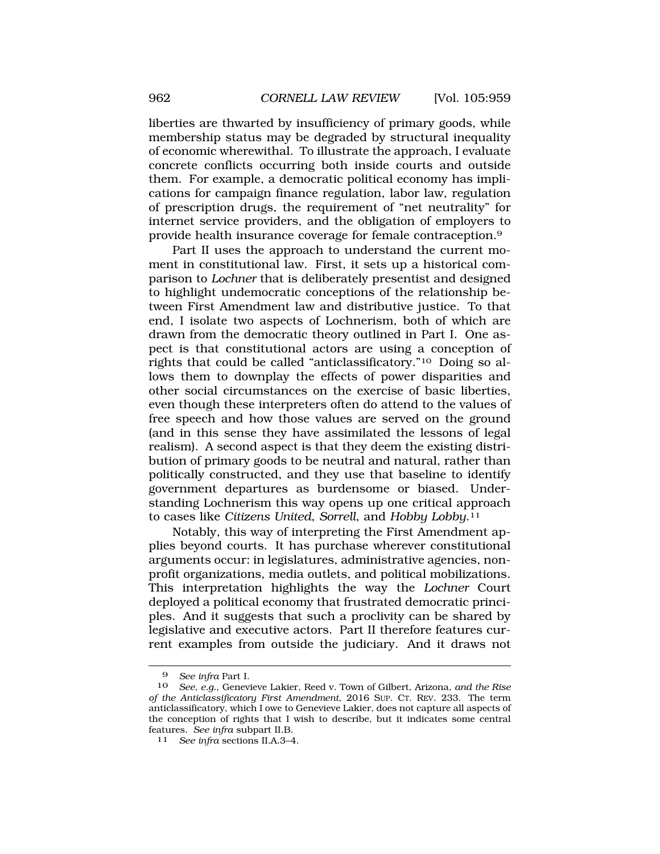liberties are thwarted by insufficiency of primary goods, while membership status may be degraded by structural inequality of economic wherewithal. To illustrate the approach, I evaluate concrete conflicts occurring both inside courts and outside them. For example, a democratic political economy has implications for campaign finance regulation, labor law, regulation of prescription drugs, the requirement of "net neutrality" for internet service providers, and the obligation of employers to provide health insurance coverage for female contraception.9

Part II uses the approach to understand the current moment in constitutional law. First, it sets up a historical comparison to *Lochner* that is deliberately presentist and designed to highlight undemocratic conceptions of the relationship between First Amendment law and distributive justice. To that end, I isolate two aspects of Lochnerism, both of which are drawn from the democratic theory outlined in Part I. One aspect is that constitutional actors are using a conception of rights that could be called "anticlassificatory."10 Doing so allows them to downplay the effects of power disparities and other social circumstances on the exercise of basic liberties, even though these interpreters often do attend to the values of free speech and how those values are served on the ground (and in this sense they have assimilated the lessons of legal realism). A second aspect is that they deem the existing distribution of primary goods to be neutral and natural, rather than politically constructed, and they use that baseline to identify government departures as burdensome or biased. Understanding Lochnerism this way opens up one critical approach to cases like *Citizens United*, *Sorrell*, and *Hobby [Lobby](https://Lobby.11)*.11

Notably, this way of interpreting the First Amendment applies beyond courts. It has purchase wherever constitutional arguments occur: in legislatures, administrative agencies, nonprofit organizations, media outlets, and political mobilizations. This interpretation highlights the way the *Lochner* Court deployed a political economy that frustrated democratic principles. And it suggests that such a proclivity can be shared by legislative and executive actors. Part II therefore features current examples from outside the judiciary. And it draws not

<sup>9</sup> *See infra* Part I.

<sup>10</sup> *See, e.g.*, Genevieve Lakier, Reed v. Town of Gilbert, Arizona*, and the Rise of the Anticlassificatory First Amendment*, 2016 SUP. CT. REV. 233. The term anticlassificatory, which I owe to Genevieve Lakier, does not capture all aspects of the conception of rights that I wish to describe, but it indicates some central features. See infra subpart II.B.

<sup>11</sup> See infra sections II.A.3-4.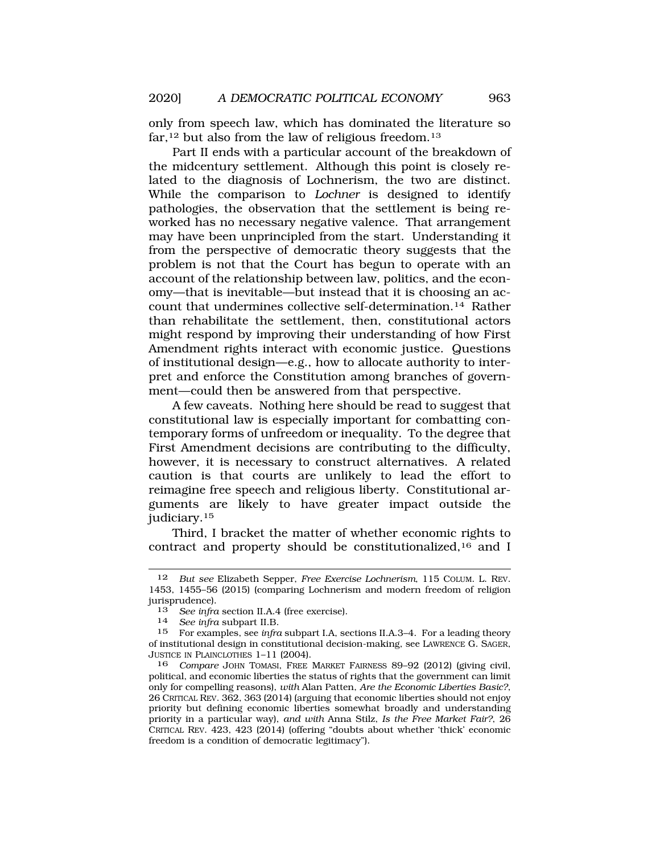only from speech law, which has dominated the literature so far,  $12$  but also from the law of religious freedom.  $13$ 

Part II ends with a particular account of the breakdown of the midcentury settlement. Although this point is closely related to the diagnosis of Lochnerism, the two are distinct. While the comparison to *Lochner* is designed to identify pathologies, the observation that the settlement is being reworked has no necessary negative valence. That arrangement may have been unprincipled from the start. Understanding it from the perspective of democratic theory suggests that the problem is not that the Court has begun to operate with an account of the relationship between law, politics, and the economy—that is inevitable—but instead that it is choosing an account that undermines collective [self-determination.14](https://self-determination.14) Rather than rehabilitate the settlement, then, constitutional actors might respond by improving their understanding of how First Amendment rights interact with economic justice. Questions of institutional design—e.g., how to allocate authority to interpret and enforce the Constitution among branches of government—could then be answered from that perspective.

A few caveats. Nothing here should be read to suggest that constitutional law is especially important for combatting contemporary forms of unfreedom or inequality. To the degree that First Amendment decisions are contributing to the difficulty, however, it is necessary to construct alternatives. A related caution is that courts are unlikely to lead the effort to reimagine free speech and religious liberty. Constitutional arguments are likely to have greater impact outside the [judiciary.15](https://judiciary.15)

Third, I bracket the matter of whether economic rights to contract and property should be constitutionalized,16 and I

<sup>12</sup> *But see* Elizabeth Sepper, *Free Exercise Lochnerism*, 115 COLUM. L. REV. 1453, 1455–56 (2015) (comparing Lochnerism and modern freedom of religion jurisprudence).<br>13 See infra

<sup>13</sup>*See infra* section II.A.4 (free exercise). 14 *See infra* subpart II.B.

<sup>15</sup> For examples, see *infra* subpart I.A, sections II.A.3–4. For a leading theory of institutional design in constitutional decision-making, see LAWRENCE G. SAGER, JUSTICE IN PLAINCLOTHES 1-11 (2004).<br>16 Compare JOHN TOMASI. FREE

<sup>16</sup> *Compare* JOHN TOMASI, FREE MARKET FAIRNESS 89–92 (2012) (giving civil, political, and economic liberties the status of rights that the government can limit only for compelling reasons), *with* Alan Patten, *Are the Economic Liberties Basic?*, 26 CRITICAL REV. 362, 363 (2014) (arguing that economic liberties should not enjoy priority but defining economic liberties somewhat broadly and understanding priority in a particular way), *and with* Anna Stilz, *Is the Free Market Fair?*, 26 CRITICAL REV. 423, 423 (2014) (offering "doubts about whether 'thick' economic freedom is a condition of democratic legitimacy").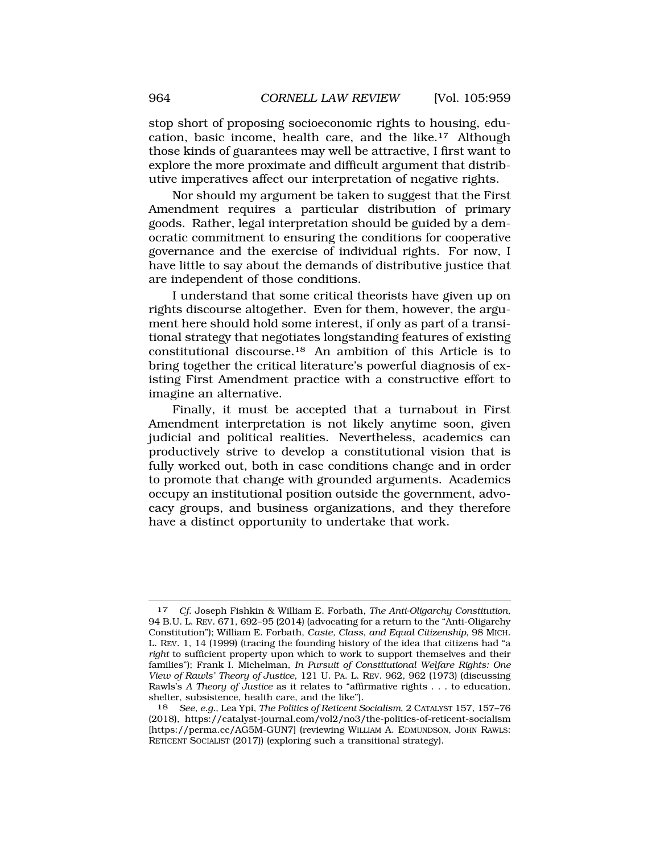stop short of proposing socioeconomic rights to housing, education, basic income, health care, and the like.17 Although those kinds of guarantees may well be attractive, I first want to explore the more proximate and difficult argument that distributive imperatives affect our interpretation of negative rights.

Nor should my argument be taken to suggest that the First Amendment requires a particular distribution of primary goods. Rather, legal interpretation should be guided by a democratic commitment to ensuring the conditions for cooperative governance and the exercise of individual rights. For now, I have little to say about the demands of distributive justice that are independent of those conditions.

I understand that some critical theorists have given up on rights discourse altogether. Even for them, however, the argument here should hold some interest, if only as part of a transitional strategy that negotiates longstanding features of existing constitutional [discourse.18](https://discourse.18) An ambition of this Article is to bring together the critical literature's powerful diagnosis of existing First Amendment practice with a constructive effort to imagine an alternative.

Finally, it must be accepted that a turnabout in First Amendment interpretation is not likely anytime soon, given judicial and political realities. Nevertheless, academics can productively strive to develop a constitutional vision that is fully worked out, both in case conditions change and in order to promote that change with grounded arguments. Academics occupy an institutional position outside the government, advocacy groups, and business organizations, and they therefore have a distinct opportunity to undertake that work.

<sup>17</sup> *Cf*. Joseph Fishkin & William E. Forbath, *The Anti-Oligarchy Constitution*, 94 B.U. L. REV. 671, 692–95 (2014) (advocating for a return to the "Anti-Oligarchy Constitution"); William E. Forbath, *Caste, Class, and Equal Citizenship*, 98 MICH. L. REV. 1, 14 (1999) (tracing the founding history of the idea that citizens had "a *right* to sufficient property upon which to work to support themselves and their families"); Frank I. Michelman, *In Pursuit of Constitutional Welfare Rights: One View of Rawls' Theory of Justice*, 121 U. PA. L. REV. 962, 962 (1973) (discussing Rawls's *A Theory of Justice* as it relates to "affirmative rights . . . to education, shelter, subsistence, health care, and the like").

<sup>18</sup> *See, e.g.*, Lea Ypi, *The Politics of Reticent Socialism*, 2 CATALYST 157, 157–76 (2018), <https://catalyst-journal.com/vol2/no3/the-politics-of-reticent-socialism> [<https://perma.cc/AG5M-GUN7>] (reviewing WILLIAM A. EDMUNDSON, JOHN RAWLS: RETICENT SOCIALIST (2017)) (exploring such a transitional strategy).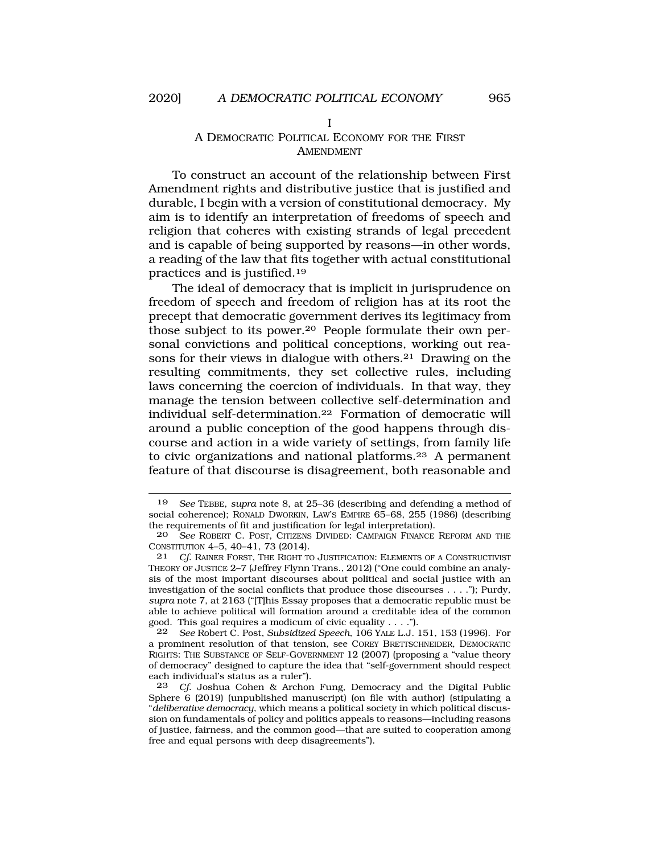I

## A DEMOCRATIC POLITICAL ECONOMY FOR THE FIRST AMENDMENT

To construct an account of the relationship between First Amendment rights and distributive justice that is justified and durable, I begin with a version of constitutional democracy. My aim is to identify an interpretation of freedoms of speech and religion that coheres with existing strands of legal precedent and is capable of being supported by reasons—in other words, a reading of the law that fits together with actual constitutional practices and is [justified.19](https://justified.19)

The ideal of democracy that is implicit in jurisprudence on freedom of speech and freedom of religion has at its root the precept that democratic government derives its legitimacy from those subject to its [power.20](https://power.20) People formulate their own personal convictions and political conceptions, working out reasons for their views in dialogue with others.<sup>21</sup> Drawing on the resulting commitments, they set collective rules, including laws concerning the coercion of individuals. In that way, they manage the tension between collective self-determination and individual [self-determination.22](https://self-determination.22) Formation of democratic will around a public conception of the good happens through discourse and action in a wide variety of settings, from family life to civic organizations and national [platforms.23](https://platforms.23) A permanent feature of that discourse is disagreement, both reasonable and

<sup>19</sup> *See* TEBBE, *supra* note 8, at 25–36 (describing and defending a method of social coherence); RONALD DWORKIN, LAW'S EMPIRE 65–68, 255 (1986) (describing the requirements of fit and justification for legal interpretation).<br>20 See ROBERT C. POST, CITIZENS DIVIDED: CAMPAIGN FINANCE

See ROBERT C. POST, CITIZENS DIVIDED: CAMPAIGN FINANCE REFORM AND THE CONSTITUTION 4–5, 40–41, 73 (2014).

<sup>21</sup> *Cf*. RAINER FORST, THE RIGHT TO JUSTIFICATION: ELEMENTS OF A CONSTRUCTIVIST THEORY OF JUSTICE 2–7 (Jeffrey Flynn Trans., 2012) ("One could combine an analysis of the most important discourses about political and social justice with an investigation of the social conflicts that produce those discourses . . . ."); Purdy, *supra* note 7, at 2163 ("[T]his Essay proposes that a democratic republic must be able to achieve political will formation around a creditable idea of the common good. This goal requires a modicum of civic equality . . . .").

<sup>22</sup> *See* Robert C. Post, *Subsidized Speech*, 106 YALE L.J. 151, 153 (1996). For a prominent resolution of that tension, see COREY BRETTSCHNEIDER, DEMOCRATIC RIGHTS: THE SUBSTANCE OF SELF-GOVERNMENT 12 (2007) (proposing a "value theory of democracy" designed to capture the idea that "self-government should respect each individual's status as a ruler").

<sup>23</sup> *Cf*. Joshua Cohen & Archon Fung, Democracy and the Digital Public Sphere 6 (2019) (unpublished manuscript) (on file with author) (stipulating a "*deliberative democracy*, which means a political society in which political discussion on fundamentals of policy and politics appeals to reasons—including reasons of justice, fairness, and the common good—that are suited to cooperation among free and equal persons with deep disagreements").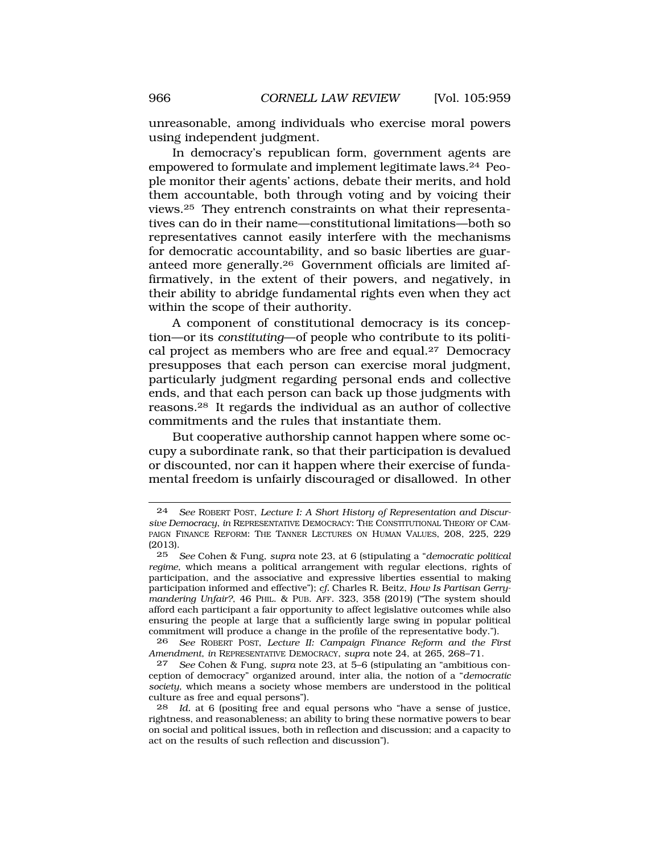unreasonable, among individuals who exercise moral powers using independent judgment.

In democracy's republican form, government agents are empowered to formulate and implement legitimate laws.24 People monitor their agents' actions, debate their merits, and hold them accountable, both through voting and by voicing their [views.25](https://views.25) They entrench constraints on what their representatives can do in their name—constitutional limitations—both so representatives cannot easily interfere with the mechanisms for democratic accountability, and so basic liberties are guaranteed more [generally.26](https://generally.26) Government officials are limited affirmatively, in the extent of their powers, and negatively, in their ability to abridge fundamental rights even when they act within the scope of their authority.

A component of constitutional democracy is its conception—or its *constituting*—of people who contribute to its political project as members who are free and [equal.27](https://equal.27) Democracy presupposes that each person can exercise moral judgment, particularly judgment regarding personal ends and collective ends, and that each person can back up those judgments with [reasons.28](https://reasons.28) It regards the individual as an author of collective commitments and the rules that instantiate them.

But cooperative authorship cannot happen where some occupy a subordinate rank, so that their participation is devalued or discounted, nor can it happen where their exercise of fundamental freedom is unfairly discouraged or disallowed. In other

<sup>24</sup> *See* ROBERT POST, *Lecture I: A Short History of Representation and Discursive Democracy*, *in* REPRESENTATIVE DEMOCRACY: THE CONSTITUTIONAL THEORY OF CAM-PAIGN FINANCE REFORM: THE TANNER LECTURES ON HUMAN VALUES, 208, 225, 229  $(2013).$ <br>25

<sup>25</sup> *See* Cohen & Fung, *supra* note 23, at 6 (stipulating a "*democratic political regime*, which means a political arrangement with regular elections, rights of participation, and the associative and expressive liberties essential to making participation informed and effective"); *cf.* Charles R. Beitz, *How Is Partisan Gerrymandering Unfair?*, 46 PHIL. & PUB. AFF. 323, 358 (2019) ("The system should afford each participant a fair opportunity to affect legislative outcomes while also ensuring the people at large that a sufficiently large swing in popular political commitment will produce a change in the profile of the representative body.").

<sup>26</sup> *See* ROBERT POST, *Lecture II: Campaign Finance Reform and the First Amendment*, *in* REPRESENTATIVE DEMOCRACY, *supra* note 24, at 265, 268–71.

<sup>27</sup> *See* Cohen & Fung, *supra* note 23, at 5–6 (stipulating an "ambitious conception of democracy" organized around, inter alia, the notion of a "*democratic society*, which means a society whose members are understood in the political culture as free and equal persons").

<sup>28</sup> *Id.* at 6 (positing free and equal persons who "have a sense of justice, rightness, and reasonableness; an ability to bring these normative powers to bear on social and political issues, both in reflection and discussion; and a capacity to act on the results of such reflection and discussion").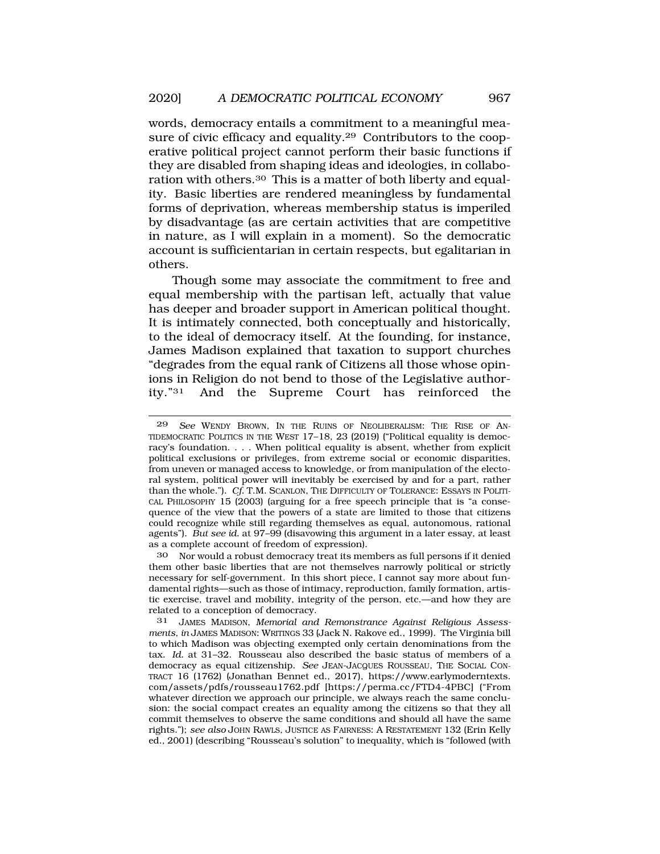words, democracy entails a commitment to a meaningful measure of civic efficacy and [equality.29](https://equality.29) Contributors to the cooperative political project cannot perform their basic functions if they are disabled from shaping ideas and ideologies, in collaboration with [others.30](https://others.30) This is a matter of both liberty and equality. Basic liberties are rendered meaningless by fundamental forms of deprivation, whereas membership status is imperiled by disadvantage (as are certain activities that are competitive in nature, as I will explain in a moment). So the democratic account is sufficientarian in certain respects, but egalitarian in others.

Though some may associate the commitment to free and equal membership with the partisan left, actually that value has deeper and broader support in American political thought. It is intimately connected, both conceptually and historically, to the ideal of democracy itself. At the founding, for instance, James Madison explained that taxation to support churches "degrades from the equal rank of Citizens all those whose opinions in Religion do not bend to those of the Legislative authority."31 And the Supreme Court has reinforced the

30 Nor would a robust democracy treat its members as full persons if it denied them other basic liberties that are not themselves narrowly political or strictly necessary for self-government. In this short piece, I cannot say more about fundamental rights—such as those of intimacy, reproduction, family formation, artistic exercise, travel and mobility, integrity of the person, etc.—and how they are related to a conception of democracy.

31 JAMES MADISON, *Memorial and Remonstrance Against Religious Assessments*, *in* JAMES MADISON: WRITINGS 33 (Jack N. Rakove ed., 1999). The Virginia bill to which Madison was objecting exempted only certain denominations from the tax. *Id.* at 31–32. Rousseau also described the basic status of members of a democracy as equal citizenship. *See* JEAN-JACQUES ROUSSEAU, THE SOCIAL CON-TRACT 16 (1762) (Jonathan Bennet ed., 2017), <https://www.earlymoderntexts>. com/assets/pdfs/rousseau1762.pdf [\[https://perma.cc/FTD4-4PBC](https://perma.cc/FTD4-4PBC)] ("From whatever direction we approach our principle, we always reach the same conclusion: the social compact creates an equality among the citizens so that they all commit themselves to observe the same conditions and should all have the same rights."); *see also* JOHN RAWLS, JUSTICE AS FAIRNESS: A RESTATEMENT 132 (Erin Kelly ed., 2001) (describing "Rousseau's solution" to inequality, which is "followed (with

<sup>29</sup> *See* WENDY BROWN, IN THE RUINS OF NEOLIBERALISM: THE RISE OF AN-TIDEMOCRATIC POLITICS IN THE WEST 17–18, 23 (2019) ("Political equality is democracy's foundation. . . . When political equality is absent, whether from explicit political exclusions or privileges, from extreme social or economic disparities, from uneven or managed access to knowledge, or from manipulation of the electoral system, political power will inevitably be exercised by and for a part, rather than the whole."). *Cf.* T.M. SCANLON, THE DIFFICULTY OF TOLERANCE: ESSAYS IN POLITI-CAL PHILOSOPHY 15 (2003) (arguing for a free speech principle that is "a consequence of the view that the powers of a state are limited to those that citizens could recognize while still regarding themselves as equal, autonomous, rational agents"). *But see id.* at 97–99 (disavowing this argument in a later essay, at least as a complete account of freedom of expression).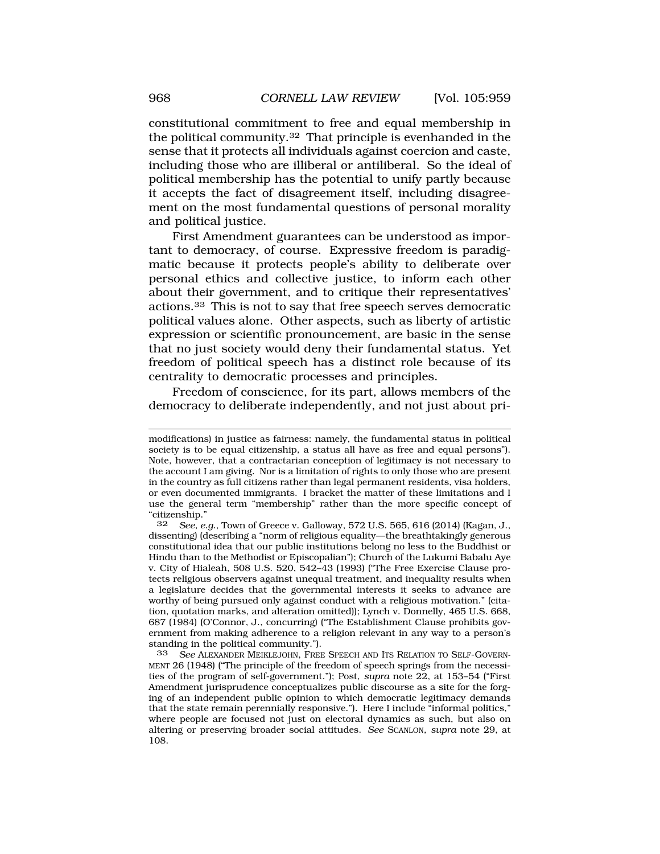constitutional commitment to free and equal membership in the political [community.32](https://community.32) That principle is evenhanded in the sense that it protects all individuals against coercion and caste, including those who are illiberal or antiliberal. So the ideal of political membership has the potential to unify partly because it accepts the fact of disagreement itself, including disagreement on the most fundamental questions of personal morality and political justice.

First Amendment guarantees can be understood as important to democracy, of course. Expressive freedom is paradigmatic because it protects people's ability to deliberate over personal ethics and collective justice, to inform each other about their government, and to critique their representatives' [actions.33](https://actions.33) This is not to say that free speech serves democratic political values alone. Other aspects, such as liberty of artistic expression or scientific pronouncement, are basic in the sense that no just society would deny their fundamental status. Yet freedom of political speech has a distinct role because of its centrality to democratic processes and principles.

Freedom of conscience, for its part, allows members of the democracy to deliberate independently, and not just about pri-

modifications) in justice as fairness: namely, the fundamental status in political society is to be equal citizenship, a status all have as free and equal persons"). Note, however, that a contractarian conception of legitimacy is not necessary to the account I am giving. Nor is a limitation of rights to only those who are present in the country as full citizens rather than legal permanent residents, visa holders, or even documented immigrants. I bracket the matter of these limitations and I use the general term "membership" rather than the more specific concept of "citizenship."

<sup>32</sup> *See, e.g*., Town of Greece v. Galloway, 572 U.S. 565, 616 (2014) (Kagan, J., dissenting) (describing a "norm of religious equality—the breathtakingly generous constitutional idea that our public institutions belong no less to the Buddhist or Hindu than to the Methodist or Episcopalian"); Church of the Lukumi Babalu Aye v. City of Hialeah, 508 U.S. 520, 542–43 (1993) ("The Free Exercise Clause protects religious observers against unequal treatment, and inequality results when a legislature decides that the governmental interests it seeks to advance are worthy of being pursued only against conduct with a religious motivation." (citation, quotation marks, and alteration omitted)); Lynch v. Donnelly, 465 U.S. 668, 687 (1984) (O'Connor, J., concurring) ("The Establishment Clause prohibits government from making adherence to a religion relevant in any way to a person's standing in the political community.").

<sup>33</sup> *See* ALEXANDER MEIKLEJOHN, FREE SPEECH AND ITS RELATION TO SELF-GOVERN-MENT 26 (1948) ("The principle of the freedom of speech springs from the necessities of the program of self-government."); Post, *supra* note 22, at 153–54 ("First Amendment jurisprudence conceptualizes public discourse as a site for the forging of an independent public opinion to which democratic legitimacy demands that the state remain perennially responsive."). Here I include "informal politics," where people are focused not just on electoral dynamics as such, but also on altering or preserving broader social attitudes. *See* SCANLON, *supra* note 29, at 108.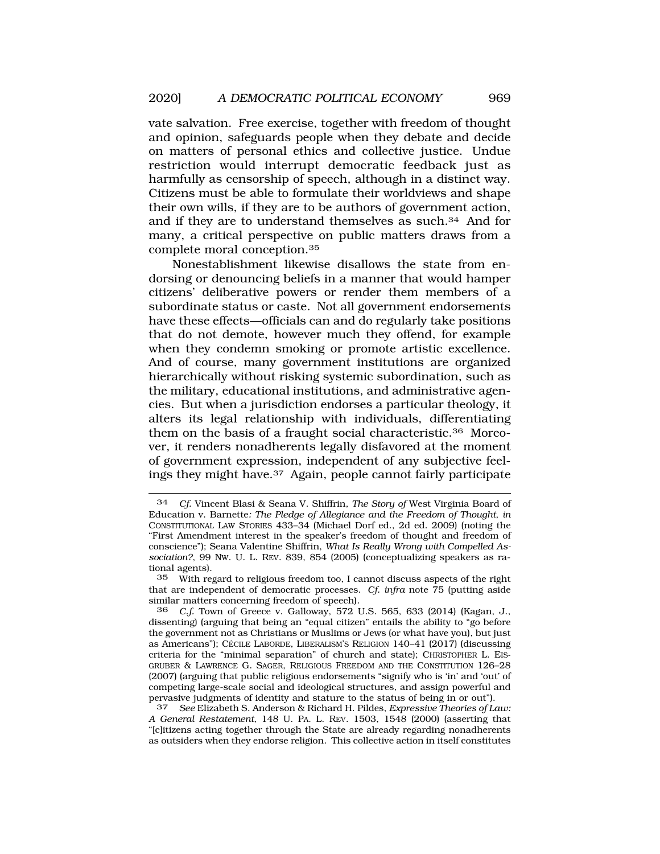vate salvation. Free exercise, together with freedom of thought and opinion, safeguards people when they debate and decide on matters of personal ethics and collective justice. Undue restriction would interrupt democratic feedback just as harmfully as censorship of speech, although in a distinct way. Citizens must be able to formulate their worldviews and shape their own wills, if they are to be authors of government action, and if they are to understand themselves as such.34 And for many, a critical perspective on public matters draws from a complete moral [conception.35](https://conception.35)

Nonestablishment likewise disallows the state from endorsing or denouncing beliefs in a manner that would hamper citizens' deliberative powers or render them members of a subordinate status or caste. Not all government endorsements have these effects—officials can and do regularly take positions that do not demote, however much they offend, for example when they condemn smoking or promote artistic excellence. And of course, many government institutions are organized hierarchically without risking systemic subordination, such as the military, educational institutions, and administrative agencies. But when a jurisdiction endorses a particular theology, it alters its legal relationship with individuals, differentiating them on the basis of a fraught social [characteristic.36](https://characteristic.36) Moreover, it renders nonadherents legally disfavored at the moment of government expression, independent of any subjective feelings they might have.37 Again, people cannot fairly participate

<sup>34</sup> *Cf.* Vincent Blasi & Seana V. Shiffrin, *The Story of* West Virginia Board of Education v. Barnette*: The Pledge of Allegiance and the Freedom of Thought*, *in*  CONSTITUTIONAL LAW STORIES 433–34 (Michael Dorf ed., 2d ed. 2009) (noting the "First Amendment interest in the speaker's freedom of thought and freedom of conscience"); Seana Valentine Shiffrin, *What Is Really Wrong with Compelled Association?*, 99 NW. U. L. REV. 839, 854 (2005) (conceptualizing speakers as rational agents).

<sup>35</sup> With regard to religious freedom too, I cannot discuss aspects of the right that are independent of democratic processes. *Cf. infra* note 75 (putting aside similar matters concerning freedom of speech).

<sup>36</sup> *C.f.* Town of Greece v. Galloway, 572 U.S. 565, 633 (2014) (Kagan, J., dissenting) (arguing that being an "equal citizen" entails the ability to "go before the government not as Christians or Muslims or Jews (or what have you), but just as Americans"); Cécile LABORDE, LIBERALISM'S RELIGION 140-41 (2017) (discussing criteria for the "minimal separation" of church and state); CHRISTOPHER L. EIS-GRUBER & LAWRENCE G. SAGER, RELIGIOUS FREEDOM AND THE CONSTITUTION 126–28 (2007) (arguing that public religious endorsements "signify who is 'in' and 'out' of competing large-scale social and ideological structures, and assign powerful and pervasive judgments of identity and stature to the status of being in or out").<br>37 See Elizabeth S, Anderson & Richard H, Pildes, Expressive Theories of L

<sup>37</sup> *See* Elizabeth S. Anderson & Richard H. Pildes, *Expressive Theories of Law: A General Restatement*, 148 U. PA. L. REV. 1503, 1548 (2000) (asserting that "[c]itizens acting together through the State are already regarding nonadherents as outsiders when they endorse religion. This collective action in itself constitutes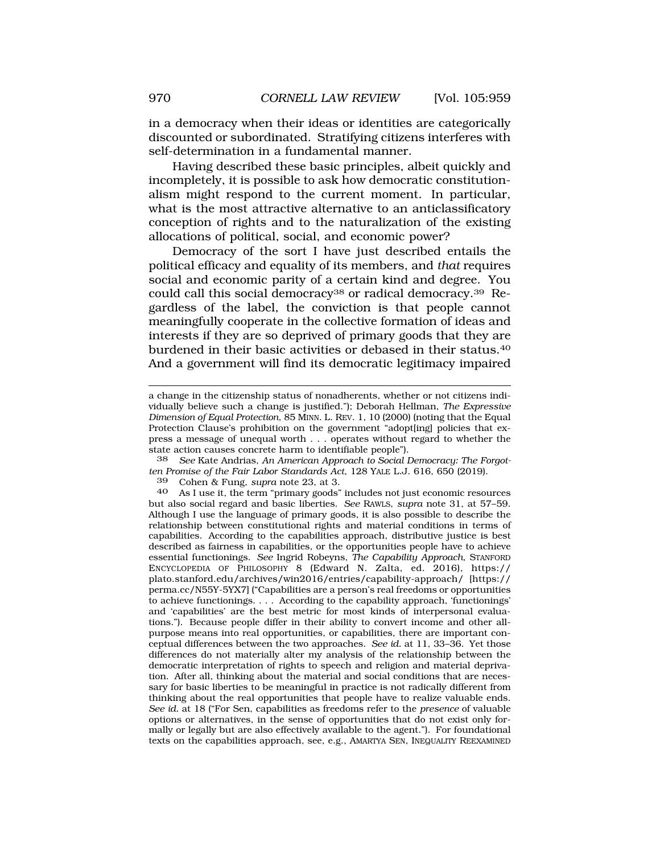in a democracy when their ideas or identities are categorically discounted or subordinated. Stratifying citizens interferes with self-determination in a fundamental manner.

Having described these basic principles, albeit quickly and incompletely, it is possible to ask how democratic constitutionalism might respond to the current moment. In particular, what is the most attractive alternative to an anticlassificatory conception of rights and to the naturalization of the existing allocations of political, social, and economic power?

Democracy of the sort I have just described entails the political efficacy and equality of its members, and *that* requires social and economic parity of a certain kind and degree. You could call this social democracy<sup>38</sup> or radical democracy.<sup>39</sup> Regardless of the label, the conviction is that people cannot meaningfully cooperate in the collective formation of ideas and interests if they are so deprived of primary goods that they are burdened in their basic activities or debased in their [status.40](https://status.40)  And a government will find its democratic legitimacy impaired

38 *See* Kate Andrias, *An American Approach to Social Democracy: The Forgotten Promise of the Fair Labor Standards Act*, 128 YALE L.J. 616, 650 (2019).

39 Cohen & Fung, *supra* note 23, at 3.

40 As I use it, the term "primary goods" includes not just economic resources but also social regard and basic liberties. *See* RAWLS, *supra* note 31, at 57–59. Although I use the language of primary goods, it is also possible to describe the relationship between constitutional rights and material conditions in terms of capabilities. According to the capabilities approach, distributive justice is best described as fairness in capabilities, or the opportunities people have to achieve essential functionings. *See* Ingrid Robeyns, *The Capability Approach*, STANFORD ENCYCLOPEDIA OF PHILOSOPHY 8 (Edward N. Zalta, ed. 2016), https:// [plato.stanford.edu/archives/win2016/entries/capability-approach/](https://plato.stanford.edu/archives/win2016/entries/capability-approach) [https:// perma.cc/N55Y-5YX7] ("Capabilities are a person's real freedoms or opportunities to achieve functionings. . . . According to the capability approach, 'functionings' and 'capabilities' are the best metric for most kinds of interpersonal evaluations."). Because people differ in their ability to convert income and other allpurpose means into real opportunities, or capabilities, there are important conceptual differences between the two approaches. *See id.* at 11, 33–36. Yet those differences do not materially alter my analysis of the relationship between the democratic interpretation of rights to speech and religion and material deprivation. After all, thinking about the material and social conditions that are necessary for basic liberties to be meaningful in practice is not radically different from thinking about the real opportunities that people have to realize valuable ends. *See id.* at 18 ("For Sen, capabilities as freedoms refer to the *presence* of valuable options or alternatives, in the sense of opportunities that do not exist only formally or legally but are also effectively available to the agent."). For foundational texts on the capabilities approach, see, e.g., AMARTYA SEN, INEQUALITY REEXAMINED

a change in the citizenship status of nonadherents, whether or not citizens individually believe such a change is justified."); Deborah Hellman, *The Expressive Dimension of Equal Protection*, 85 MINN. L. REV. 1, 10 (2000) (noting that the Equal Protection Clause's prohibition on the government "adopt[ing] policies that express a message of unequal worth . . . operates without regard to whether the state action causes concrete harm to identifiable people").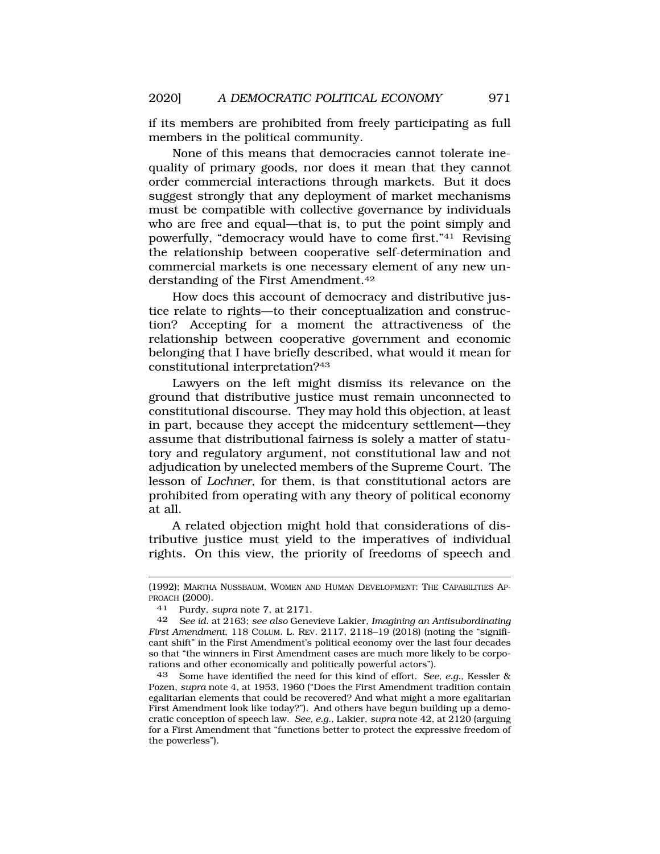if its members are prohibited from freely participating as full members in the political community.

None of this means that democracies cannot tolerate inequality of primary goods, nor does it mean that they cannot order commercial interactions through markets. But it does suggest strongly that any deployment of market mechanisms must be compatible with collective governance by individuals who are free and equal—that is, to put the point simply and powerfully, "democracy would have to come first."41 Revising the relationship between cooperative self-determination and commercial markets is one necessary element of any new understanding of the First [Amendment.42](https://Amendment.42)

How does this account of democracy and distributive justice relate to rights—to their conceptualization and construction? Accepting for a moment the attractiveness of the relationship between cooperative government and economic belonging that I have briefly described, what would it mean for constitutional interpretation?43

Lawyers on the left might dismiss its relevance on the ground that distributive justice must remain unconnected to constitutional discourse. They may hold this objection, at least in part, because they accept the midcentury settlement—they assume that distributional fairness is solely a matter of statutory and regulatory argument, not constitutional law and not adjudication by unelected members of the Supreme Court. The lesson of *Lochner*, for them, is that constitutional actors are prohibited from operating with any theory of political economy at all.

A related objection might hold that considerations of distributive justice must yield to the imperatives of individual rights. On this view, the priority of freedoms of speech and

<sup>(1992);</sup> MARTHA NUSSBAUM, WOMEN AND HUMAN DEVELOPMENT: THE CAPABILITIES AP-PROACH (2000).

<sup>41</sup> Purdy, *supra* note 7, at 2171.

<sup>42</sup> *See id.* at 2163; *see also* Genevieve Lakier, *Imagining an Antisubordinating First Amendment*, 118 COLUM. L. REV. 2117, 2118–19 (2018) (noting the "significant shift" in the First Amendment's political economy over the last four decades so that "the winners in First Amendment cases are much more likely to be corporations and other economically and politically powerful actors").

<sup>43</sup> Some have identified the need for this kind of effort. *See, e.g.*, Kessler & Pozen, *supra* note 4, at 1953, 1960 ("Does the First Amendment tradition contain egalitarian elements that could be recovered? And what might a more egalitarian First Amendment look like today?"). And others have begun building up a democratic conception of speech law. *See, e.g.*, Lakier, *supra* note 42, at 2120 (arguing for a First Amendment that "functions better to protect the expressive freedom of the powerless").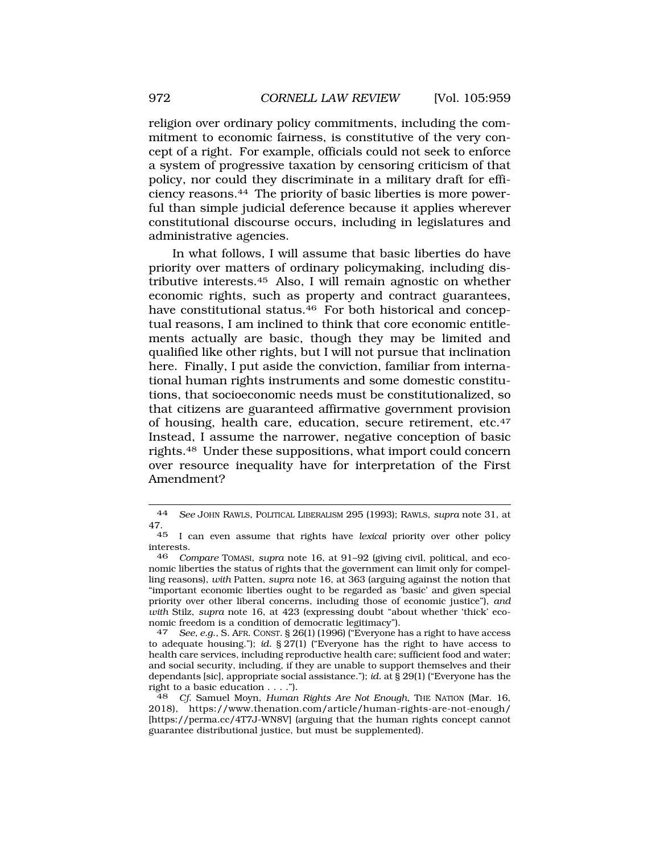religion over ordinary policy commitments, including the commitment to economic fairness, is constitutive of the very concept of a right. For example, officials could not seek to enforce a system of progressive taxation by censoring criticism of that policy, nor could they discriminate in a military draft for efficiency [reasons.44](https://reasons.44) The priority of basic liberties is more powerful than simple judicial deference because it applies wherever constitutional discourse occurs, including in legislatures and administrative agencies.

In what follows, I will assume that basic liberties do have priority over matters of ordinary policymaking, including distributive [interests.45](https://interests.45) Also, I will remain agnostic on whether economic rights, such as property and contract guarantees, have constitutional status.<sup>46</sup> For both historical and conceptual reasons, I am inclined to think that core economic entitlements actually are basic, though they may be limited and qualified like other rights, but I will not pursue that inclination here. Finally, I put aside the conviction, familiar from international human rights instruments and some domestic constitutions, that socioeconomic needs must be constitutionalized, so that citizens are guaranteed affirmative government provision of housing, health care, education, secure retirement, etc.47 Instead, I assume the narrower, negative conception of basic [rights.48](https://rights.48) Under these suppositions, what import could concern over resource inequality have for interpretation of the First Amendment?

<sup>44</sup> *See* JOHN RAWLS, POLITICAL LIBERALISM 295 (1993); RAWLS, *supra* note 31, at  $\frac{47.}{45}$ 

<sup>45</sup> I can even assume that rights have *lexical* priority over other policy interests.<br>46  $Co$ 

<sup>46</sup> *Compare* TOMASI, *supra* note 16, at 91–92 (giving civil, political, and economic liberties the status of rights that the government can limit only for compelling reasons), *with* Patten, *supra* note 16, at 363 (arguing against the notion that "important economic liberties ought to be regarded as 'basic' and given special priority over other liberal concerns, including those of economic justice"), *and with* Stilz, *supra* note 16, at 423 (expressing doubt "about whether 'thick' economic freedom is a condition of democratic legitimacy").

<sup>47</sup> *See, e.g*., S. AFR. CONST. § 26(1) (1996) ("Everyone has a right to have access to adequate housing."); *id.* § 27(1) ("Everyone has the right to have access to health care services, including reproductive health care; sufficient food and water; and social security, including, if they are unable to support themselves and their dependants [sic], appropriate social assistance."); *id.* at § 29(1) ("Everyone has the right to a basic education  $\dots$ .").

<sup>48</sup> *Cf.* Samuel Moyn, *Human Rights Are Not Enough*, THE NATION (Mar. 16, 2018), [https://www.thenation.com/article/human-rights-are-not-enough/](https://www.thenation.com/article/human-rights-are-not-enough) [<https://perma.cc/4T7J-WN8V>] (arguing that the human rights concept cannot guarantee distributional justice, but must be supplemented).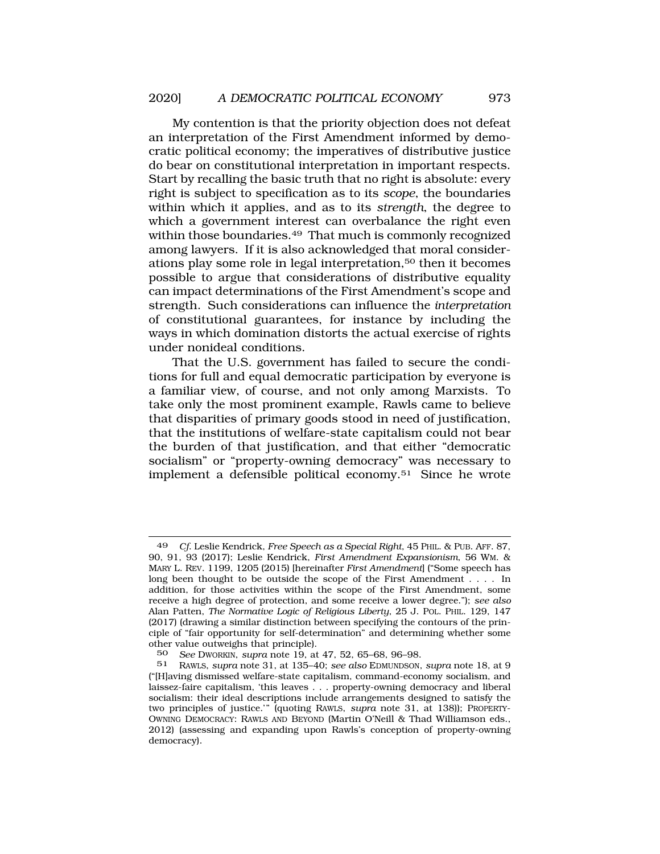My contention is that the priority objection does not defeat an interpretation of the First Amendment informed by democratic political economy; the imperatives of distributive justice do bear on constitutional interpretation in important respects. Start by recalling the basic truth that no right is absolute: every right is subject to specification as to its *scope*, the boundaries within which it applies, and as to its *strength*, the degree to which a government interest can overbalance the right even within those [boundaries.49](https://boundaries.49) That much is commonly recognized among lawyers. If it is also acknowledged that moral considerations play some role in legal interpretation,50 then it becomes possible to argue that considerations of distributive equality can impact determinations of the First Amendment's scope and strength. Such considerations can influence the *interpretation*  of constitutional guarantees, for instance by including the ways in which domination distorts the actual exercise of rights under nonideal conditions.

That the U.S. government has failed to secure the conditions for full and equal democratic participation by everyone is a familiar view, of course, and not only among Marxists. To take only the most prominent example, Rawls came to believe that disparities of primary goods stood in need of justification, that the institutions of welfare-state capitalism could not bear the burden of that justification, and that either "democratic socialism" or "property-owning democracy" was necessary to implement a defensible political [economy.51](https://economy.51) Since he wrote

<sup>49</sup> *Cf*. Leslie Kendrick, *Free Speech as a Special Right*, 45 PHIL. & PUB. AFF. 87, 90, 91, 93 (2017); Leslie Kendrick, *First Amendment Expansionism*, 56 WM. & MARY L. REV. 1199, 1205 (2015) [hereinafter *First Amendment*] ("Some speech has long been thought to be outside the scope of the First Amendment . . . . In addition, for those activities within the scope of the First Amendment, some receive a high degree of protection, and some receive a lower degree."); *see also*  Alan Patten, *The Normative Logic of Religious Liberty*, 25 J. POL. PHIL. 129, 147 (2017) (drawing a similar distinction between specifying the contours of the principle of "fair opportunity for self-determination" and determining whether some other value outweighs that principle).

<sup>50</sup> *See* DWORKIN, *supra* note 19, at 47, 52, 65–68, 96–98.

<sup>51</sup> RAWLS, *supra* note 31, at 135–40; *see also* EDMUNDSON, *supra* note 18, at 9 ("[H]aving dismissed welfare-state capitalism, command-economy socialism, and laissez-faire capitalism, 'this leaves . . . property-owning democracy and liberal socialism: their ideal descriptions include arrangements designed to satisfy the two principles of justice.'" (quoting RAWLS, *supra* note 31, at 138)); PROPERTY-OWNING DEMOCRACY: RAWLS AND BEYOND (Martin O'Neill & Thad Williamson eds., 2012) (assessing and expanding upon Rawls's conception of property-owning democracy).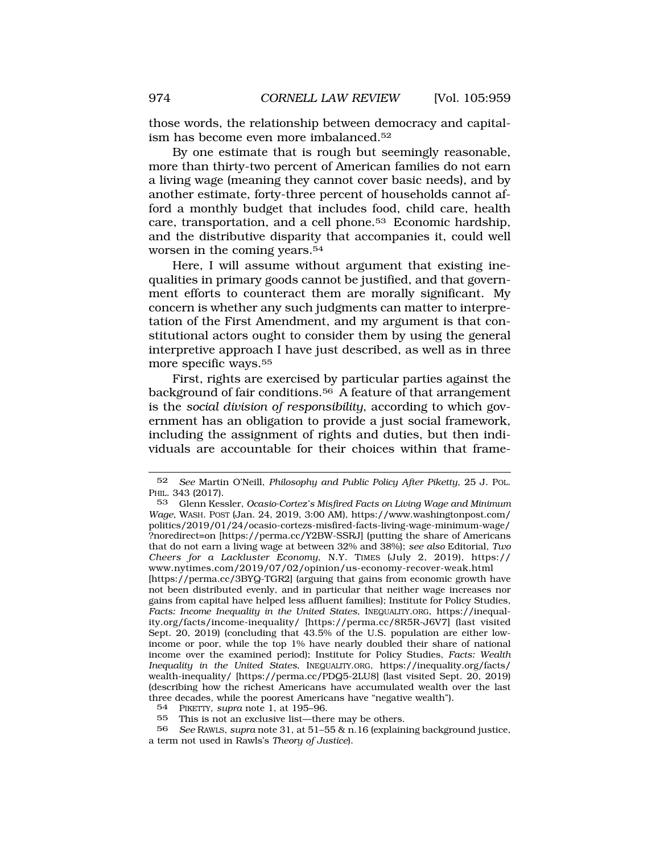those words, the relationship between democracy and capitalism has become even more [imbalanced.52](https://imbalanced.52)

By one estimate that is rough but seemingly reasonable, more than thirty-two percent of American families do not earn a living wage (meaning they cannot cover basic needs), and by another estimate, forty-three percent of households cannot afford a monthly budget that includes food, child care, health care, transportation, and a cell [phone.53](https://phone.53) Economic hardship, and the distributive disparity that accompanies it, could well worsen in the coming [years.54](https://years.54)

Here, I will assume without argument that existing inequalities in primary goods cannot be justified, and that government efforts to counteract them are morally significant. My concern is whether any such judgments can matter to interpretation of the First Amendment, and my argument is that constitutional actors ought to consider them by using the general interpretive approach I have just described, as well as in three more specific ways.55

First, rights are exercised by particular parties against the background of fair [conditions.56](https://conditions.56) A feature of that arrangement is the *social division of responsibility*, according to which government has an obligation to provide a just social framework, including the assignment of rights and duties, but then individuals are accountable for their choices within that frame-

<sup>52</sup> *See* Martin O'Neill, *Philosophy and Public Policy After Piketty*, 25 J. POL. PHIL. 343 (2017).

<sup>53</sup> Glenn Kessler, *Ocasio-Cortez's Misfired Facts on Living Wage and Minimum Wage*, WASH. POST (Jan. 24, 2019, 3:00 AM), [https://www.washingtonpost.com/](https://www.washingtonpost.com) politics/2019/01/24/ocasio-cortezs-misfired-facts-living-wage-minimum-wage/ ?noredirect=on [\[https://perma.cc/Y2BW-SSRJ\]](https://perma.cc/Y2BW-SSRJ) (putting the share of Americans that do not earn a living wage at between 32% and 38%); *see also* Editorial, *Two Cheers for a Lackluster Economy*, N.Y. TIMES (July 2, 2019), https:// <www.nytimes.com/2019/07/02/opinion/us-economy-recover-weak.html> [<https://perma.cc/3BYQ-TGR2>] (arguing that gains from economic growth have not been distributed evenly, and in particular that neither wage increases nor gains from capital have helped less affluent families); Institute for Policy Studies, *Facts: Income Inequality in the United States*, [INEQUALITY.ORG,](https://INEQUALITY.ORG) <https://inequal>[ity.org/facts/income-inequality](https://ity.org/facts/income-inequality)/ [<https://perma.cc/8R5R-J6V7>] (last visited Sept. 20, 2019) (concluding that 43.5% of the U.S. population are either lowincome or poor, while the top 1% have nearly doubled their share of national income over the examined period); Institute for Policy Studies*, Facts: Wealth Inequality in the United States*, [INEQUALITY.ORG,](https://INEQUALITY.ORG) [https://inequality.org/facts/](https://inequality.org/facts) wealth-inequality/ [<https://perma.cc/PDQ5-2LU8>] (last visited Sept. 20, 2019) (describing how the richest Americans have accumulated wealth over the last three decades, while the poorest Americans have "negative wealth").<br>54 PIKETTY SUPER note 1 at 195-96

<sup>54</sup> PIKETTY, *supra* note 1, at 195–96.

<sup>55</sup> This is not an exclusive list—there may be others.

<sup>56</sup> *See* RAWLS, *supra* note 31, at 51–55 & n.16 (explaining background justice, a term not used in Rawls's *Theory of Justice*).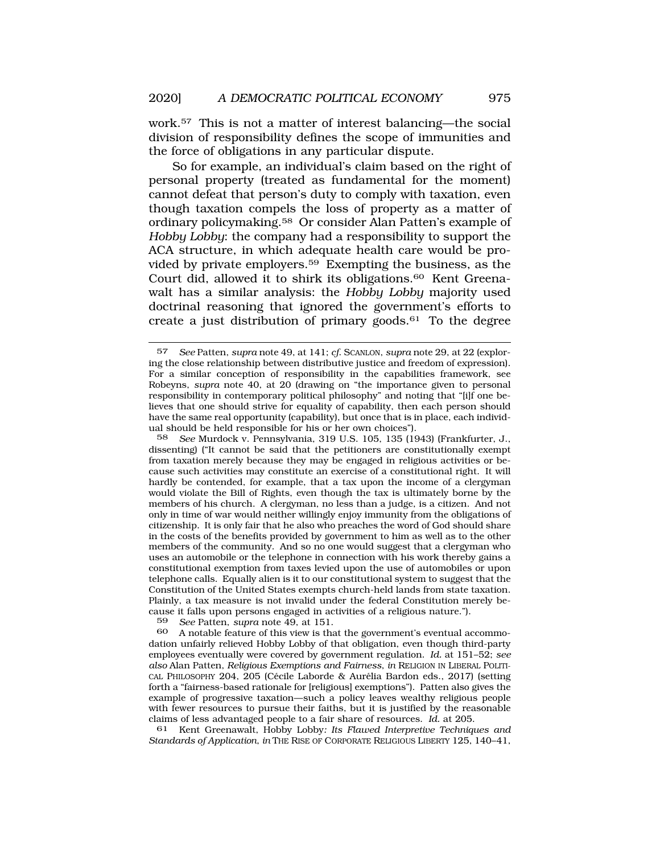work.57 This is not a matter of interest balancing—the social division of responsibility defines the scope of immunities and the force of obligations in any particular dispute.

So for example, an individual's claim based on the right of personal property (treated as fundamental for the moment) cannot defeat that person's duty to comply with taxation, even though taxation compels the loss of property as a matter of ordinary [policymaking.58](https://policymaking.58) Or consider Alan Patten's example of *Hobby Lobby*: the company had a responsibility to support the ACA structure, in which adequate health care would be provided by private [employers.59](https://employers.59) Exempting the business, as the Court did, allowed it to shirk its [obligations.60](https://obligations.60) Kent Greenawalt has a similar analysis: the *Hobby Lobby* majority used doctrinal reasoning that ignored the government's efforts to create a just distribution of primary goods. $61$  To the degree

58 *See* Murdock v. Pennsylvania, 319 U.S. 105, 135 (1943) (Frankfurter, J., dissenting) ("It cannot be said that the petitioners are constitutionally exempt from taxation merely because they may be engaged in religious activities or because such activities may constitute an exercise of a constitutional right. It will hardly be contended, for example, that a tax upon the income of a clergyman would violate the Bill of Rights, even though the tax is ultimately borne by the members of his church. A clergyman, no less than a judge, is a citizen. And not only in time of war would neither willingly enjoy immunity from the obligations of citizenship. It is only fair that he also who preaches the word of God should share in the costs of the benefits provided by government to him as well as to the other members of the community. And so no one would suggest that a clergyman who uses an automobile or the telephone in connection with his work thereby gains a constitutional exemption from taxes levied upon the use of automobiles or upon telephone calls. Equally alien is it to our constitutional system to suggest that the Constitution of the United States exempts church-held lands from state taxation. Plainly, a tax measure is not invalid under the federal Constitution merely because it falls upon persons engaged in activities of a religious nature.").

59 *See* Patten, *supra* note 49, at 151.

A notable feature of this view is that the government's eventual accommodation unfairly relieved Hobby Lobby of that obligation, even though third-party employees eventually were covered by government regulation. *Id.* at 151–52; *see also* Alan Patten, *Religious Exemptions and Fairness*, *in* RELIGION IN LIBERAL POLITI-CAL PHILOSOPHY 204, 205 (Cécile Laborde & Aurélia Bardon eds., 2017) (setting forth a "fairness-based rationale for [religious] exemptions"). Patten also gives the example of progressive taxation—such a policy leaves wealthy religious people with fewer resources to pursue their faiths, but it is justified by the reasonable claims of less advantaged people to a fair share of resources. *Id.* at 205.

61 Kent Greenawalt, Hobby Lobby*: Its Flawed Interpretive Techniques and Standards of Application*, *in* THE RISE OF CORPORATE RELIGIOUS LIBERTY 125, 140–41,

<sup>57</sup> *See* Patten, *supra* note 49, at 141; *cf*. SCANLON, *supra* note 29, at 22 (exploring the close relationship between distributive justice and freedom of expression). For a similar conception of responsibility in the capabilities framework, see Robeyns, *supra* note 40, at 20 (drawing on "the importance given to personal responsibility in contemporary political philosophy" and noting that "[i]f one believes that one should strive for equality of capability, then each person should have the same real opportunity (capability), but once that is in place, each individual should be held responsible for his or her own choices").<br>58 See Murdock v Pennsylvania 319 U.S. 105 135 (19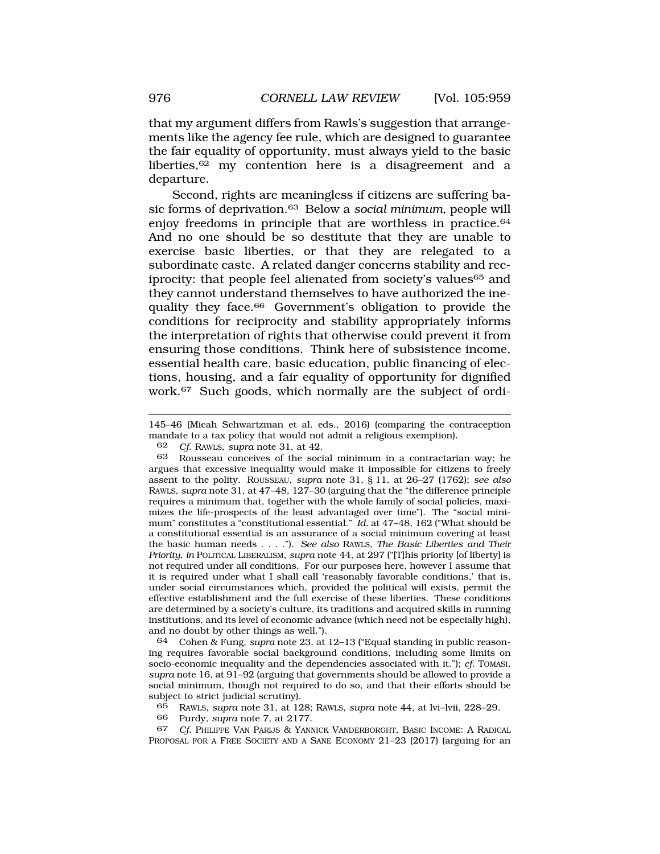that my argument differs from Rawls's suggestion that arrangements like the agency fee rule, which are designed to guarantee the fair equality of opportunity, must always yield to the basic liberties,<sup>62</sup> my contention here is a disagreement and a departure.

Second, rights are meaningless if citizens are suffering basic forms of [deprivation.63](https://deprivation.63) Below a *social minimum*, people will enjoy freedoms in principle that are worthless in practice.<sup>64</sup> And no one should be so destitute that they are unable to exercise basic liberties, or that they are relegated to a subordinate caste. A related danger concerns stability and reciprocity: that people feel alienated from society's values<sup>65</sup> and they cannot understand themselves to have authorized the inequality they face.66 Government's obligation to provide the conditions for reciprocity and stability appropriately informs the interpretation of rights that otherwise could prevent it from ensuring those conditions. Think here of subsistence income, essential health care, basic education, public financing of elections, housing, and a fair equality of opportunity for dignified work.67 Such goods, which normally are the subject of ordi-

145–46 (Micah Schwartzman et al. eds., 2016) (comparing the contraception mandate to a tax policy that would not admit a religious exemption).

62 *Cf*. RAWLS, *supra* note 31, at 42.

63 Rousseau conceives of the social minimum in a contractarian way; he argues that excessive inequality would make it impossible for citizens to freely assent to the polity. ROUSSEAU, *supra* note 31, § 11, at 26–27 (1762); *see also*  RAWLS, *supra* note 31, at 47–48, 127–30 (arguing that the "the difference principle requires a minimum that, together with the whole family of social policies, maximizes the life-prospects of the least advantaged over time"). The "social minimum" constitutes a "constitutional essential." *Id.* at 47–48, 162 ("What should be a constitutional essential is an assurance of a social minimum covering at least the basic human needs . . . ."). *See also* RAWLS, *The Basic Liberties and Their Priority*, *in* POLITICAL LIBERALISM, *supra* note 44, at 297 ("[T]his priority [of liberty] is not required under all conditions. For our purposes here, however I assume that it is required under what I shall call 'reasonably favorable conditions,' that is, under social circumstances which, provided the political will exists, permit the effective establishment and the full exercise of these liberties. These conditions are determined by a society's culture, its traditions and acquired skills in running institutions, and its level of economic advance (which need not be especially high), and no doubt by other things as well.").

64 Cohen & Fung, *supra* note 23, at 12–13 ("Equal standing in public reasoning requires favorable social background conditions, including some limits on socio-economic inequality and the dependencies associated with it."); *cf*. TOMASI, *supra* note 16, at 91–92 (arguing that governments should be allowed to provide a social minimum, though not required to do so, and that their efforts should be subject to strict judicial scrutiny).

65 RAWLS, *supra* note 31, at 128; RAWLS, *supra* note 44, at lvi–lvii, 228–29.

66 Purdy, *supra* note 7, at 2177.

67 *Cf*. PHILIPPE VAN PARIJS & YANNICK VANDERBORGHT, BASIC INCOME: A RADICAL PROPOSAL FOR A FREE SOCIETY AND A SANE ECONOMY 21–23 (2017) (arguing for an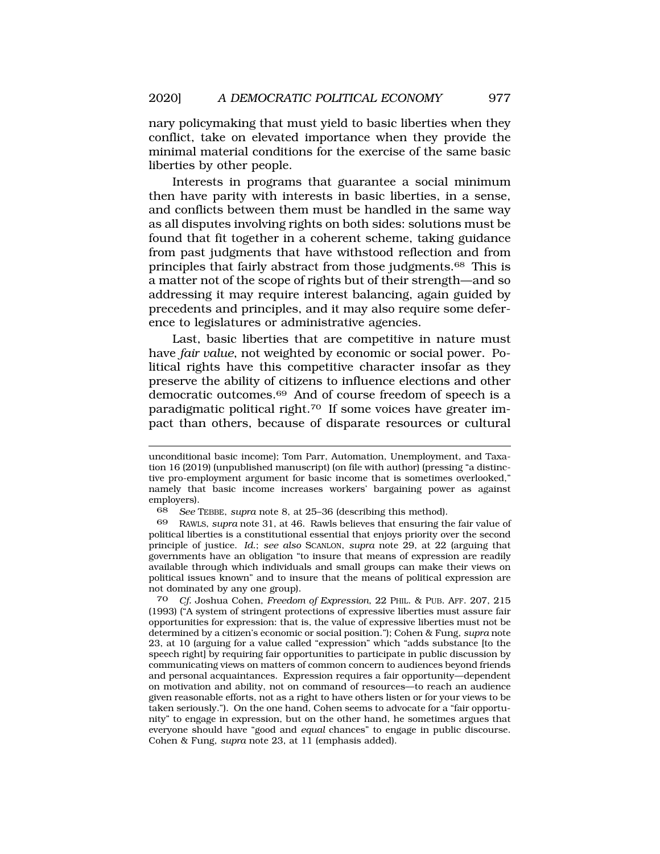nary policymaking that must yield to basic liberties when they conflict, take on elevated importance when they provide the minimal material conditions for the exercise of the same basic liberties by other people.

Interests in programs that guarantee a social minimum then have parity with interests in basic liberties, in a sense, and conflicts between them must be handled in the same way as all disputes involving rights on both sides: solutions must be found that fit together in a coherent scheme, taking guidance from past judgments that have withstood reflection and from principles that fairly abstract from those [judgments.68](https://judgments.68) This is a matter not of the scope of rights but of their strength—and so addressing it may require interest balancing, again guided by precedents and principles, and it may also require some deference to legislatures or administrative agencies.

Last, basic liberties that are competitive in nature must have *fair value*, not weighted by economic or social power. Political rights have this competitive character insofar as they preserve the ability of citizens to influence elections and other democratic [outcomes.69](https://outcomes.69) And of course freedom of speech is a paradigmatic political [right.70](https://right.70) If some voices have greater impact than others, because of disparate resources or cultural

70 *Cf.* Joshua Cohen, *Freedom of Expression*, 22 PHIL. & PUB. AFF. 207, 215 (1993) ("A system of stringent protections of expressive liberties must assure fair opportunities for expression: that is, the value of expressive liberties must not be determined by a citizen's economic or social position."); Cohen & Fung, *supra* note 23, at 10 (arguing for a value called "expression" which "adds substance [to the speech right] by requiring fair opportunities to participate in public discussion by communicating views on matters of common concern to audiences beyond friends and personal acquaintances. Expression requires a fair opportunity—dependent on motivation and ability, not on command of resources—to reach an audience given reasonable efforts, not as a right to have others listen or for your views to be taken seriously."). On the one hand, Cohen seems to advocate for a "fair opportunity" to engage in expression, but on the other hand, he sometimes argues that everyone should have "good and *equal* chances" to engage in public discourse. Cohen & Fung, *supra* note 23, at 11 (emphasis added).

unconditional basic income); Tom Parr, Automation, Unemployment, and Taxation 16 (2019) (unpublished manuscript) (on file with author) (pressing "a distinctive pro-employment argument for basic income that is sometimes overlooked," namely that basic income increases workers' bargaining power as against employers).

<sup>68</sup> *See* TEBBE, *supra* note 8, at 25–36 (describing this method).

<sup>69</sup> RAWLS, *supra* note 31, at 46. Rawls believes that ensuring the fair value of political liberties is a constitutional essential that enjoys priority over the second principle of justice. *Id*.; *see also* SCANLON, *supra* note 29, at 22 (arguing that governments have an obligation "to insure that means of expression are readily available through which individuals and small groups can make their views on political issues known" and to insure that the means of political expression are not dominated by any one group).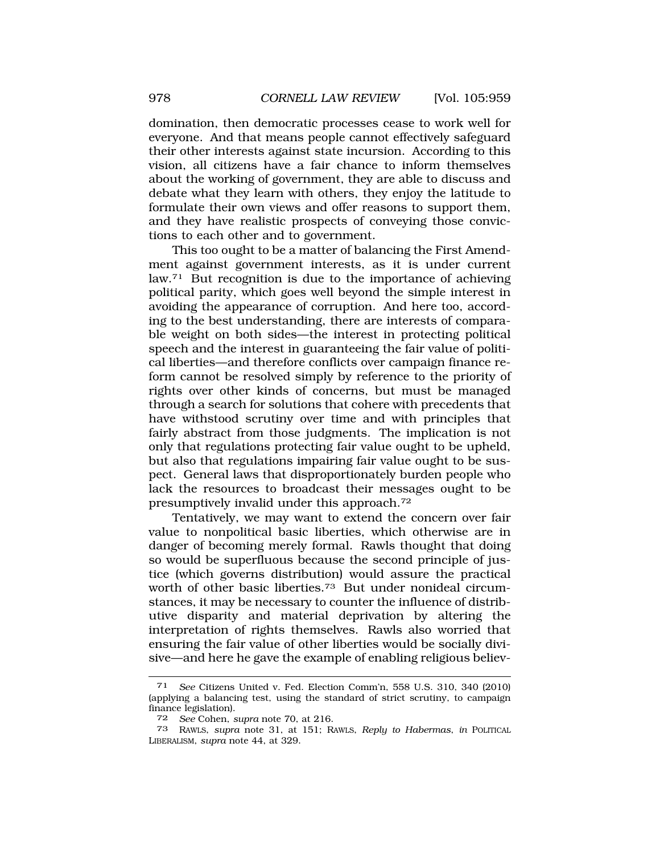domination, then democratic processes cease to work well for everyone. And that means people cannot effectively safeguard their other interests against state incursion. According to this vision, all citizens have a fair chance to inform themselves about the working of government, they are able to discuss and debate what they learn with others, they enjoy the latitude to formulate their own views and offer reasons to support them, and they have realistic prospects of conveying those convictions to each other and to government.

This too ought to be a matter of balancing the First Amendment against government interests, as it is under current law.<sup>71</sup> But recognition is due to the importance of achieving political parity, which goes well beyond the simple interest in avoiding the appearance of corruption. And here too, according to the best understanding, there are interests of comparable weight on both sides—the interest in protecting political speech and the interest in guaranteeing the fair value of political liberties—and therefore conflicts over campaign finance reform cannot be resolved simply by reference to the priority of rights over other kinds of concerns, but must be managed through a search for solutions that cohere with precedents that have withstood scrutiny over time and with principles that fairly abstract from those judgments. The implication is not only that regulations protecting fair value ought to be upheld, but also that regulations impairing fair value ought to be suspect. General laws that disproportionately burden people who lack the resources to broadcast their messages ought to be presumptively invalid under this [approach.72](https://approach.72) 

Tentatively, we may want to extend the concern over fair value to nonpolitical basic liberties, which otherwise are in danger of becoming merely formal. Rawls thought that doing so would be superfluous because the second principle of justice (which governs distribution) would assure the practical worth of other basic liberties.<sup>73</sup> But under nonideal circumstances, it may be necessary to counter the influence of distributive disparity and material deprivation by altering the interpretation of rights themselves. Rawls also worried that ensuring the fair value of other liberties would be socially divisive—and here he gave the example of enabling religious believ-

<sup>71</sup> *See* Citizens United v. Fed. Election Comm'n, 558 U.S. 310, 340 (2010) (applying a balancing test, using the standard of strict scrutiny, to campaign finance legislation).

<sup>72</sup> *See* Cohen, *supra* note 70, at 216.

<sup>73</sup> RAWLS, *supra* note 31, at 151; RAWLS, *Reply to Habermas*, *in* POLITICAL LIBERALISM, *supra* note 44, at 329.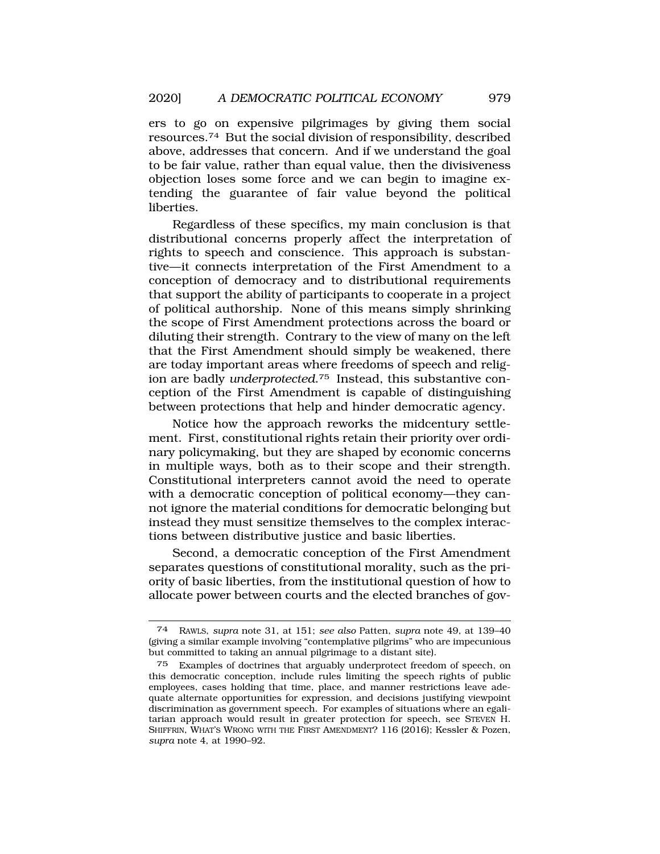ers to go on expensive pilgrimages by giving them social [resources.74](https://resources.74) But the social division of responsibility, described above, addresses that concern. And if we understand the goal to be fair value, rather than equal value, then the divisiveness objection loses some force and we can begin to imagine extending the guarantee of fair value beyond the political liberties.

Regardless of these specifics, my main conclusion is that distributional concerns properly affect the interpretation of rights to speech and conscience. This approach is substantive—it connects interpretation of the First Amendment to a conception of democracy and to distributional requirements that support the ability of participants to cooperate in a project of political authorship. None of this means simply shrinking the scope of First Amendment protections across the board or diluting their strength. Contrary to the view of many on the left that the First Amendment should simply be weakened, there are today important areas where freedoms of speech and religion are badly *[underprotected](https://underprotected.75)*.75 Instead, this substantive conception of the First Amendment is capable of distinguishing between protections that help and hinder democratic agency.

Notice how the approach reworks the midcentury settlement. First, constitutional rights retain their priority over ordinary policymaking, but they are shaped by economic concerns in multiple ways, both as to their scope and their strength. Constitutional interpreters cannot avoid the need to operate with a democratic conception of political economy—they cannot ignore the material conditions for democratic belonging but instead they must sensitize themselves to the complex interactions between distributive justice and basic liberties.

Second, a democratic conception of the First Amendment separates questions of constitutional morality, such as the priority of basic liberties, from the institutional question of how to allocate power between courts and the elected branches of gov-

<sup>74</sup> RAWLS, *supra* note 31, at 151; *see also* Patten, *supra* note 49, at 139–40 (giving a similar example involving "contemplative pilgrims" who are impecunious but committed to taking an annual pilgrimage to a distant site).

<sup>75</sup> Examples of doctrines that arguably underprotect freedom of speech, on this democratic conception, include rules limiting the speech rights of public employees, cases holding that time, place, and manner restrictions leave adequate alternate opportunities for expression, and decisions justifying viewpoint discrimination as government speech. For examples of situations where an egalitarian approach would result in greater protection for speech, see STEVEN H. SHIFFRIN, WHAT'S WRONG WITH THE FIRST AMENDMENT? 116 (2016); Kessler & Pozen, *supra* note 4, at 1990–92.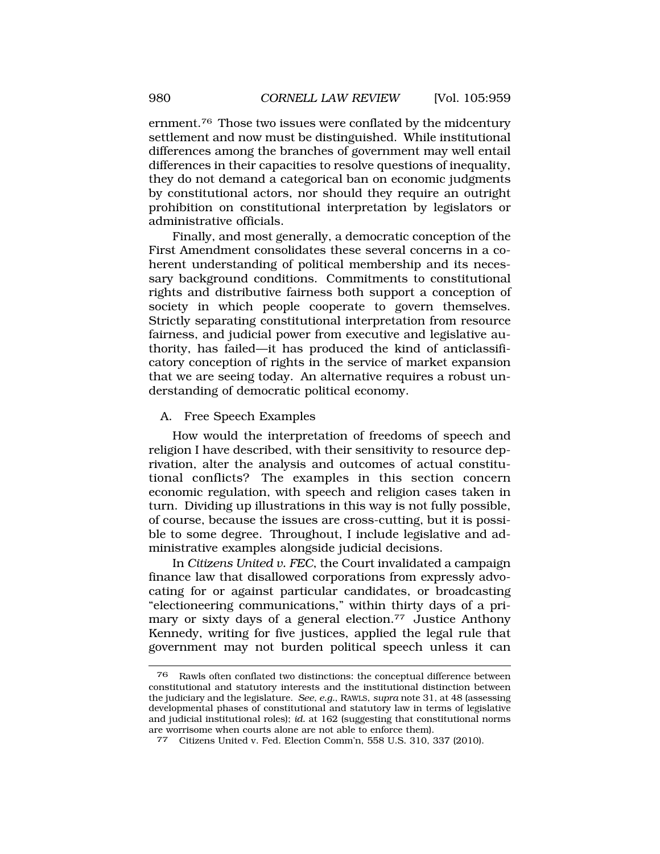[ernment.76](https://ernment.76) Those two issues were conflated by the midcentury settlement and now must be distinguished. While institutional differences among the branches of government may well entail differences in their capacities to resolve questions of inequality, they do not demand a categorical ban on economic judgments by constitutional actors, nor should they require an outright prohibition on constitutional interpretation by legislators or administrative officials.

Finally, and most generally, a democratic conception of the First Amendment consolidates these several concerns in a coherent understanding of political membership and its necessary background conditions. Commitments to constitutional rights and distributive fairness both support a conception of society in which people cooperate to govern themselves. Strictly separating constitutional interpretation from resource fairness, and judicial power from executive and legislative authority, has failed—it has produced the kind of anticlassificatory conception of rights in the service of market expansion that we are seeing today. An alternative requires a robust understanding of democratic political economy.

#### A. Free Speech Examples

How would the interpretation of freedoms of speech and religion I have described, with their sensitivity to resource deprivation, alter the analysis and outcomes of actual constitutional conflicts? The examples in this section concern economic regulation, with speech and religion cases taken in turn. Dividing up illustrations in this way is not fully possible, of course, because the issues are cross-cutting, but it is possible to some degree. Throughout, I include legislative and administrative examples alongside judicial decisions.

In *Citizens United v. FEC*, the Court invalidated a campaign finance law that disallowed corporations from expressly advocating for or against particular candidates, or broadcasting "electioneering communications," within thirty days of a primary or sixty days of a general [election.77](https://election.77) Justice Anthony Kennedy, writing for five justices, applied the legal rule that government may not burden political speech unless it can

<sup>76</sup> Rawls often conflated two distinctions: the conceptual difference between constitutional and statutory interests and the institutional distinction between the judiciary and the legislature. *See, e.g.*, RAWLS, *supra* note 31, at 48 (assessing developmental phases of constitutional and statutory law in terms of legislative and judicial institutional roles); *id.* at 162 (suggesting that constitutional norms are worrisome when courts alone are not able to enforce them).

<sup>77</sup> Citizens United v. Fed. Election Comm'n, 558 U.S. 310, 337 (2010).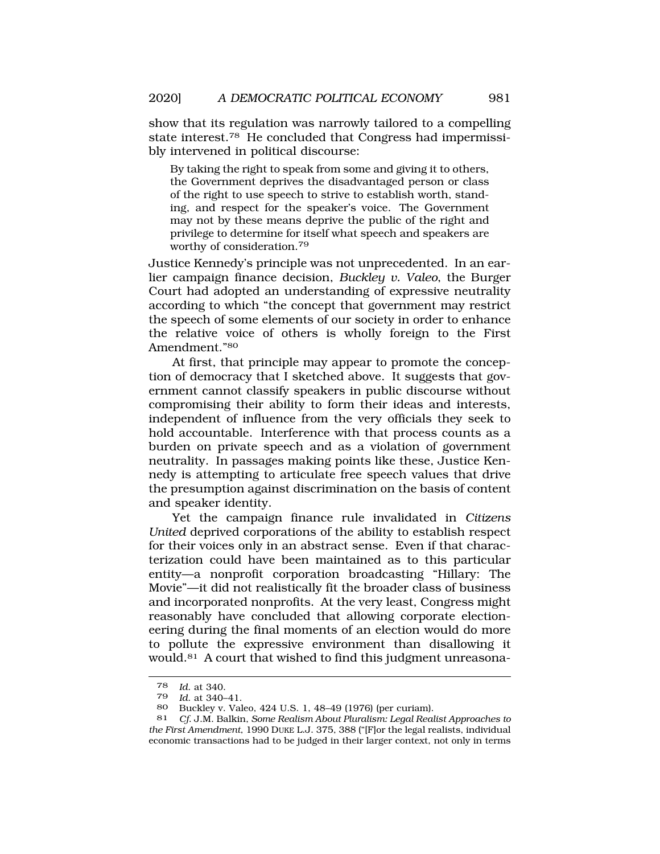show that its regulation was narrowly tailored to a compelling state [interest.78](https://interest.78) He concluded that Congress had impermissibly intervened in political discourse:

By taking the right to speak from some and giving it to others, the Government deprives the disadvantaged person or class of the right to use speech to strive to establish worth, standing, and respect for the speaker's voice. The Government may not by these means deprive the public of the right and privilege to determine for itself what speech and speakers are worthy of [consideration.](https://consideration.79)<sup>79</sup>

Justice Kennedy's principle was not unprecedented. In an earlier campaign finance decision, *Buckley v. Valeo*, the Burger Court had adopted an understanding of expressive neutrality according to which "the concept that government may restrict the speech of some elements of our society in order to enhance the relative voice of others is wholly foreign to the First Amendment."80

At first, that principle may appear to promote the conception of democracy that I sketched above. It suggests that government cannot classify speakers in public discourse without compromising their ability to form their ideas and interests, independent of influence from the very officials they seek to hold accountable. Interference with that process counts as a burden on private speech and as a violation of government neutrality. In passages making points like these, Justice Kennedy is attempting to articulate free speech values that drive the presumption against discrimination on the basis of content and speaker identity.

Yet the campaign finance rule invalidated in *Citizens United* deprived corporations of the ability to establish respect for their voices only in an abstract sense. Even if that characterization could have been maintained as to this particular entity—a nonprofit corporation broadcasting "Hillary: The Movie"—it did not realistically fit the broader class of business and incorporated nonprofits. At the very least, Congress might reasonably have concluded that allowing corporate electioneering during the final moments of an election would do more to pollute the expressive environment than disallowing it [would.81](https://would.81) A court that wished to find this judgment unreasona-

<sup>78</sup> *Id*. at 340.

<sup>79</sup> *Id*. at 340–41.

Buckley v. Valeo, 424 U.S. 1, 48–49 (1976) (per curiam).

<sup>81</sup> *Cf*. J.M. Balkin, *Some Realism About Pluralism: Legal Realist Approaches to the First Amendment*, 1990 DUKE L.J. 375, 388 ("[F]or the legal realists, individual economic transactions had to be judged in their larger context, not only in terms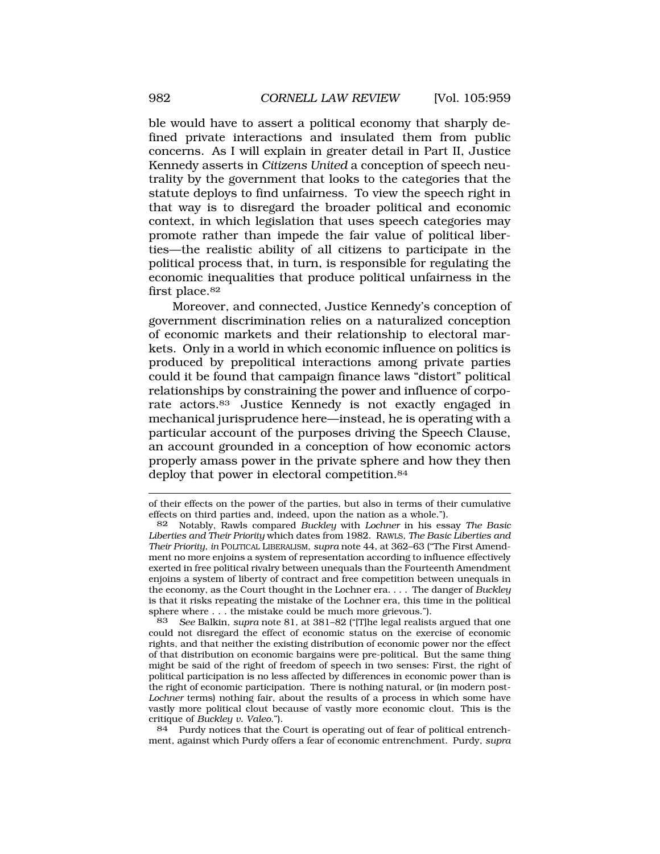ble would have to assert a political economy that sharply defined private interactions and insulated them from public concerns. As I will explain in greater detail in Part II, Justice Kennedy asserts in *Citizens United* a conception of speech neutrality by the government that looks to the categories that the statute deploys to find unfairness. To view the speech right in that way is to disregard the broader political and economic context, in which legislation that uses speech categories may promote rather than impede the fair value of political liberties—the realistic ability of all citizens to participate in the political process that, in turn, is responsible for regulating the economic inequalities that produce political unfairness in the first place.<sup>82</sup>

Moreover, and connected, Justice Kennedy's conception of government discrimination relies on a naturalized conception of economic markets and their relationship to electoral markets. Only in a world in which economic influence on politics is produced by prepolitical interactions among private parties could it be found that campaign finance laws "distort" political relationships by constraining the power and influence of corporate [actors.83](https://actors.83) Justice Kennedy is not exactly engaged in mechanical jurisprudence here—instead, he is operating with a particular account of the purposes driving the Speech Clause, an account grounded in a conception of how economic actors properly amass power in the private sphere and how they then deploy that power in electoral competition.<sup>84</sup>

84 Purdy notices that the Court is operating out of fear of political entrenchment, against which Purdy offers a fear of economic entrenchment. Purdy, *supra* 

of their effects on the power of the parties, but also in terms of their cumulative effects on third parties and, indeed, upon the nation as a whole.").

<sup>82</sup> Notably, Rawls compared *Buckley* with *Lochner* in his essay *The Basic Liberties and Their Priority* which dates from 1982. RAWLS, *The Basic Liberties and Their Priority*, *in* POLITICAL LIBERALISM, *supra* note 44, at 362–63 ("The First Amendment no more enjoins a system of representation according to influence effectively exerted in free political rivalry between unequals than the Fourteenth Amendment enjoins a system of liberty of contract and free competition between unequals in the economy, as the Court thought in the Lochner era. . . . The danger of *Buckley*  is that it risks repeating the mistake of the Lochner era, this time in the political sphere where . . . the mistake could be much more grievous.").

<sup>83</sup> *See* Balkin, *supra* note 81, at 381–82 ("[T]he legal realists argued that one could not disregard the effect of economic status on the exercise of economic rights, and that neither the existing distribution of economic power nor the effect of that distribution on economic bargains were pre-political. But the same thing might be said of the right of freedom of speech in two senses: First, the right of political participation is no less affected by differences in economic power than is the right of economic participation. There is nothing natural, or (in modern post-*Lochner* terms) nothing fair, about the results of a process in which some have vastly more political clout because of vastly more economic clout. This is the critique of *Buckley v. Valeo*.").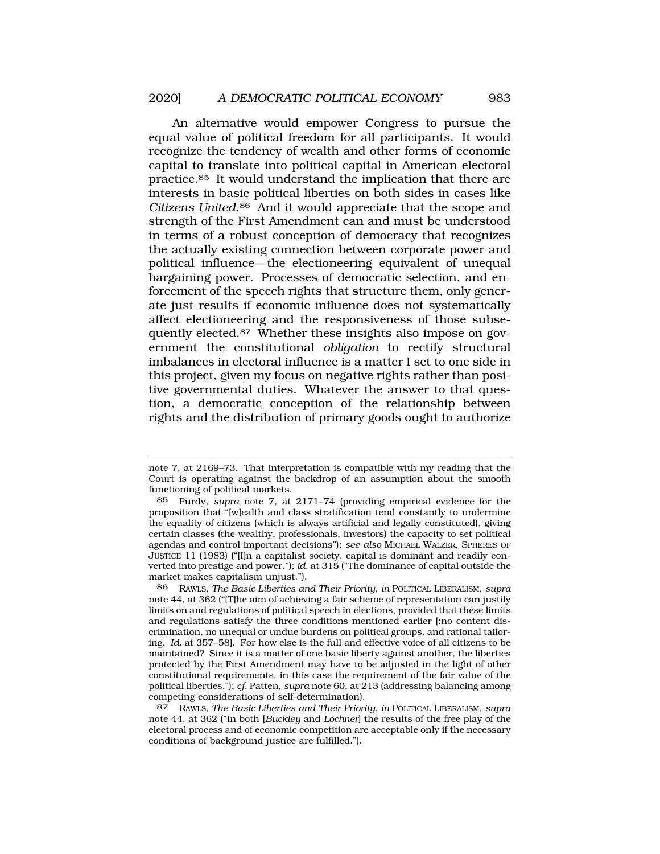An alternative would empower Congress to pursue the equal value of political freedom for all participants. It would recognize the tendency of wealth and other forms of economic capital to translate into political capital in American electoral [practice.85](https://practice.85) It would understand the implication that there are interests in basic political liberties on both sides in cases like *Citizens [United](https://United.86)*.86 And it would appreciate that the scope and strength of the First Amendment can and must be understood in terms of a robust conception of democracy that recognizes the actually existing connection between corporate power and political influence—the electioneering equivalent of unequal bargaining power. Processes of democratic selection, and enforcement of the speech rights that structure them, only generate just results if economic influence does not systematically affect electioneering and the responsiveness of those subsequently [elected.87](https://elected.87) Whether these insights also impose on government the constitutional *obligation* to rectify structural imbalances in electoral influence is a matter I set to one side in this project, given my focus on negative rights rather than positive governmental duties. Whatever the answer to that question, a democratic conception of the relationship between rights and the distribution of primary goods ought to authorize

86 RAWLS, *The Basic Liberties and Their Priority*, *in* POLITICAL LIBERALISM, *supra*  note 44, at 362 ("[T]he aim of achieving a fair scheme of representation can justify limits on and regulations of political speech in elections, provided that these limits and regulations satisfy the three conditions mentioned earlier [:no content discrimination, no unequal or undue burdens on political groups, and rational tailoring. *Id.* at 357–58]. For how else is the full and effective voice of all citizens to be maintained? Since it is a matter of one basic liberty against another, the liberties protected by the First Amendment may have to be adjusted in the light of other constitutional requirements, in this case the requirement of the fair value of the political liberties."); *cf*. Patten, *supra* note 60, at 213 (addressing balancing among competing considerations of self-determination).

87 RAWLS, *The Basic Liberties and Their Priority*, *in* POLITICAL LIBERALISM, *supra*  note 44, at 362 ("In both [*Buckley* and *Lochner*] the results of the free play of the electoral process and of economic competition are acceptable only if the necessary conditions of background justice are fulfilled.").

note 7, at 2169–73. That interpretation is compatible with my reading that the Court is operating against the backdrop of an assumption about the smooth functioning of political markets.

<sup>85</sup> Purdy, *supra* note 7, at 2171–74 (providing empirical evidence for the proposition that "[w]ealth and class stratification tend constantly to undermine the equality of citizens (which is always artificial and legally constituted), giving certain classes (the wealthy, professionals, investors) the capacity to set political agendas and control important decisions"); *see also* MICHAEL WALZER, SPHERES OF JUSTICE 11 (1983) ("[I]n a capitalist society, capital is dominant and readily converted into prestige and power."); *id.* at 315 ("The dominance of capital outside the market makes capitalism unjust.").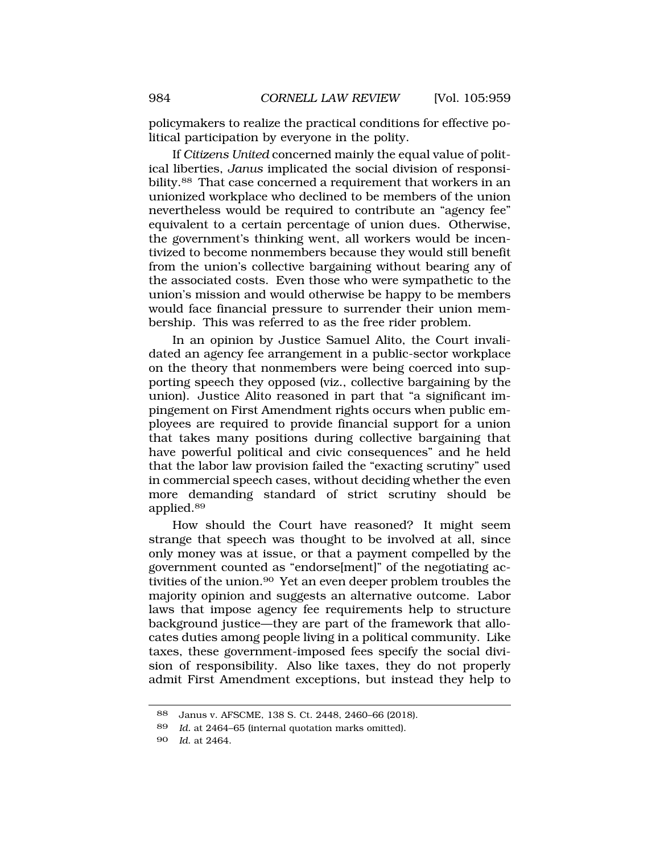policymakers to realize the practical conditions for effective political participation by everyone in the polity.

If *Citizens United* concerned mainly the equal value of political liberties, *Janus* implicated the social division of responsibility.<sup>88</sup> That case concerned a requirement that workers in an unionized workplace who declined to be members of the union nevertheless would be required to contribute an "agency fee" equivalent to a certain percentage of union dues. Otherwise, the government's thinking went, all workers would be incentivized to become nonmembers because they would still benefit from the union's collective bargaining without bearing any of the associated costs. Even those who were sympathetic to the union's mission and would otherwise be happy to be members would face financial pressure to surrender their union membership. This was referred to as the free rider problem.

In an opinion by Justice Samuel Alito, the Court invalidated an agency fee arrangement in a public-sector workplace on the theory that nonmembers were being coerced into supporting speech they opposed (viz., collective bargaining by the union). Justice Alito reasoned in part that "a significant impingement on First Amendment rights occurs when public employees are required to provide financial support for a union that takes many positions during collective bargaining that have powerful political and civic consequences" and he held that the labor law provision failed the "exacting scrutiny" used in commercial speech cases, without deciding whether the even more demanding standard of strict scrutiny should be [applied.89](https://applied.89) 

How should the Court have reasoned? It might seem strange that speech was thought to be involved at all, since only money was at issue, or that a payment compelled by the government counted as "endorse[ment]" of the negotiating activities of the [union.90](https://union.90) Yet an even deeper problem troubles the majority opinion and suggests an alternative outcome. Labor laws that impose agency fee requirements help to structure background justice—they are part of the framework that allocates duties among people living in a political community. Like taxes, these government-imposed fees specify the social division of responsibility. Also like taxes, they do not properly admit First Amendment exceptions, but instead they help to

<sup>88</sup> Janus v. AFSCME, 138 S. Ct. 2448, 2460–66 (2018).

<sup>89</sup> *Id.* at 2464–65 (internal quotation marks omitted).

<sup>90</sup> *Id*. at 2464.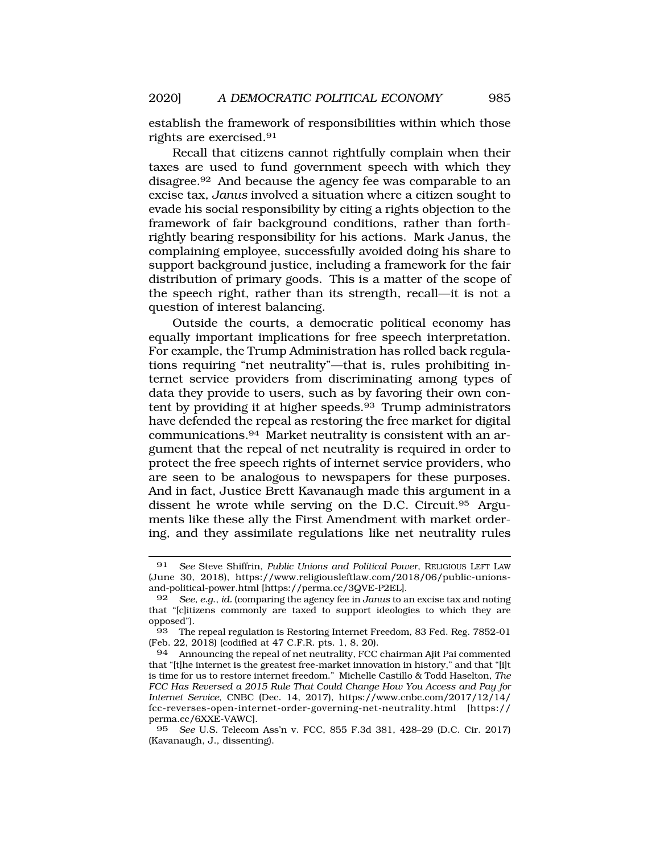establish the framework of responsibilities within which those rights are [exercised.91](https://exercised.91)

Recall that citizens cannot rightfully complain when their taxes are used to fund government speech with which they [disagree.92](https://disagree.92) And because the agency fee was comparable to an excise tax, *Janus* involved a situation where a citizen sought to evade his social responsibility by citing a rights objection to the framework of fair background conditions, rather than forthrightly bearing responsibility for his actions. Mark Janus, the complaining employee, successfully avoided doing his share to support background justice, including a framework for the fair distribution of primary goods. This is a matter of the scope of the speech right, rather than its strength, recall—it is not a question of interest balancing.

Outside the courts, a democratic political economy has equally important implications for free speech interpretation. For example, the Trump Administration has rolled back regulations requiring "net neutrality"—that is, rules prohibiting internet service providers from discriminating among types of data they provide to users, such as by favoring their own content by providing it at higher speeds.<sup>93</sup> Trump administrators have defended the repeal as restoring the free market for digital [communications.94](https://communications.94) Market neutrality is consistent with an argument that the repeal of net neutrality is required in order to protect the free speech rights of internet service providers, who are seen to be analogous to newspapers for these purposes. And in fact, Justice Brett Kavanaugh made this argument in a dissent he wrote while serving on the D.C. [Circuit.95](https://Circuit.95) Arguments like these ally the First Amendment with market ordering, and they assimilate regulations like net neutrality rules

<sup>91</sup> *See* Steve Shiffrin, *Public Unions and Political Power*, RELIGIOUS LEFT LAW (June 30, 2018), <https://www.religiousleftlaw.com/2018/06/public-unions>and-political-power.html [[https://perma.cc/3QVE-P2EL\]](https://perma.cc/3QVE-P2EL).

<sup>92</sup> *See, e.g*., *id.* (comparing the agency fee in *Janus* to an excise tax and noting that "[c]itizens commonly are taxed to support ideologies to which they are opposed").

<sup>93</sup> The repeal regulation is Restoring Internet Freedom, 83 Fed. Reg. 7852-01 (Feb. 22, 2018) (codified at 47 C.F.R. pts. 1, 8, 20).

<sup>94</sup> Announcing the repeal of net neutrality, FCC chairman Ajit Pai commented that "[t]he internet is the greatest free-market innovation in history," and that "[i]t is time for us to restore internet freedom." Michelle Castillo & Todd Haselton, *The FCC Has Reversed a 2015 Rule That Could Change How You Access and Pay for Internet Service*, CNBC (Dec. 14, 2017), [https://www.cnbc.com/2017/12/14/](https://www.cnbc.com/2017/12/14) fcc-reverses-open-internet-order-governing-net-neutrality.html [https:// perma.cc/6XXE-VAWC].

<sup>95</sup> *See* U.S. Telecom Ass'n v. FCC, 855 F.3d 381, 428–29 (D.C. Cir. 2017) (Kavanaugh, J., dissenting).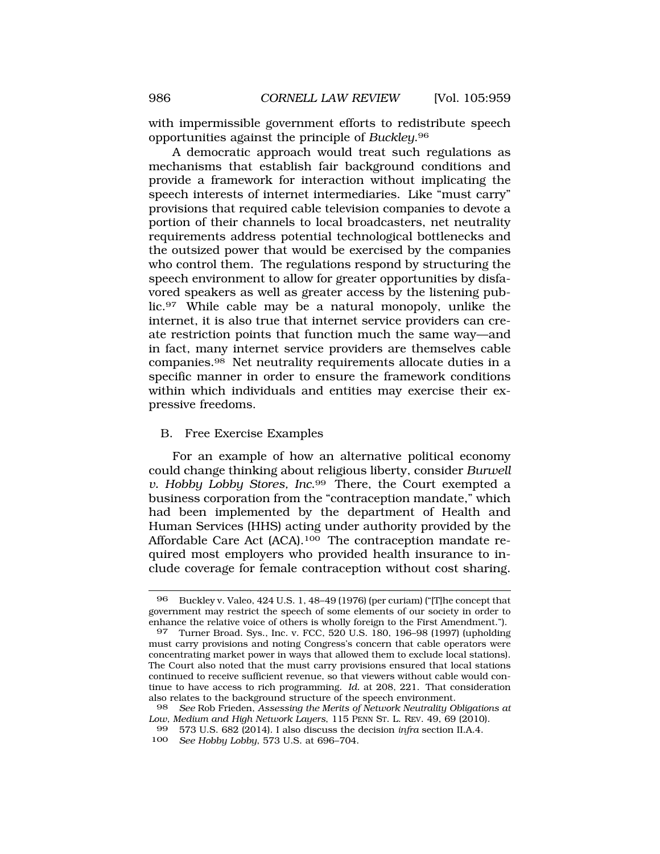with impermissible government efforts to redistribute speech opportunities against the principle of *[Buckley](https://Buckley.96)*.96

A democratic approach would treat such regulations as mechanisms that establish fair background conditions and provide a framework for interaction without implicating the speech interests of internet intermediaries. Like "must carry" provisions that required cable television companies to devote a portion of their channels to local broadcasters, net neutrality requirements address potential technological bottlenecks and the outsized power that would be exercised by the companies who control them. The regulations respond by structuring the speech environment to allow for greater opportunities by disfavored speakers as well as greater access by the listening public.97 While cable may be a natural monopoly, unlike the internet, it is also true that internet service providers can create restriction points that function much the same way—and in fact, many internet service providers are themselves cable [companies.98](https://companies.98) Net neutrality requirements allocate duties in a specific manner in order to ensure the framework conditions within which individuals and entities may exercise their expressive freedoms.

#### B. Free Exercise Examples

For an example of how an alternative political economy could change thinking about religious liberty, consider *Burwell v. Hobby Lobby Stores, Inc*.99 There, the Court exempted a business corporation from the "contraception mandate," which had been implemented by the department of Health and Human Services (HHS) acting under authority provided by the Affordable Care Act (ACA).<sup>100</sup> The contraception mandate required most employers who provided health insurance to include coverage for female contraception without cost sharing.

<sup>96</sup> Buckley v. Valeo, 424 U.S. 1, 48–49 (1976) (per curiam) ("[T]he concept that government may restrict the speech of some elements of our society in order to enhance the relative voice of others is wholly foreign to the First Amendment.").

<sup>97</sup> Turner Broad. Sys., Inc. v. FCC, 520 U.S. 180, 196–98 (1997) (upholding must carry provisions and noting Congress's concern that cable operators were concentrating market power in ways that allowed them to exclude local stations). The Court also noted that the must carry provisions ensured that local stations continued to receive sufficient revenue, so that viewers without cable would continue to have access to rich programming. *Id.* at 208, 221. That consideration also relates to the background structure of the speech environment.

<sup>98</sup> *See* Rob Frieden, *Assessing the Merits of Network Neutrality Obligations at Low, Medium and High Network Layers*, 115 PENN ST. L. REV. 49, 69 (2010).

<sup>99 573</sup> U.S. 682 (2014). I also discuss the decision *infra* section II.A.4.

<sup>100</sup> *See Hobby Lobby*, 573 U.S. at 696–704.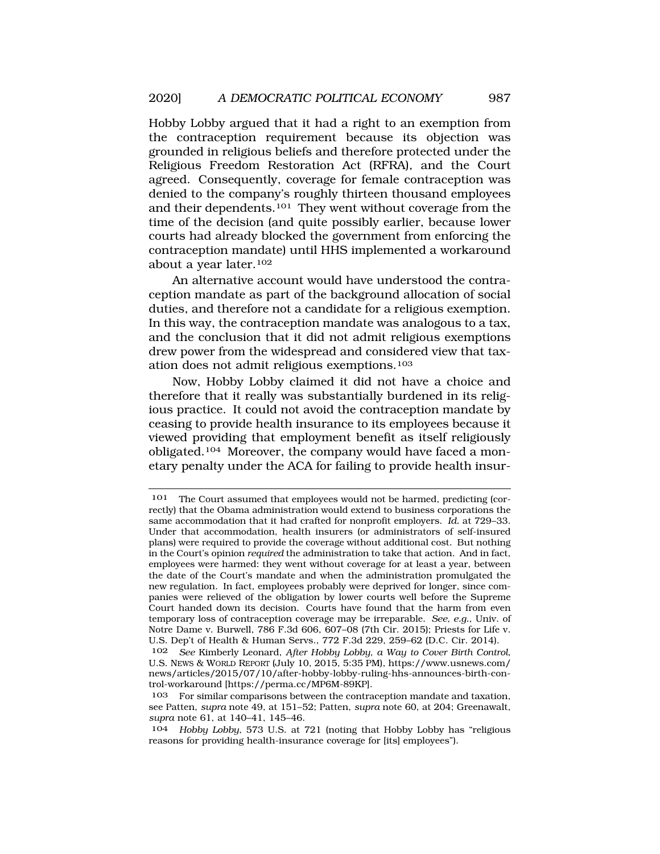Hobby Lobby argued that it had a right to an exemption from the contraception requirement because its objection was grounded in religious beliefs and therefore protected under the Religious Freedom Restoration Act (RFRA), and the Court agreed. Consequently, coverage for female contraception was denied to the company's roughly thirteen thousand employees and their dependents.101 They went without coverage from the time of the decision (and quite possibly earlier, because lower courts had already blocked the government from enforcing the contraception mandate) until HHS implemented a workaround about a year later.102

An alternative account would have understood the contraception mandate as part of the background allocation of social duties, and therefore not a candidate for a religious exemption. In this way, the contraception mandate was analogous to a tax, and the conclusion that it did not admit religious exemptions drew power from the widespread and considered view that taxation does not admit religious exemptions.103

Now, Hobby Lobby claimed it did not have a choice and therefore that it really was substantially burdened in its religious practice. It could not avoid the contraception mandate by ceasing to provide health insurance to its employees because it viewed providing that employment benefit as itself religiously obligated.104 Moreover, the company would have faced a monetary penalty under the ACA for failing to provide health insur-

<sup>101</sup> The Court assumed that employees would not be harmed, predicting (correctly) that the Obama administration would extend to business corporations the same accommodation that it had crafted for nonprofit employers. *Id.* at 729–33. Under that accommodation, health insurers (or administrators of self-insured plans) were required to provide the coverage without additional cost. But nothing in the Court's opinion *required* the administration to take that action. And in fact, employees were harmed: they went without coverage for at least a year, between the date of the Court's mandate and when the administration promulgated the new regulation. In fact, employees probably were deprived for longer, since companies were relieved of the obligation by lower courts well before the Supreme Court handed down its decision. Courts have found that the harm from even temporary loss of contraception coverage may be irreparable. *See, e.g.*, Univ. of Notre Dame v. Burwell, 786 F.3d 606, 607–08 (7th Cir. 2015); Priests for Life v. U.S. Dep't of Health & Human Servs., 772 F.3d 229, 259–62 (D.C. Cir. 2014).

<sup>102</sup> *See* Kimberly Leonard, *After Hobby Lobby, a Way to Cover Birth Control*, U.S. NEWS & WORLD REPORT (July 10, 2015, 5:35 PM), [https://www.usnews.com/](https://www.usnews.com) news/articles/2015/07/10/after-hobby-lobby-ruling-hhs-announces-birth-control-workaround [\[https://perma.cc/MP6M-89KP\]](https://perma.cc/MP6M-89KP).

<sup>103</sup> For similar comparisons between the contraception mandate and taxation, see Patten, *supra* note 49, at 151–52; Patten, *supra* note 60, at 204; Greenawalt, *supra* note 61, at 140–41, 145–46.

<sup>104</sup> *Hobby Lobby*, 573 U.S. at 721 (noting that Hobby Lobby has "religious reasons for providing health-insurance coverage for [its] employees").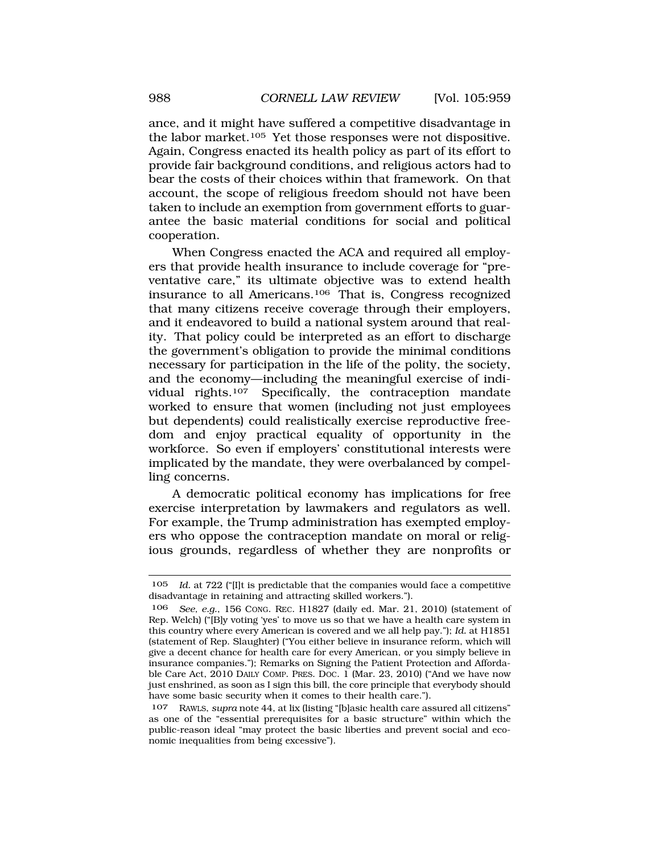ance, and it might have suffered a competitive disadvantage in the labor market.105 Yet those responses were not dispositive. Again, Congress enacted its health policy as part of its effort to provide fair background conditions, and religious actors had to bear the costs of their choices within that framework. On that account, the scope of religious freedom should not have been taken to include an exemption from government efforts to guarantee the basic material conditions for social and political cooperation.

When Congress enacted the ACA and required all employers that provide health insurance to include coverage for "preventative care," its ultimate objective was to extend health insurance to all Americans.106 That is, Congress recognized that many citizens receive coverage through their employers, and it endeavored to build a national system around that reality. That policy could be interpreted as an effort to discharge the government's obligation to provide the minimal conditions necessary for participation in the life of the polity, the society, and the economy—including the meaningful exercise of individual rights.107 Specifically, the contraception mandate worked to ensure that women (including not just employees but dependents) could realistically exercise reproductive freedom and enjoy practical equality of opportunity in the workforce. So even if employers' constitutional interests were implicated by the mandate, they were overbalanced by compelling concerns.

A democratic political economy has implications for free exercise interpretation by lawmakers and regulators as well. For example, the Trump administration has exempted employers who oppose the contraception mandate on moral or religious grounds, regardless of whether they are nonprofits or

<sup>105</sup> *Id.* at 722 ("[I]t is predictable that the companies would face a competitive disadvantage in retaining and attracting skilled workers.").

<sup>106</sup> *See, e.g.*, 156 CONG. REC. H1827 (daily ed. Mar. 21, 2010) (statement of Rep. Welch) ("[B]y voting 'yes' to move us so that we have a health care system in this country where every American is covered and we all help pay."); *Id.* at H1851 (statement of Rep. Slaughter) ("You either believe in insurance reform, which will give a decent chance for health care for every American, or you simply believe in insurance companies."); Remarks on Signing the Patient Protection and Affordable Care Act, 2010 DAILY COMP. PRES. DOC. 1 (Mar. 23, 2010) ("And we have now just enshrined, as soon as I sign this bill, the core principle that everybody should have some basic security when it comes to their health care.").

<sup>107</sup> RAWLS, *supra* note 44, at lix (listing "[b]asic health care assured all citizens" as one of the "essential prerequisites for a basic structure" within which the public-reason ideal "may protect the basic liberties and prevent social and economic inequalities from being excessive").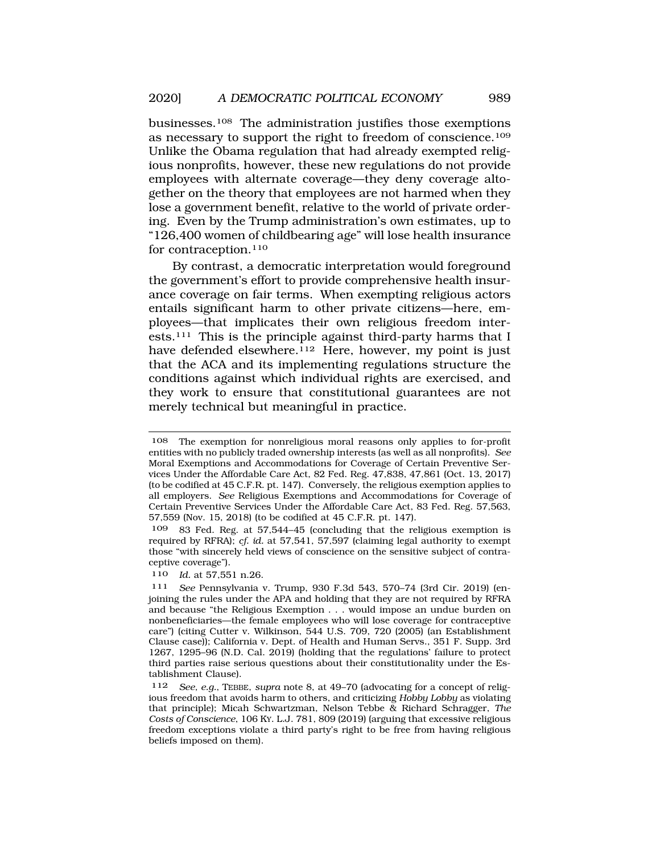businesses.108 The administration justifies those exemptions as necessary to support the right to freedom of conscience.109 Unlike the Obama regulation that had already exempted religious nonprofits, however, these new regulations do not provide employees with alternate coverage—they deny coverage altogether on the theory that employees are not harmed when they lose a government benefit, relative to the world of private ordering. Even by the Trump administration's own estimates, up to "126,400 women of childbearing age" will lose health insurance for contraception.110

By contrast, a democratic interpretation would foreground the government's effort to provide comprehensive health insurance coverage on fair terms. When exempting religious actors entails significant harm to other private citizens—here, employees—that implicates their own religious freedom interests.111 This is the principle against third-party harms that I have defended elsewhere.<sup>112</sup> Here, however, my point is just that the ACA and its implementing regulations structure the conditions against which individual rights are exercised, and they work to ensure that constitutional guarantees are not merely technical but meaningful in practice.

<sup>108</sup> The exemption for nonreligious moral reasons only applies to for-profit entities with no publicly traded ownership interests (as well as all nonprofits). *See*  Moral Exemptions and Accommodations for Coverage of Certain Preventive Services Under the Affordable Care Act, 82 Fed. Reg. 47,838, 47,861 (Oct. 13, 2017) (to be codified at 45 C.F.R. pt. 147). Conversely, the religious exemption applies to all employers. *See* Religious Exemptions and Accommodations for Coverage of Certain Preventive Services Under the Affordable Care Act, 83 Fed. Reg. 57,563, 57,559 (Nov. 15, 2018) (to be codified at 45 C.F.R. pt. 147).

<sup>109 83</sup> Fed. Reg. at 57,544–45 (concluding that the religious exemption is required by RFRA); *cf. id.* at 57,541, 57,597 (claiming legal authority to exempt those "with sincerely held views of conscience on the sensitive subject of contraceptive coverage").

<sup>110</sup> *Id.* at 57,551 n.26.

<sup>111</sup> *See* Pennsylvania v. Trump, 930 F.3d 543, 570–74 (3rd Cir. 2019) (enjoining the rules under the APA and holding that they are not required by RFRA and because "the Religious Exemption . . . would impose an undue burden on nonbeneficiaries—the female employees who will lose coverage for contraceptive care") (citing Cutter v. Wilkinson, 544 U.S. 709, 720 (2005) (an Establishment Clause case)); California v. Dept. of Health and Human Servs., 351 F. Supp. 3rd 1267, 1295–96 (N.D. Cal. 2019) (holding that the regulations' failure to protect third parties raise serious questions about their constitutionality under the Establishment Clause).

<sup>112</sup> *See, e.g.*, TEBBE, *supra* note 8, at 49–70 (advocating for a concept of religious freedom that avoids harm to others, and criticizing *Hobby Lobby* as violating that principle); Micah Schwartzman, Nelson Tebbe & Richard Schragger, *The Costs of Conscience*, 106 KY. L.J. 781, 809 (2019) (arguing that excessive religious freedom exceptions violate a third party's right to be free from having religious beliefs imposed on them).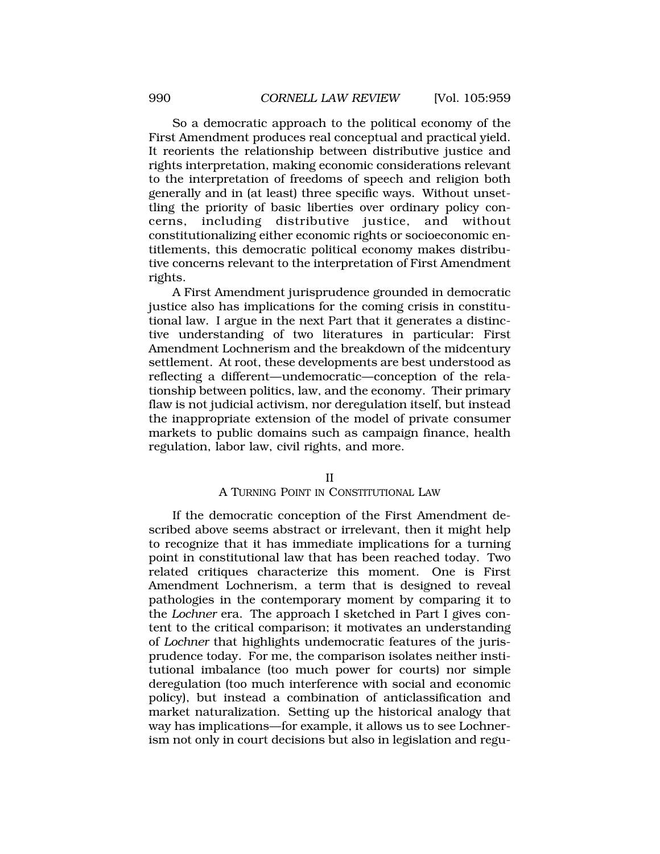So a democratic approach to the political economy of the First Amendment produces real conceptual and practical yield. It reorients the relationship between distributive justice and rights interpretation, making economic considerations relevant to the interpretation of freedoms of speech and religion both generally and in (at least) three specific ways. Without unsettling the priority of basic liberties over ordinary policy concerns, including distributive justice, and without constitutionalizing either economic rights or socioeconomic entitlements, this democratic political economy makes distributive concerns relevant to the interpretation of First Amendment rights.

A First Amendment jurisprudence grounded in democratic justice also has implications for the coming crisis in constitutional law. I argue in the next Part that it generates a distinctive understanding of two literatures in particular: First Amendment Lochnerism and the breakdown of the midcentury settlement. At root, these developments are best understood as reflecting a different—undemocratic—conception of the relationship between politics, law, and the economy. Their primary flaw is not judicial activism, nor deregulation itself, but instead the inappropriate extension of the model of private consumer markets to public domains such as campaign finance, health regulation, labor law, civil rights, and more.

#### II

## A TURNING POINT IN CONSTITUTIONAL LAW

If the democratic conception of the First Amendment described above seems abstract or irrelevant, then it might help to recognize that it has immediate implications for a turning point in constitutional law that has been reached today. Two related critiques characterize this moment. One is First Amendment Lochnerism, a term that is designed to reveal pathologies in the contemporary moment by comparing it to the *Lochner* era. The approach I sketched in Part I gives content to the critical comparison; it motivates an understanding of *Lochner* that highlights undemocratic features of the jurisprudence today. For me, the comparison isolates neither institutional imbalance (too much power for courts) nor simple deregulation (too much interference with social and economic policy), but instead a combination of anticlassification and market naturalization. Setting up the historical analogy that way has implications—for example, it allows us to see Lochnerism not only in court decisions but also in legislation and regu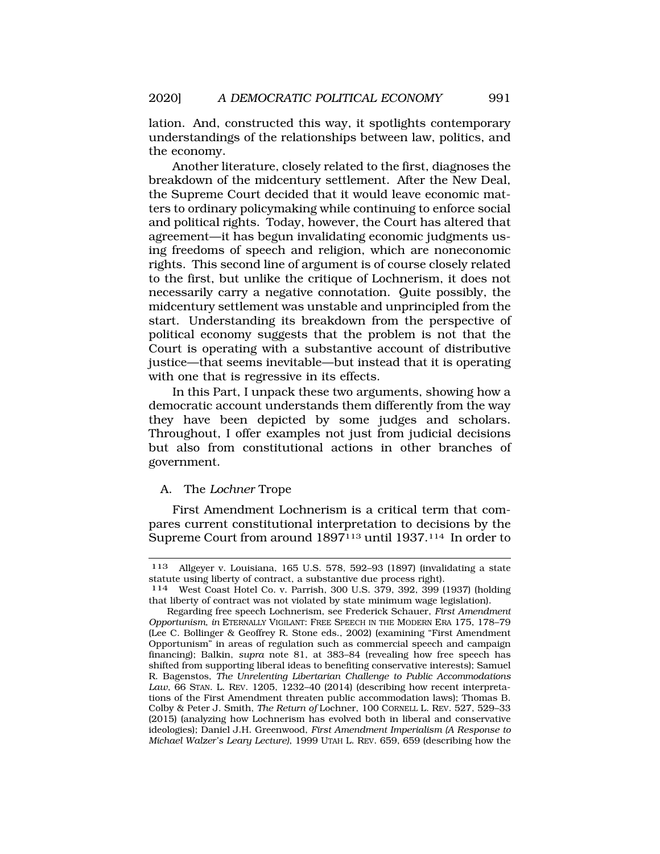lation. And, constructed this way, it spotlights contemporary understandings of the relationships between law, politics, and the economy.

Another literature, closely related to the first, diagnoses the breakdown of the midcentury settlement. After the New Deal, the Supreme Court decided that it would leave economic matters to ordinary policymaking while continuing to enforce social and political rights. Today, however, the Court has altered that agreement—it has begun invalidating economic judgments using freedoms of speech and religion, which are noneconomic rights. This second line of argument is of course closely related to the first, but unlike the critique of Lochnerism, it does not necessarily carry a negative connotation. Quite possibly, the midcentury settlement was unstable and unprincipled from the start. Understanding its breakdown from the perspective of political economy suggests that the problem is not that the Court is operating with a substantive account of distributive justice—that seems inevitable—but instead that it is operating with one that is regressive in its effects.

In this Part, I unpack these two arguments, showing how a democratic account understands them differently from the way they have been depicted by some judges and scholars. Throughout, I offer examples not just from judicial decisions but also from constitutional actions in other branches of government.

## A. The *Lochner* Trope

First Amendment Lochnerism is a critical term that compares current constitutional interpretation to decisions by the Supreme Court from around 1897<sup>113</sup> until 1937.<sup>114</sup> In order to

<sup>113</sup> Allgeyer v. Louisiana, 165 U.S. 578, 592–93 (1897) (invalidating a state statute using liberty of contract, a substantive due process right).

<sup>114</sup> West Coast Hotel Co. v. Parrish, 300 U.S. 379, 392, 399 (1937) (holding that liberty of contract was not violated by state minimum wage legislation).

Regarding free speech Lochnerism, see Frederick Schauer, *First Amendment Opportunism*, *in* ETERNALLY VIGILANT: FREE SPEECH IN THE MODERN ERA 175, 178–79 (Lee C. Bollinger & Geoffrey R. Stone eds., 2002) (examining "First Amendment Opportunism" in areas of regulation such as commercial speech and campaign financing); Balkin, *supra* note 81, at 383–84 (revealing how free speech has shifted from supporting liberal ideas to benefiting conservative interests); Samuel R. Bagenstos, *The Unrelenting Libertarian Challenge to Public Accommodations Law*, 66 STAN. L. REV. 1205, 1232–40 (2014) (describing how recent interpretations of the First Amendment threaten public accommodation laws); Thomas B. Colby & Peter J. Smith, *The Return of* Lochner, 100 CORNELL L. REV. 527, 529–33 (2015) (analyzing how Lochnerism has evolved both in liberal and conservative ideologies); Daniel J.H. Greenwood, *First Amendment Imperialism (A Response to Michael Walzer's Leary Lecture)*, 1999 UTAH L. REV. 659, 659 (describing how the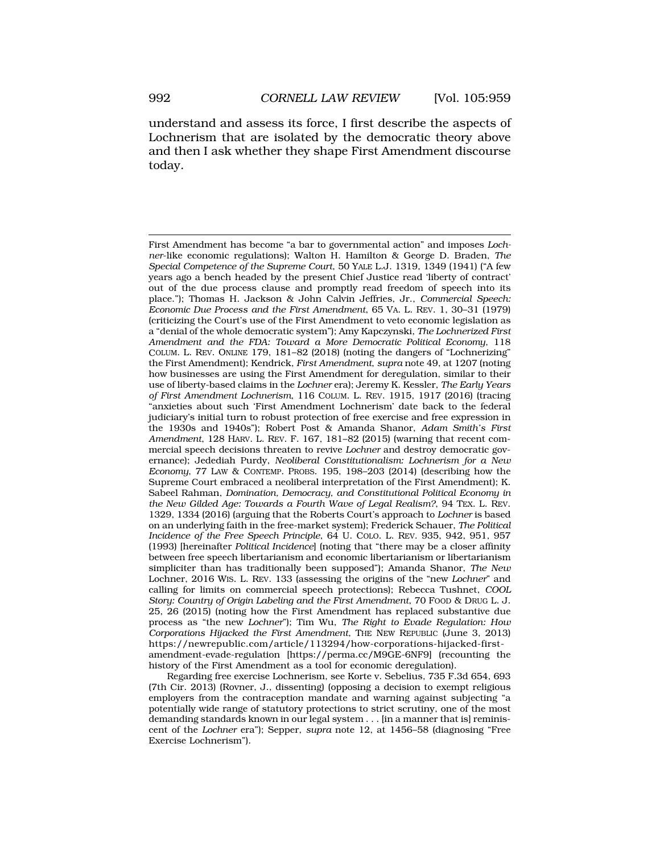understand and assess its force, I first describe the aspects of Lochnerism that are isolated by the democratic theory above and then I ask whether they shape First Amendment discourse today.

First Amendment has become "a bar to governmental action" and imposes *Lochner*-like economic regulations); Walton H. Hamilton & George D. Braden, *The Special Competence of the Supreme Court*, 50 YALE L.J. 1319, 1349 (1941) ("A few years ago a bench headed by the present Chief Justice read 'liberty of contract' out of the due process clause and promptly read freedom of speech into its place."); Thomas H. Jackson & John Calvin Jeffries, Jr., *Commercial Speech: Economic Due Process and the First Amendment*, 65 VA. L. REV. 1, 30–31 (1979) (criticizing the Court's use of the First Amendment to veto economic legislation as a "denial of the whole democratic system"); Amy Kapczynski, *The Lochnerized First Amendment and the FDA: Toward a More Democratic Political Economy*, 118 COLUM. L. REV. ONLINE 179, 181–82 (2018) (noting the dangers of "Lochnerizing" the First Amendment); Kendrick, *First Amendment*, *supra* note 49, at 1207 (noting how businesses are using the First Amendment for deregulation, similar to their use of liberty-based claims in the *Lochner* era); Jeremy K. Kessler, *The Early Years of First Amendment Lochnerism*, 116 COLUM. L. REV. 1915, 1917 (2016) (tracing "anxieties about such 'First Amendment Lochnerism' date back to the federal judiciary's initial turn to robust protection of free exercise and free expression in the 1930s and 1940s"); Robert Post & Amanda Shanor, *Adam Smith's First Amendment*, 128 HARV. L. REV. F. 167, 181–82 (2015) (warning that recent commercial speech decisions threaten to revive *Lochner* and destroy democratic governance); Jedediah Purdy, *Neoliberal Constitutionalism: Lochnerism for a New Economy*, 77 LAW & CONTEMP. PROBS. 195, 198–203 (2014) (describing how the Supreme Court embraced a neoliberal interpretation of the First Amendment); K. Sabeel Rahman, *Domination, Democracy, and Constitutional Political Economy in the New Gilded Age: Towards a Fourth Wave of Legal Realism?*, 94 TEX. L. REV. 1329, 1334 (2016) (arguing that the Roberts Court's approach to *Lochner* is based on an underlying faith in the free-market system); Frederick Schauer, *The Political Incidence of the Free Speech Principle*, 64 U. COLO. L. REV. 935, 942, 951, 957 (1993) [hereinafter *Political Incidence*] (noting that "there may be a closer affinity between free speech libertarianism and economic libertarianism or libertarianism simpliciter than has traditionally been supposed"); Amanda Shanor, *The New*  Lochner, 2016 WIS. L. REV. 133 (assessing the origins of the "new *Lochner*" and calling for limits on commercial speech protections); Rebecca Tushnet, *COOL Story: Country of Origin Labeling and the First Amendment*, 70 FOOD & DRUG L. J. 25, 26 (2015) (noting how the First Amendment has replaced substantive due process as "the new *Lochner*"); Tim Wu, *The Right to Evade Regulation: How Corporations Hijacked the First Amendment*, THE NEW REPUBLIC (June 3, 2013) <https://newrepublic.com/article/113294/how-corporations-hijacked-first>amendment-evade-regulation [<https://perma.cc/M9GE-6NF9>] (recounting the history of the First Amendment as a tool for economic deregulation).

Regarding free exercise Lochnerism, see Korte v. Sebelius, 735 F.3d 654, 693 (7th Cir. 2013) (Rovner, J., dissenting) (opposing a decision to exempt religious employers from the contraception mandate and warning against subjecting "a potentially wide range of statutory protections to strict scrutiny, one of the most demanding standards known in our legal system . . . [in a manner that is] reminiscent of the *Lochner* era"); Sepper, *supra* note 12, at 1456–58 (diagnosing "Free Exercise Lochnerism").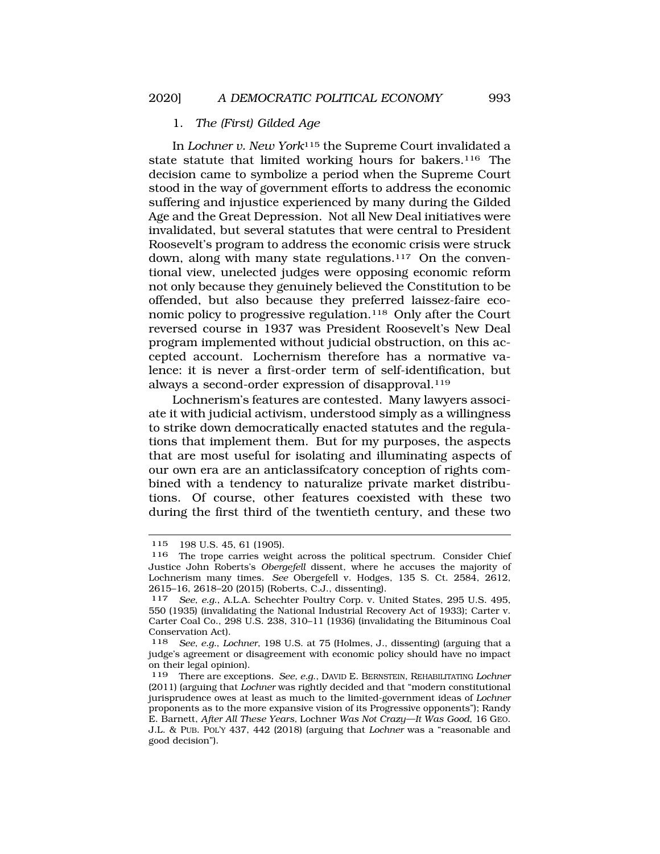#### 1. *The (First) Gilded Age*

In *Lochner v. New York*115 the Supreme Court invalidated a state statute that limited working hours for bakers.<sup>116</sup> The decision came to symbolize a period when the Supreme Court stood in the way of government efforts to address the economic suffering and injustice experienced by many during the Gilded Age and the Great Depression. Not all New Deal initiatives were invalidated, but several statutes that were central to President Roosevelt's program to address the economic crisis were struck down, along with many state regulations.<sup>117</sup> On the conventional view, unelected judges were opposing economic reform not only because they genuinely believed the Constitution to be offended, but also because they preferred laissez-faire economic policy to progressive regulation.118 Only after the Court reversed course in 1937 was President Roosevelt's New Deal program implemented without judicial obstruction, on this accepted account. Lochernism therefore has a normative valence: it is never a first-order term of self-identification, but always a second-order expression of disapproval.<sup>119</sup>

Lochnerism's features are contested. Many lawyers associate it with judicial activism, understood simply as a willingness to strike down democratically enacted statutes and the regulations that implement them. But for my purposes, the aspects that are most useful for isolating and illuminating aspects of our own era are an anticlassifcatory conception of rights combined with a tendency to naturalize private market distributions. Of course, other features coexisted with these two during the first third of the twentieth century, and these two

<sup>115 198</sup> U.S. 45, 61 (1905).<br>116 The trope carries weight

The trope carries weight across the political spectrum. Consider Chief Justice John Roberts's *Obergefell* dissent, where he accuses the majority of Lochnerism many times. *See* Obergefell v. Hodges, 135 S. Ct. 2584, 2612, 2615–16, 2618–20 (2015) (Roberts, C.J., dissenting).

<sup>117</sup> *See, e.g*., A.L.A. Schechter Poultry Corp. v. United States, 295 U.S. 495, 550 (1935) (invalidating the National Industrial Recovery Act of 1933); Carter v. Carter Coal Co., 298 U.S. 238, 310–11 (1936) (invalidating the Bituminous Coal Conservation Act).

<sup>118</sup> *See, e.g.*, *Lochner*, 198 U.S. at 75 (Holmes, J., dissenting) (arguing that a judge's agreement or disagreement with economic policy should have no impact on their legal opinion).

<sup>119</sup> There are exceptions. *See, e.g*., DAVID E. BERNSTEIN, REHABILITATING *Lochner*  (2011) (arguing that *Lochner* was rightly decided and that "modern constitutional jurisprudence owes at least as much to the limited-government ideas of *Lochner*  proponents as to the more expansive vision of its Progressive opponents"); Randy E. Barnett, *After All These Years,* Lochner *Was Not Crazy—It Was Good*, 16 GEO. J.L. & PUB. POL'Y 437, 442 (2018) (arguing that *Lochner* was a "reasonable and good decision").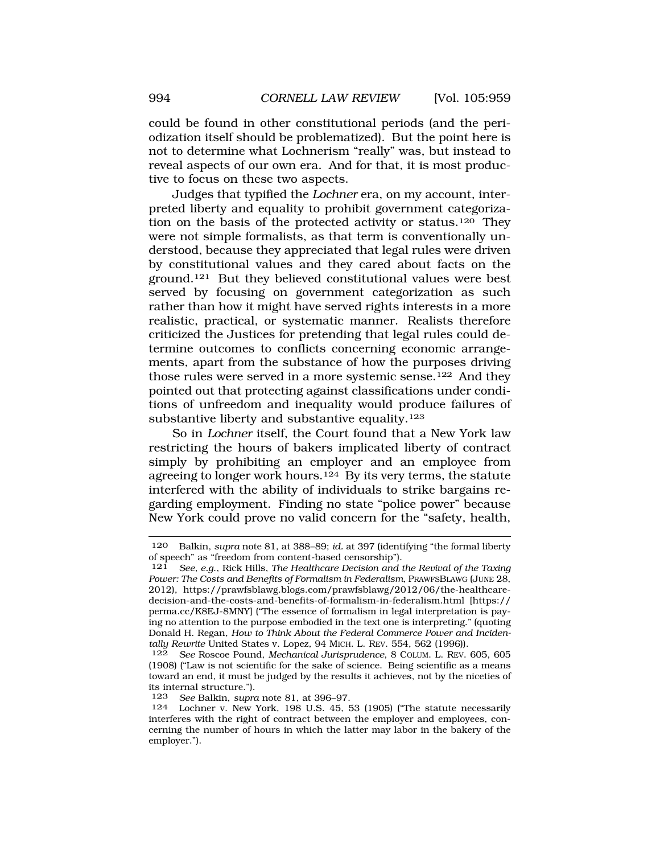could be found in other constitutional periods (and the periodization itself should be problematized). But the point here is not to determine what Lochnerism "really" was, but instead to reveal aspects of our own era. And for that, it is most productive to focus on these two aspects.

Judges that typified the *Lochner* era, on my account, interpreted liberty and equality to prohibit government categorization on the basis of the protected activity or status.120 They were not simple formalists, as that term is conventionally understood, because they appreciated that legal rules were driven by constitutional values and they cared about facts on the ground.121 But they believed constitutional values were best served by focusing on government categorization as such rather than how it might have served rights interests in a more realistic, practical, or systematic manner. Realists therefore criticized the Justices for pretending that legal rules could determine outcomes to conflicts concerning economic arrangements, apart from the substance of how the purposes driving those rules were served in a more systemic sense.<sup>122</sup> And they pointed out that protecting against classifications under conditions of unfreedom and inequality would produce failures of substantive liberty and substantive equality.<sup>123</sup>

So in *Lochner* itself, the Court found that a New York law restricting the hours of bakers implicated liberty of contract simply by prohibiting an employer and an employee from agreeing to longer work hours.124 By its very terms, the statute interfered with the ability of individuals to strike bargains regarding employment. Finding no state "police power" because New York could prove no valid concern for the "safety, health,

<sup>120</sup> Balkin, *supra* note 81, at 388–89; *id.* at 397 (identifying "the formal liberty of speech" as "freedom from content-based censorship").

<sup>121</sup> *See, e.g*., Rick Hills, *The Healthcare Decision and the Revival of the Taxing Power: The Costs and Benefits of Formalism in Federalism*, PRAWFSBLAWG (JUNE 28, 2012), <https://prawfsblawg.blogs.com/prawfsblawg/2012/06/the-healthcare>decision-and-the-costs-and-benefits-of-formalism-in-federalism.html [https:// perma.cc/K8EJ-8MNY] ("The essence of formalism in legal interpretation is paying no attention to the purpose embodied in the text one is interpreting." (quoting Donald H. Regan, *How to Think About the Federal Commerce Power and Incidentally Rewrite* United States v. Lopez, 94 MICH. L. REV. 554, 562 (1996)).

<sup>122</sup> *See* Roscoe Pound, *Mechanical Jurisprudence*, 8 COLUM. L. REV. 605, 605 (1908) ("Law is not scientific for the sake of science. Being scientific as a means toward an end, it must be judged by the results it achieves, not by the niceties of its internal structure.")*.* 123 *See* Balkin, *supra* note 81, at 396–97.

Lochner v. New York, 198 U.S. 45, 53 (1905) ("The statute necessarily interferes with the right of contract between the employer and employees, concerning the number of hours in which the latter may labor in the bakery of the employer.").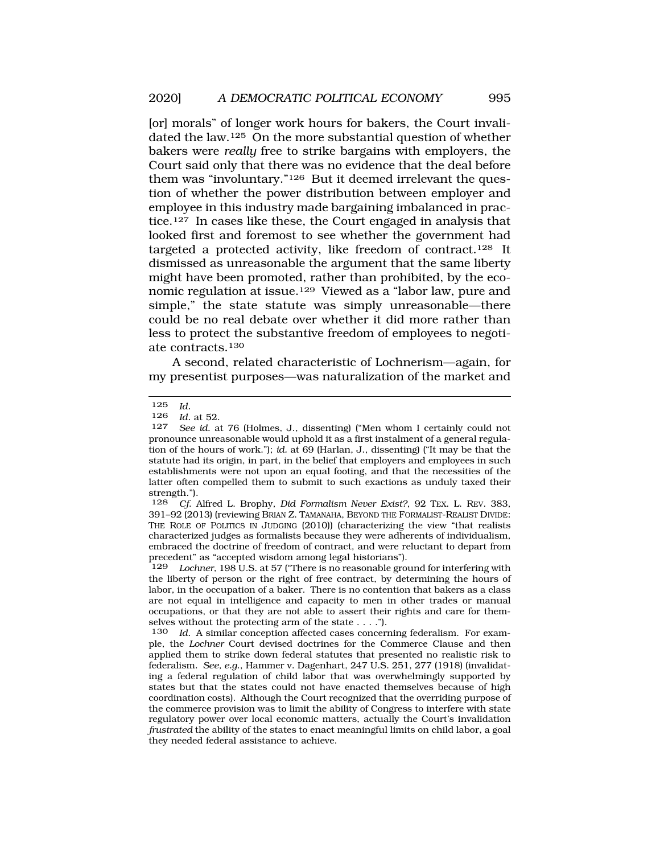[or] morals" of longer work hours for bakers, the Court invalidated the law.125 On the more substantial question of whether bakers were *really* free to strike bargains with employers, the Court said only that there was no evidence that the deal before them was "involuntary."126 But it deemed irrelevant the question of whether the power distribution between employer and employee in this industry made bargaining imbalanced in practice.127 In cases like these, the Court engaged in analysis that looked first and foremost to see whether the government had targeted a protected activity, like freedom of contract.128 It dismissed as unreasonable the argument that the same liberty might have been promoted, rather than prohibited, by the economic regulation at issue.129 Viewed as a "labor law, pure and simple," the state statute was simply unreasonable—there could be no real debate over whether it did more rather than less to protect the substantive freedom of employees to negotiate contracts.130

A second, related characteristic of Lochnerism—again, for my presentist purposes—was naturalization of the market and

<sup>125</sup> *Id.* 

<sup>126</sup> *Id.* at 52.

See id. at 76 (Holmes, J., dissenting) ("Men whom I certainly could not pronounce unreasonable would uphold it as a first instalment of a general regulation of the hours of work."); *id.* at 69 (Harlan, J., dissenting) ("It may be that the statute had its origin, in part, in the belief that employers and employees in such establishments were not upon an equal footing, and that the necessities of the latter often compelled them to submit to such exactions as unduly taxed their strength.").

<sup>128</sup> *Cf*. Alfred L. Brophy, *Did Formalism Never Exist?*, 92 TEX. L. REV. 383, 391–92 (2013) (reviewing BRIAN Z. TAMANAHA, BEYOND THE FORMALIST-REALIST DIVIDE: THE ROLE OF POLITICS IN JUDGING (2010)) (characterizing the view "that realists characterized judges as formalists because they were adherents of individualism, embraced the doctrine of freedom of contract, and were reluctant to depart from precedent" as "accepted wisdom among legal historians").<br>129 Lochner, 198 U.S. at 57 ("There is no reasonable gro

Lochner, 198 U.S. at 57 ("There is no reasonable ground for interfering with the liberty of person or the right of free contract, by determining the hours of labor, in the occupation of a baker. There is no contention that bakers as a class are not equal in intelligence and capacity to men in other trades or manual occupations, or that they are not able to assert their rights and care for themselves without the protecting arm of the state . . . .").

<sup>130</sup> *Id.* A similar conception affected cases concerning federalism. For example, the *Lochner* Court devised doctrines for the Commerce Clause and then applied them to strike down federal statutes that presented no realistic risk to federalism. *See, e.g*., Hammer v. Dagenhart, 247 U.S. 251, 277 (1918) (invalidating a federal regulation of child labor that was overwhelmingly supported by states but that the states could not have enacted themselves because of high coordination costs). Although the Court recognized that the overriding purpose of the commerce provision was to limit the ability of Congress to interfere with state regulatory power over local economic matters, actually the Court's invalidation *frustrated* the ability of the states to enact meaningful limits on child labor, a goal they needed federal assistance to achieve.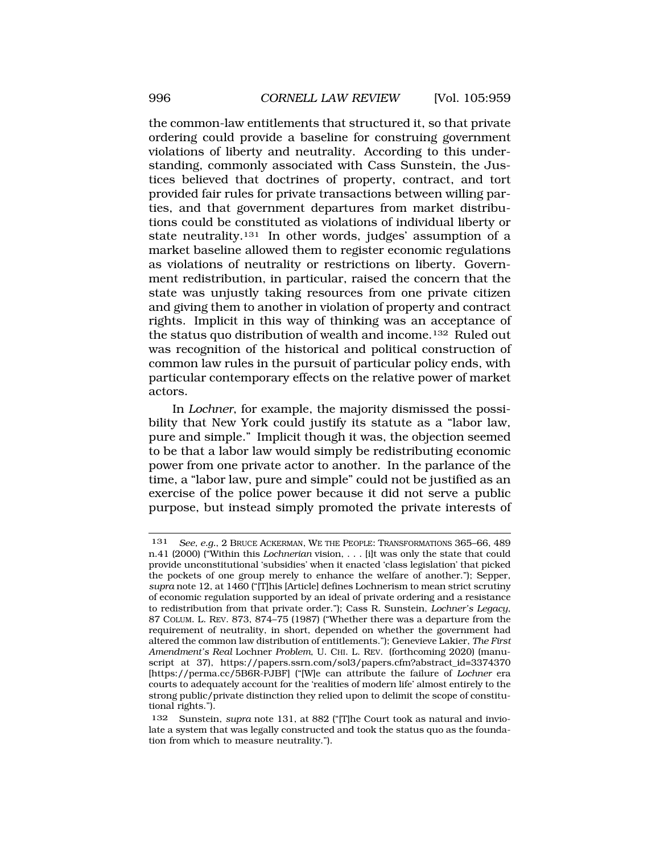the common-law entitlements that structured it, so that private ordering could provide a baseline for construing government violations of liberty and neutrality. According to this understanding, commonly associated with Cass Sunstein, the Justices believed that doctrines of property, contract, and tort provided fair rules for private transactions between willing parties, and that government departures from market distributions could be constituted as violations of individual liberty or state neutrality.131 In other words, judges' assumption of a market baseline allowed them to register economic regulations as violations of neutrality or restrictions on liberty. Government redistribution, in particular, raised the concern that the state was unjustly taking resources from one private citizen and giving them to another in violation of property and contract rights. Implicit in this way of thinking was an acceptance of the status quo distribution of wealth and income.132 Ruled out was recognition of the historical and political construction of common law rules in the pursuit of particular policy ends, with particular contemporary effects on the relative power of market actors.

In *Lochner*, for example, the majority dismissed the possibility that New York could justify its statute as a "labor law, pure and simple." Implicit though it was, the objection seemed to be that a labor law would simply be redistributing economic power from one private actor to another. In the parlance of the time, a "labor law, pure and simple" could not be justified as an exercise of the police power because it did not serve a public purpose, but instead simply promoted the private interests of

<sup>131</sup> *See, e.g.*, 2 BRUCE ACKERMAN, WE THE PEOPLE: TRANSFORMATIONS 365–66, 489 n.41 (2000) ("Within this *Lochnerian* vision, . . . [i]t was only the state that could provide unconstitutional 'subsidies' when it enacted 'class legislation' that picked the pockets of one group merely to enhance the welfare of another."); Sepper, *supra* note 12, at 1460 ("[T]his [Article] defines Lochnerism to mean strict scrutiny of economic regulation supported by an ideal of private ordering and a resistance to redistribution from that private order."); Cass R. Sunstein, *Lochner's Legacy*, 87 COLUM. L. REV. 873, 874–75 (1987) ("Whether there was a departure from the requirement of neutrality, in short, depended on whether the government had altered the common law distribution of entitlements."); Genevieve Lakier, *The First Amendment's Real* Lochner *Problem*, U. CHI. L. REV. (forthcoming 2020) (manuscript at 37), [https://papers.ssrn.com/sol3/papers.cfm?abstract\\_id=3374370](https://papers.ssrn.com/sol3/papers.cfm?abstract_id=3374370) [[https://perma.cc/5B6R-PJBF\]](https://perma.cc/5B6R-PJBF) ("[W]e can attribute the failure of *Lochner* era courts to adequately account for the 'realities of modern life' almost entirely to the strong public/private distinction they relied upon to delimit the scope of constitutional rights.").

<sup>132</sup> Sunstein, *supra* note 131, at 882 ("[T]he Court took as natural and inviolate a system that was legally constructed and took the status quo as the foundation from which to measure neutrality.").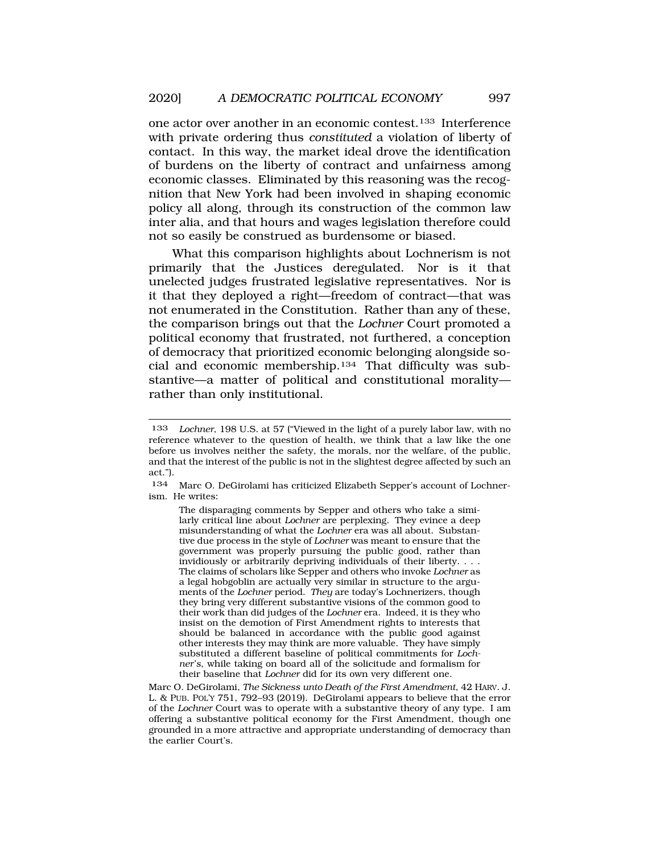one actor over another in an economic contest.133 Interference with private ordering thus *constituted* a violation of liberty of contact. In this way, the market ideal drove the identification of burdens on the liberty of contract and unfairness among economic classes. Eliminated by this reasoning was the recognition that New York had been involved in shaping economic policy all along, through its construction of the common law inter alia, and that hours and wages legislation therefore could not so easily be construed as burdensome or biased.

What this comparison highlights about Lochnerism is not primarily that the Justices deregulated. Nor is it that unelected judges frustrated legislative representatives. Nor is it that they deployed a right—freedom of contract—that was not enumerated in the Constitution. Rather than any of these, the comparison brings out that the *Lochner* Court promoted a political economy that frustrated, not furthered, a conception of democracy that prioritized economic belonging alongside social and economic membership.134 That difficulty was substantive—a matter of political and constitutional morality rather than only institutional.

<sup>133</sup> *Lochner*, 198 U.S. at 57 ("Viewed in the light of a purely labor law, with no reference whatever to the question of health, we think that a law like the one before us involves neither the safety, the morals, nor the welfare, of the public, and that the interest of the public is not in the slightest degree affected by such an act.").

<sup>134</sup> Marc O. DeGirolami has criticized Elizabeth Sepper's account of Lochnerism. He writes:

The disparaging comments by Sepper and others who take a similarly critical line about *Lochner* are perplexing. They evince a deep misunderstanding of what the *Lochner* era was all about. Substantive due process in the style of *Lochner* was meant to ensure that the government was properly pursuing the public good, rather than invidiously or arbitrarily depriving individuals of their liberty. . . . The claims of scholars like Sepper and others who invoke *Lochner* as a legal hobgoblin are actually very similar in structure to the arguments of the *Lochner* period. *They* are today's Lochnerizers, though they bring very different substantive visions of the common good to their work than did judges of the *Lochner* era. Indeed, it is they who insist on the demotion of First Amendment rights to interests that should be balanced in accordance with the public good against other interests they may think are more valuable. They have simply substituted a different baseline of political commitments for *Lochner's*, while taking on board all of the solicitude and formalism for their baseline that *Lochner* did for its own very different one.

Marc O. DeGirolami, *The Sickness unto Death of the First Amendment*, 42 HARV. J. L. & PUB. POL'Y 751, 792–93 (2019). DeGirolami appears to believe that the error of the *Lochner* Court was to operate with a substantive theory of any type. I am offering a substantive political economy for the First Amendment, though one grounded in a more attractive and appropriate understanding of democracy than the earlier Court's.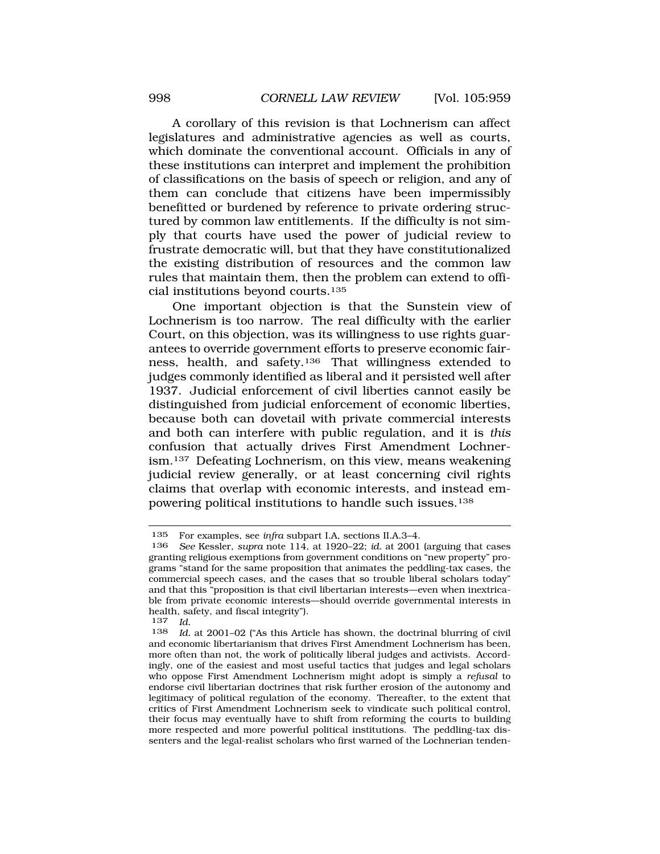A corollary of this revision is that Lochnerism can affect legislatures and administrative agencies as well as courts, which dominate the conventional account. Officials in any of these institutions can interpret and implement the prohibition of classifications on the basis of speech or religion, and any of them can conclude that citizens have been impermissibly benefitted or burdened by reference to private ordering structured by common law entitlements. If the difficulty is not simply that courts have used the power of judicial review to frustrate democratic will, but that they have constitutionalized the existing distribution of resources and the common law rules that maintain them, then the problem can extend to official institutions beyond courts.135

One important objection is that the Sunstein view of Lochnerism is too narrow. The real difficulty with the earlier Court, on this objection, was its willingness to use rights guarantees to override government efforts to preserve economic fairness, health, and safety.136 That willingness extended to judges commonly identified as liberal and it persisted well after 1937. Judicial enforcement of civil liberties cannot easily be distinguished from judicial enforcement of economic liberties, because both can dovetail with private commercial interests and both can interfere with public regulation, and it is *this*  confusion that actually drives First Amendment Lochnerism.137 Defeating Lochnerism, on this view, means weakening judicial review generally, or at least concerning civil rights claims that overlap with economic interests, and instead empowering political institutions to handle such issues.138

<sup>135</sup> For examples, see *infra* subpart I.A, sections II.A.3–4.<br>136 See Kessler, supprintie 114, at 1990–22; id. at 2001

<sup>136</sup> *See* Kessler, *supra* note 114, at 1920–22; *id.* at 2001 (arguing that cases granting religious exemptions from government conditions on "new property" programs "stand for the same proposition that animates the peddling-tax cases, the commercial speech cases, and the cases that so trouble liberal scholars today" and that this "proposition is that civil libertarian interests—even when inextricable from private economic interests—should override governmental interests in health, safety, and fiscal integrity").

<sup>137</sup> *Id.* 

<sup>138</sup> *Id.* at 2001–02 ("As this Article has shown, the doctrinal blurring of civil and economic libertarianism that drives First Amendment Lochnerism has been, more often than not, the work of politically liberal judges and activists. Accordingly, one of the easiest and most useful tactics that judges and legal scholars who oppose First Amendment Lochnerism might adopt is simply a *refusal* to endorse civil libertarian doctrines that risk further erosion of the autonomy and legitimacy of political regulation of the economy. Thereafter, to the extent that critics of First Amendment Lochnerism seek to vindicate such political control, their focus may eventually have to shift from reforming the courts to building more respected and more powerful political institutions. The peddling-tax dissenters and the legal-realist scholars who first warned of the Lochnerian tenden-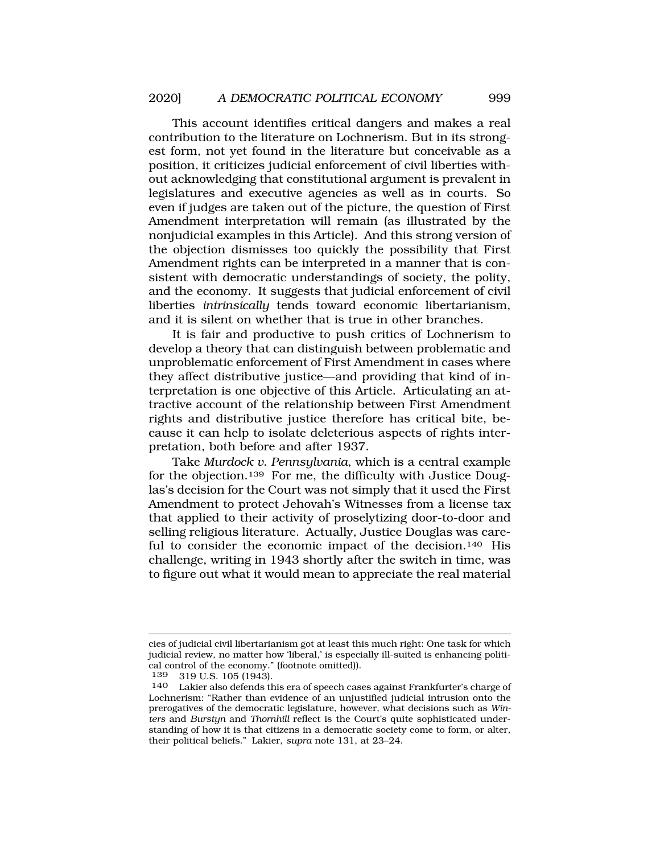This account identifies critical dangers and makes a real contribution to the literature on Lochnerism. But in its strongest form, not yet found in the literature but conceivable as a position, it criticizes judicial enforcement of civil liberties without acknowledging that constitutional argument is prevalent in legislatures and executive agencies as well as in courts. So even if judges are taken out of the picture, the question of First Amendment interpretation will remain (as illustrated by the nonjudicial examples in this Article). And this strong version of the objection dismisses too quickly the possibility that First Amendment rights can be interpreted in a manner that is consistent with democratic understandings of society, the polity, and the economy. It suggests that judicial enforcement of civil liberties *intrinsically* tends toward economic libertarianism, and it is silent on whether that is true in other branches.

It is fair and productive to push critics of Lochnerism to develop a theory that can distinguish between problematic and unproblematic enforcement of First Amendment in cases where they affect distributive justice—and providing that kind of interpretation is one objective of this Article. Articulating an attractive account of the relationship between First Amendment rights and distributive justice therefore has critical bite, because it can help to isolate deleterious aspects of rights interpretation, both before and after 1937.

Take *Murdock v. Pennsylvania*, which is a central example for the objection.139 For me, the difficulty with Justice Douglas's decision for the Court was not simply that it used the First Amendment to protect Jehovah's Witnesses from a license tax that applied to their activity of proselytizing door-to-door and selling religious literature. Actually, Justice Douglas was careful to consider the economic impact of the decision.140 His challenge, writing in 1943 shortly after the switch in time, was to figure out what it would mean to appreciate the real material

cies of judicial civil libertarianism got at least this much right: One task for which judicial review, no matter how 'liberal,' is especially ill-suited is enhancing political control of the economy." (footnote omitted)).<br> $139 - 319$  II S  $105$  (1943)

<sup>139 319</sup> U.S. 105 (1943).<br>140 Lakier also defends th

Lakier also defends this era of speech cases against Frankfurter's charge of Lochnerism: "Rather than evidence of an unjustified judicial intrusion onto the prerogatives of the democratic legislature, however, what decisions such as *Winters* and *Burstyn* and *Thornhill* reflect is the Court's quite sophisticated understanding of how it is that citizens in a democratic society come to form, or alter, their political beliefs." Lakier, *supra* note 131, at 23–24.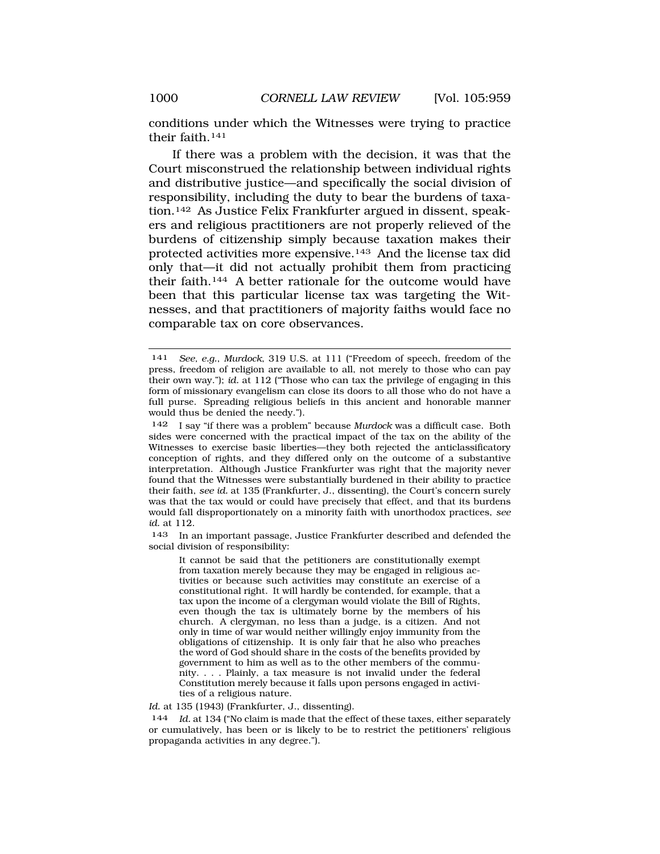conditions under which the Witnesses were trying to practice their faith.141

If there was a problem with the decision, it was that the Court misconstrued the relationship between individual rights and distributive justice—and specifically the social division of responsibility, including the duty to bear the burdens of taxation.142 As Justice Felix Frankfurter argued in dissent, speakers and religious practitioners are not properly relieved of the burdens of citizenship simply because taxation makes their protected activities more expensive.143 And the license tax did only that—it did not actually prohibit them from practicing their faith.144 A better rationale for the outcome would have been that this particular license tax was targeting the Witnesses, and that practitioners of majority faiths would face no comparable tax on core observances.

143 In an important passage, Justice Frankfurter described and defended the social division of responsibility:

It cannot be said that the petitioners are constitutionally exempt from taxation merely because they may be engaged in religious activities or because such activities may constitute an exercise of a constitutional right. It will hardly be contended, for example, that a tax upon the income of a clergyman would violate the Bill of Rights, even though the tax is ultimately borne by the members of his church. A clergyman, no less than a judge, is a citizen. And not only in time of war would neither willingly enjoy immunity from the obligations of citizenship. It is only fair that he also who preaches the word of God should share in the costs of the benefits provided by government to him as well as to the other members of the community. . . . Plainly, a tax measure is not invalid under the federal Constitution merely because it falls upon persons engaged in activities of a religious nature.

*Id.* at 135 (1943) (Frankfurter, J., dissenting).

144 *Id.* at 134 ("No claim is made that the effect of these taxes, either separately or cumulatively, has been or is likely to be to restrict the petitioners' religious propaganda activities in any degree.").

<sup>141</sup> *See, e.g.*, *Murdock*, 319 U.S. at 111 ("Freedom of speech, freedom of the press, freedom of religion are available to all, not merely to those who can pay their own way."); *id.* at 112 ("Those who can tax the privilege of engaging in this form of missionary evangelism can close its doors to all those who do not have a full purse. Spreading religious beliefs in this ancient and honorable manner would thus be denied the needy.").

<sup>142</sup> I say "if there was a problem" because *Murdock* was a difficult case. Both sides were concerned with the practical impact of the tax on the ability of the Witnesses to exercise basic liberties—they both rejected the anticlassificatory conception of rights, and they differed only on the outcome of a substantive interpretation. Although Justice Frankfurter was right that the majority never found that the Witnesses were substantially burdened in their ability to practice their faith, *see id.* at 135 (Frankfurter, J., dissenting), the Court's concern surely was that the tax would or could have precisely that effect, and that its burdens would fall disproportionately on a minority faith with unorthodox practices, *see id.* at 112.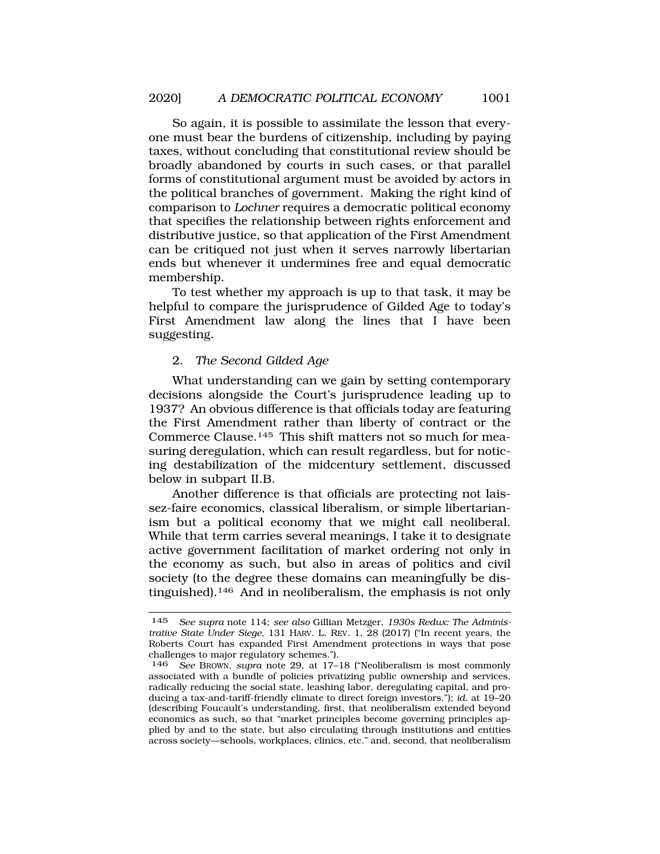So again, it is possible to assimilate the lesson that everyone must bear the burdens of citizenship, including by paying taxes, without concluding that constitutional review should be broadly abandoned by courts in such cases, or that parallel forms of constitutional argument must be avoided by actors in the political branches of government. Making the right kind of comparison to *Lochner* requires a democratic political economy that specifies the relationship between rights enforcement and distributive justice, so that application of the First Amendment can be critiqued not just when it serves narrowly libertarian ends but whenever it undermines free and equal democratic membership.

To test whether my approach is up to that task, it may be helpful to compare the jurisprudence of Gilded Age to today's First Amendment law along the lines that I have been suggesting.

## 2. *The Second Gilded Age*

What understanding can we gain by setting contemporary decisions alongside the Court's jurisprudence leading up to 1937? An obvious difference is that officials today are featuring the First Amendment rather than liberty of contract or the Commerce Clause.145 This shift matters not so much for measuring deregulation, which can result regardless, but for noticing destabilization of the midcentury settlement, discussed below in subpart II.B.

Another difference is that officials are protecting not laissez-faire economics, classical liberalism, or simple libertarianism but a political economy that we might call neoliberal. While that term carries several meanings, I take it to designate active government facilitation of market ordering not only in the economy as such, but also in areas of politics and civil society (to the degree these domains can meaningfully be distinguished).146 And in neoliberalism, the emphasis is not only

<sup>145</sup> *See supra* note 114; *see also* Gillian Metzger, *1930s Redux: The Administrative State Under Siege*, 131 HARV. L. REV. 1, 28 (2017) ("In recent years, the Roberts Court has expanded First Amendment protections in ways that pose challenges to major regulatory schemes.").<br>146 See BROWN, supra note 29, at 17-

See BROWN, *supra* note 29, at 17-18 ("Neoliberalism is most commonly associated with a bundle of policies privatizing public ownership and services, radically reducing the social state, leashing labor, deregulating capital, and producing a tax-and-tariff-friendly climate to direct foreign investors."); *id*. at 19–20 (describing Foucault's understanding, first, that neoliberalism extended beyond economics as such, so that "market principles become governing principles applied by and to the state, but also circulating through institutions and entities across society—schools, workplaces, clinics, etc." and, second, that neoliberalism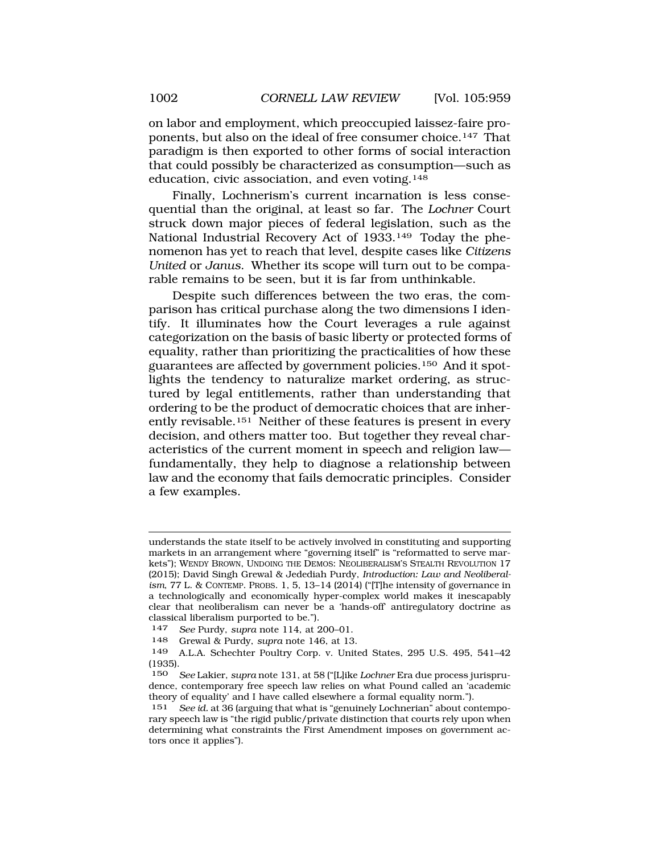on labor and employment, which preoccupied laissez-faire proponents, but also on the ideal of free consumer choice.147 That paradigm is then exported to other forms of social interaction that could possibly be characterized as consumption—such as education, civic association, and even voting.<sup>148</sup>

Finally, Lochnerism's current incarnation is less consequential than the original, at least so far. The *Lochner* Court struck down major pieces of federal legislation, such as the National Industrial Recovery Act of 1933.149 Today the phenomenon has yet to reach that level, despite cases like *Citizens United* or *Janus*. Whether its scope will turn out to be comparable remains to be seen, but it is far from unthinkable.

Despite such differences between the two eras, the comparison has critical purchase along the two dimensions I identify. It illuminates how the Court leverages a rule against categorization on the basis of basic liberty or protected forms of equality, rather than prioritizing the practicalities of how these guarantees are affected by government policies.150 And it spotlights the tendency to naturalize market ordering, as structured by legal entitlements, rather than understanding that ordering to be the product of democratic choices that are inherently revisable.151 Neither of these features is present in every decision, and others matter too. But together they reveal characteristics of the current moment in speech and religion law fundamentally, they help to diagnose a relationship between law and the economy that fails democratic principles. Consider a few examples.

understands the state itself to be actively involved in constituting and supporting markets in an arrangement where "governing itself" is "reformatted to serve markets"); WENDY BROWN, UNDOING THE DEMOS: NEOLIBERALISM'S STEALTH REVOLUTION 17 (2015); David Singh Grewal & Jedediah Purdy, *Introduction: Law and Neoliberalism*, 77 L. & CONTEMP. PROBS. 1, 5, 13–14 (2014) ("[T]he intensity of governance in a technologically and economically hyper-complex world makes it inescapably clear that neoliberalism can never be a 'hands-off' antiregulatory doctrine as classical liberalism purported to be.").

<sup>147</sup> *See* Purdy, *supra* note 114, at 200–01.

<sup>148</sup> Grewal & Purdy, *supra* note 146, at 13.

<sup>149</sup> A.L.A. Schechter Poultry Corp. v. United States, 295 U.S. 495, 541–42 (1935).

<sup>150</sup> *See* Lakier, *supra* note 131, at 58 ("[L]ike *Lochner* Era due process jurisprudence, contemporary free speech law relies on what Pound called an 'academic theory of equality' and I have called elsewhere a formal equality norm.").

<sup>151</sup> *See id.* at 36 (arguing that what is "genuinely Lochnerian" about contemporary speech law is "the rigid public/private distinction that courts rely upon when determining what constraints the First Amendment imposes on government actors once it applies").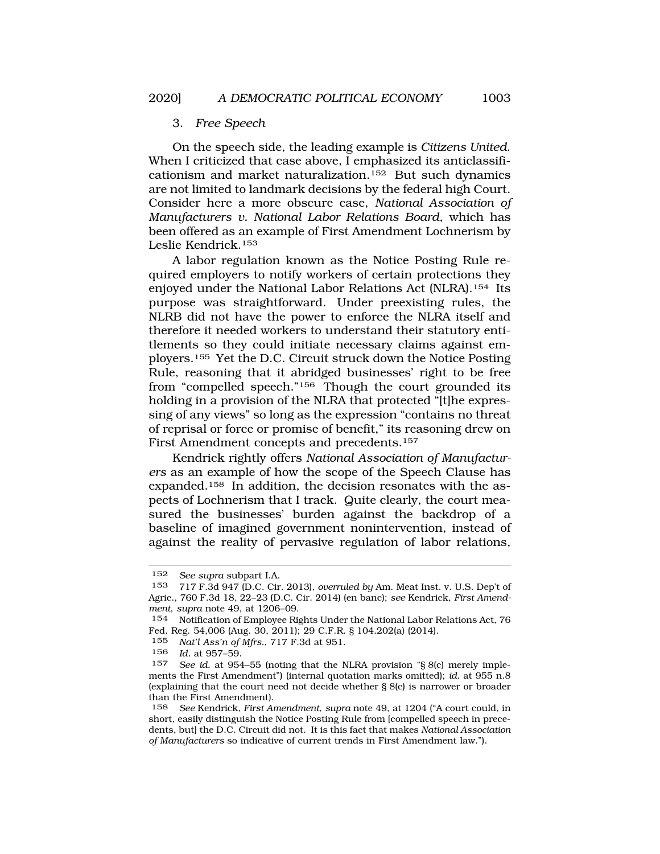### 3. *Free Speech*

On the speech side, the leading example is *Citizens United*. When I criticized that case above, I emphasized its anticlassificationism and market naturalization.152 But such dynamics are not limited to landmark decisions by the federal high Court. Consider here a more obscure case, *National Association of Manufacturers v. National Labor Relations Board*, which has been offered as an example of First Amendment Lochnerism by Leslie Kendrick.153

A labor regulation known as the Notice Posting Rule required employers to notify workers of certain protections they enjoyed under the National Labor Relations Act (NLRA).154 Its purpose was straightforward. Under preexisting rules, the NLRB did not have the power to enforce the NLRA itself and therefore it needed workers to understand their statutory entitlements so they could initiate necessary claims against employers.155 Yet the D.C. Circuit struck down the Notice Posting Rule, reasoning that it abridged businesses' right to be free from "compelled speech."156 Though the court grounded its holding in a provision of the NLRA that protected "[t]he expressing of any views" so long as the expression "contains no threat of reprisal or force or promise of benefit," its reasoning drew on First Amendment concepts and precedents.157

Kendrick rightly offers *National Association of Manufacturers* as an example of how the scope of the Speech Clause has expanded.158 In addition, the decision resonates with the aspects of Lochnerism that I track. Quite clearly, the court measured the businesses' burden against the backdrop of a baseline of imagined government nonintervention, instead of against the reality of pervasive regulation of labor relations,

<sup>152</sup> *See supra* subpart I.A.

<sup>153 717</sup> F.3d 947 (D.C. Cir. 2013), *overruled by* Am. Meat Inst. v. U.S. Dep't of Agric., 760 F.3d 18, 22–23 (D.C. Cir. 2014) (en banc); *see* Kendrick, *First Amendment*, *supra* note 49, at 1206–09.

<sup>154</sup> Notification of Employee Rights Under the National Labor Relations Act, 76 Fed. Reg. 54,006 (Aug. 30, 2011); 29 C.F.R. § 104.202(a) (2014).

<sup>155</sup> *Nat'l Ass'n of Mfrs.*, 717 F.3d at 951.

*Id.* at 957-59.

<sup>157</sup> *See id.* at 954–55 (noting that the NLRA provision "§ 8(c) merely implements the First Amendment") (internal quotation marks omitted); *id.* at 955 n.8 (explaining that the court need not decide whether § 8(c) is narrower or broader than the First Amendment).

<sup>158</sup> *See* Kendrick, *First Amendment*, *supra* note 49, at 1204 ("A court could, in short, easily distinguish the Notice Posting Rule from [compelled speech in precedents, but] the D.C. Circuit did not. It is this fact that makes *National Association of Manufacturers* so indicative of current trends in First Amendment law.").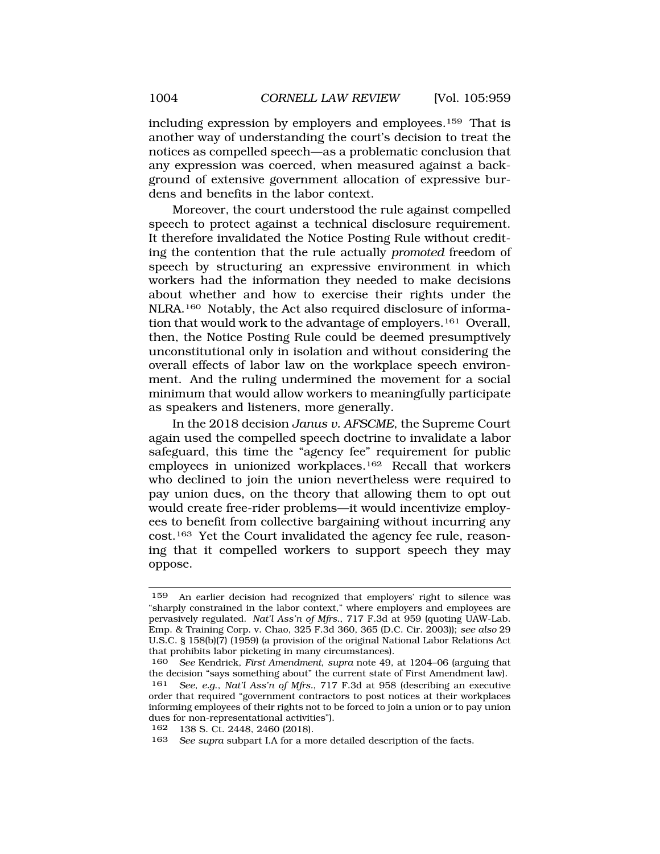including expression by employers and employees.159 That is another way of understanding the court's decision to treat the notices as compelled speech—as a problematic conclusion that any expression was coerced, when measured against a background of extensive government allocation of expressive burdens and benefits in the labor context.

Moreover, the court understood the rule against compelled speech to protect against a technical disclosure requirement. It therefore invalidated the Notice Posting Rule without crediting the contention that the rule actually *promoted* freedom of speech by structuring an expressive environment in which workers had the information they needed to make decisions about whether and how to exercise their rights under the NLRA.160 Notably, the Act also required disclosure of information that would work to the advantage of employers.161 Overall, then, the Notice Posting Rule could be deemed presumptively unconstitutional only in isolation and without considering the overall effects of labor law on the workplace speech environment. And the ruling undermined the movement for a social minimum that would allow workers to meaningfully participate as speakers and listeners, more generally.

In the 2018 decision *Janus v. AFSCME*, the Supreme Court again used the compelled speech doctrine to invalidate a labor safeguard, this time the "agency fee" requirement for public employees in unionized workplaces.162 Recall that workers who declined to join the union nevertheless were required to pay union dues, on the theory that allowing them to opt out would create free-rider problems—it would incentivize employees to benefit from collective bargaining without incurring any cost.163 Yet the Court invalidated the agency fee rule, reasoning that it compelled workers to support speech they may oppose.

<sup>159</sup> An earlier decision had recognized that employers' right to silence was "sharply constrained in the labor context," where employers and employees are pervasively regulated. *Nat'l Ass'n of Mfrs.*, 717 F.3d at 959 (quoting UAW-Lab. Emp. & Training Corp. v. Chao, 325 F.3d 360, 365 (D.C. Cir. 2003)); *see also* 29 U.S.C. § 158(b)(7) (1959) (a provision of the original National Labor Relations Act that prohibits labor picketing in many circumstances).

<sup>160</sup> *See* Kendrick, *First Amendment*, *supra* note 49, at 1204–06 (arguing that the decision "says something about" the current state of First Amendment law).

<sup>161</sup> *See, e.g*., *Nat'l Ass'n of Mfrs.*, 717 F.3d at 958 (describing an executive order that required "government contractors to post notices at their workplaces informing employees of their rights not to be forced to join a union or to pay union dues for non-representational activities").

<sup>162 138</sup> S. Ct. 2448, 2460 (2018).<br>163 See sunta subpart LA for a me

See supra subpart I.A for a more detailed description of the facts.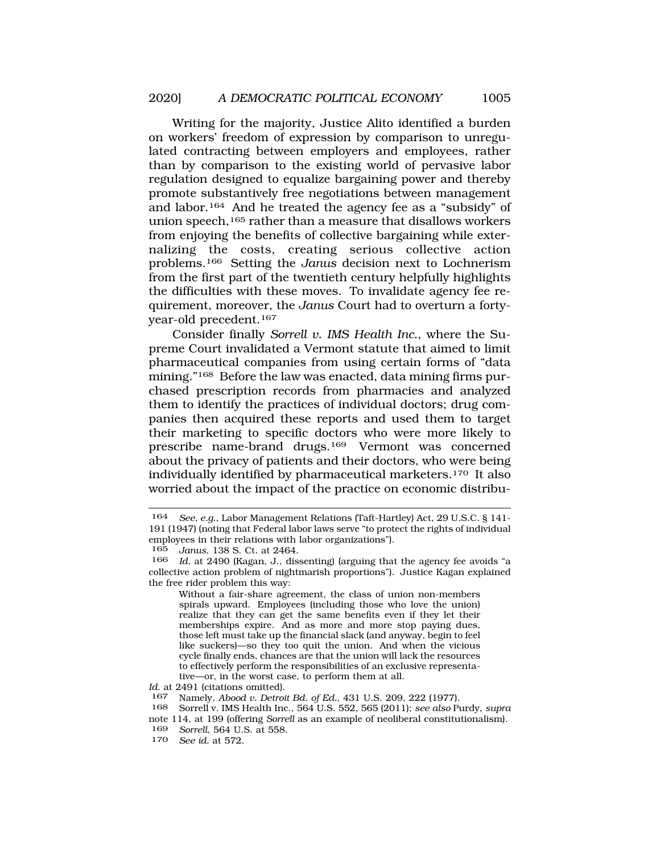Writing for the majority, Justice Alito identified a burden on workers' freedom of expression by comparison to unregulated contracting between employers and employees, rather than by comparison to the existing world of pervasive labor regulation designed to equalize bargaining power and thereby promote substantively free negotiations between management and labor.164 And he treated the agency fee as a "subsidy" of union speech,<sup>165</sup> rather than a measure that disallows workers from enjoying the benefits of collective bargaining while externalizing the costs, creating serious collective action problems.166 Setting the *Janus* decision next to Lochnerism from the first part of the twentieth century helpfully highlights the difficulties with these moves. To invalidate agency fee requirement, moreover, the *Janus* Court had to overturn a fortyyear-old precedent.167

Consider finally *Sorrell v. IMS Health Inc.*, where the Supreme Court invalidated a Vermont statute that aimed to limit pharmaceutical companies from using certain forms of "data mining."168 Before the law was enacted, data mining firms purchased prescription records from pharmacies and analyzed them to identify the practices of individual doctors; drug companies then acquired these reports and used them to target their marketing to specific doctors who were more likely to prescribe name-brand drugs.169 Vermont was concerned about the privacy of patients and their doctors, who were being individually identified by pharmaceutical marketers.170 It also worried about the impact of the practice on economic distribu-

Without a fair-share agreement, the class of union non-members spirals upward. Employees (including those who love the union) realize that they can get the same benefits even if they let their memberships expire. And as more and more stop paying dues, those left must take up the financial slack (and anyway, begin to feel like suckers)—so they too quit the union. And when the vicious cycle finally ends, chances are that the union will lack the resources to effectively perform the responsibilities of an exclusive representative—or, in the worst case, to perform them at all.

169 *Sorrell*, 564 U.S. at 558.

<sup>164</sup> *See, e.g.*, Labor Management Relations (Taft-Hartley) Act, 29 U.S.C. § 141- 191 (1947) (noting that Federal labor laws serve "to protect the rights of individual employees in their relations with labor organizations").<br> $\frac{165}{160}$ , Janus 138 S Ct at 2464

<sup>165</sup> *Janus*, 138 S. Ct. at 2464.

Id. at 2490 (Kagan, J., dissenting) (arguing that the agency fee avoids "a collective action problem of nightmarish proportions"). Justice Kagan explained the free rider problem this way:

*Id.* at 2491 (citations omitted).<br>167 Namely *Abood v Detroi* 

<sup>167</sup> Namely, *Abood v. Detroit Bd. of Ed.*, 431 U.S. 209, 222 (1977).

<sup>168</sup> Sorrell v. IMS Health Inc., 564 U.S. 552, 565 (2011); *see also* Purdy, *supra* 

note 114, at 199 (offering *Sorrell* as an example of neoliberal constitutionalism).<br>169 *Sorrell* 564 U.S. at 558

<sup>170</sup> *See id.* at 572.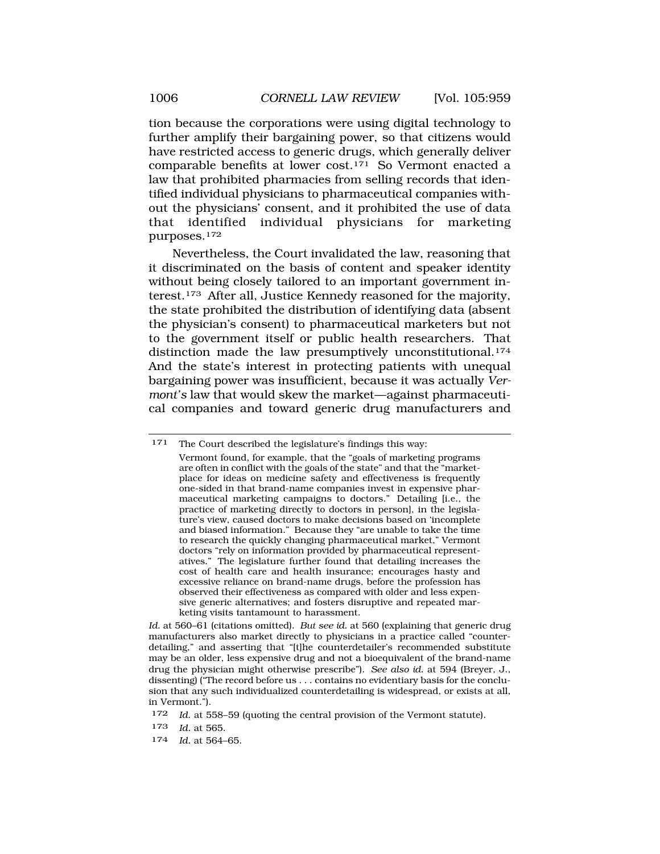tion because the corporations were using digital technology to further amplify their bargaining power, so that citizens would have restricted access to generic drugs, which generally deliver comparable benefits at lower cost.171 So Vermont enacted a law that prohibited pharmacies from selling records that identified individual physicians to pharmaceutical companies without the physicians' consent, and it prohibited the use of data that identified individual physicians for marketing purposes.172

Nevertheless, the Court invalidated the law, reasoning that it discriminated on the basis of content and speaker identity without being closely tailored to an important government interest.173 After all, Justice Kennedy reasoned for the majority, the state prohibited the distribution of identifying data (absent the physician's consent) to pharmaceutical marketers but not to the government itself or public health researchers. That distinction made the law presumptively unconstitutional.<sup>174</sup> And the state's interest in protecting patients with unequal bargaining power was insufficient, because it was actually *Vermont's* law that would skew the market—against pharmaceutical companies and toward generic drug manufacturers and

*Id.* at 560–61 (citations omitted). *But see id.* at 560 (explaining that generic drug manufacturers also market directly to physicians in a practice called "counterdetailing," and asserting that "[t]he counterdetailer's recommended substitute may be an older, less expensive drug and not a bioequivalent of the brand-name drug the physician might otherwise prescribe"). *See also id.* at 594 (Breyer, J., dissenting) ("The record before us . . . contains no evidentiary basis for the conclusion that any such individualized counterdetailing is widespread, or exists at all, in Vermont.").

- 173 *Id.* at 565.
- 174 *Id.* at 564–65.

<sup>171</sup> The Court described the legislature's findings this way:

Vermont found, for example, that the "goals of marketing programs are often in conflict with the goals of the state" and that the "marketplace for ideas on medicine safety and effectiveness is frequently one-sided in that brand-name companies invest in expensive pharmaceutical marketing campaigns to doctors." Detailing [i.e., the practice of marketing directly to doctors in person], in the legislature's view, caused doctors to make decisions based on 'incomplete and biased information." Because they "are unable to take the time to research the quickly changing pharmaceutical market," Vermont doctors "rely on information provided by pharmaceutical representatives." The legislature further found that detailing increases the cost of health care and health insurance; encourages hasty and excessive reliance on brand-name drugs, before the profession has observed their effectiveness as compared with older and less expensive generic alternatives; and fosters disruptive and repeated marketing visits tantamount to harassment.

<sup>172</sup> *Id*. at 558–59 (quoting the central provision of the Vermont statute).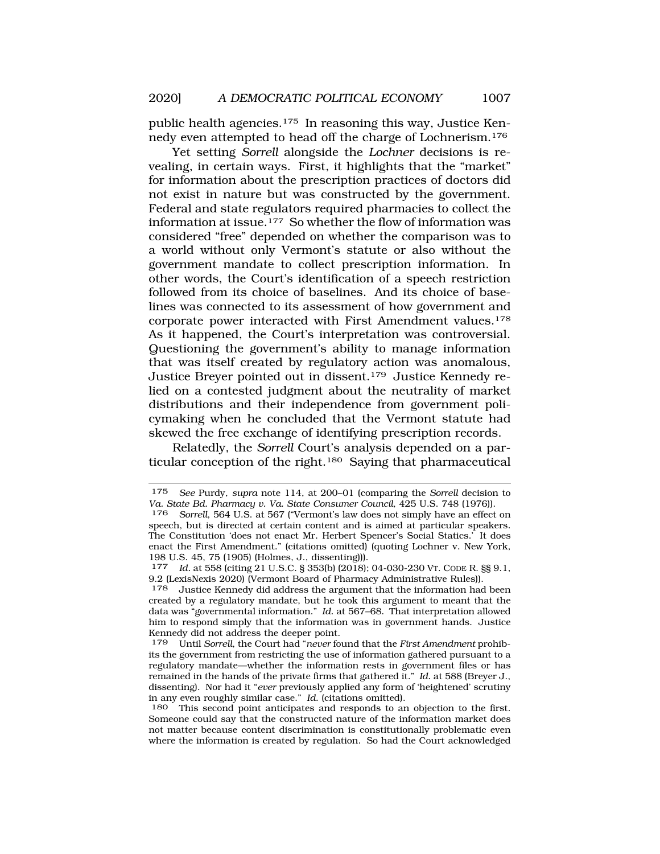public health agencies.175 In reasoning this way, Justice Kennedy even attempted to head off the charge of Lochnerism.176

Yet setting *Sorrell* alongside the *Lochner* decisions is revealing, in certain ways. First, it highlights that the "market" for information about the prescription practices of doctors did not exist in nature but was constructed by the government. Federal and state regulators required pharmacies to collect the information at issue.177 So whether the flow of information was considered "free" depended on whether the comparison was to a world without only Vermont's statute or also without the government mandate to collect prescription information. In other words, the Court's identification of a speech restriction followed from its choice of baselines. And its choice of baselines was connected to its assessment of how government and corporate power interacted with First Amendment values.178 As it happened, the Court's interpretation was controversial. Questioning the government's ability to manage information that was itself created by regulatory action was anomalous, Justice Breyer pointed out in dissent.179 Justice Kennedy relied on a contested judgment about the neutrality of market distributions and their independence from government policymaking when he concluded that the Vermont statute had skewed the free exchange of identifying prescription records.

Relatedly, the *Sorrell* Court's analysis depended on a particular conception of the right.180 Saying that pharmaceutical

<sup>175</sup> *See* Purdy, *supra* note 114, at 200–01 (comparing the *Sorrell* decision to *Va. State Bd. Pharmacy v. Va. State Consumer Council*, 425 U.S. 748 (1976)).

Sorrell, 564 U.S. at 567 ("Vermont's law does not simply have an effect on speech, but is directed at certain content and is aimed at particular speakers. The Constitution 'does not enact Mr. Herbert Spencer's Social Statics.' It does enact the First Amendment." (citations omitted) (quoting Lochner v. New York, 198 U.S. 45, 75 (1905) (Holmes, J., dissenting))).

<sup>177</sup> *Id.* at 558 (citing 21 U.S.C. § 353(b) (2018); 04-030-230 VT. CODE R. §§ 9.1, 9.2 (LexisNexis 2020) (Vermont Board of Pharmacy Administrative Rules)).

<sup>178</sup> Justice Kennedy did address the argument that the information had been created by a regulatory mandate, but he took this argument to meant that the data was "governmental information." *Id*. at 567–68. That interpretation allowed him to respond simply that the information was in government hands. Justice Kennedy did not address the deeper point.<br>179 - Until Sorrell, the Court had "never fo

<sup>179</sup> Until *Sorrell*, the Court had "*never* found that the *First Amendment* prohibits the government from restricting the use of information gathered pursuant to a regulatory mandate—whether the information rests in government files or has remained in the hands of the private firms that gathered it." *Id.* at 588 (Breyer J., dissenting). Nor had it "*ever* previously applied any form of 'heightened' scrutiny in any even roughly similar case." *Id.* (citations omitted).

<sup>180</sup> This second point anticipates and responds to an objection to the first. Someone could say that the constructed nature of the information market does not matter because content discrimination is constitutionally problematic even where the information is created by regulation. So had the Court acknowledged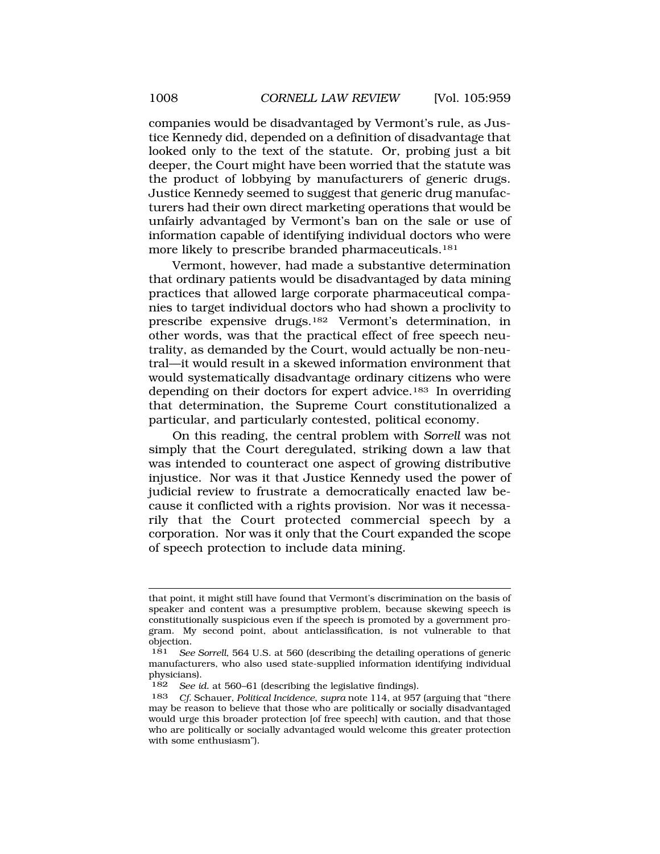companies would be disadvantaged by Vermont's rule, as Justice Kennedy did, depended on a definition of disadvantage that looked only to the text of the statute. Or, probing just a bit deeper, the Court might have been worried that the statute was the product of lobbying by manufacturers of generic drugs. Justice Kennedy seemed to suggest that generic drug manufacturers had their own direct marketing operations that would be unfairly advantaged by Vermont's ban on the sale or use of information capable of identifying individual doctors who were more likely to prescribe branded pharmaceuticals.181

Vermont, however, had made a substantive determination that ordinary patients would be disadvantaged by data mining practices that allowed large corporate pharmaceutical companies to target individual doctors who had shown a proclivity to prescribe expensive drugs.182 Vermont's determination, in other words, was that the practical effect of free speech neutrality, as demanded by the Court, would actually be non-neutral—it would result in a skewed information environment that would systematically disadvantage ordinary citizens who were depending on their doctors for expert advice.183 In overriding that determination, the Supreme Court constitutionalized a particular, and particularly contested, political economy.

On this reading, the central problem with *Sorrell* was not simply that the Court deregulated, striking down a law that was intended to counteract one aspect of growing distributive injustice. Nor was it that Justice Kennedy used the power of judicial review to frustrate a democratically enacted law because it conflicted with a rights provision. Nor was it necessarily that the Court protected commercial speech by a corporation. Nor was it only that the Court expanded the scope of speech protection to include data mining.

that point, it might still have found that Vermont's discrimination on the basis of speaker and content was a presumptive problem, because skewing speech is constitutionally suspicious even if the speech is promoted by a government program. My second point, about anticlassification, is not vulnerable to that objection.

<sup>181</sup> *See Sorrell*, 564 U.S. at 560 (describing the detailing operations of generic manufacturers, who also used state-supplied information identifying individual physicians).

<sup>182</sup> *See id.* at 560–61 (describing the legislative findings).

<sup>183</sup> *Cf.* Schauer, *Political Incidence*, *supra* note 114, at 957 (arguing that "there may be reason to believe that those who are politically or socially disadvantaged would urge this broader protection [of free speech] with caution, and that those who are politically or socially advantaged would welcome this greater protection with some enthusiasm").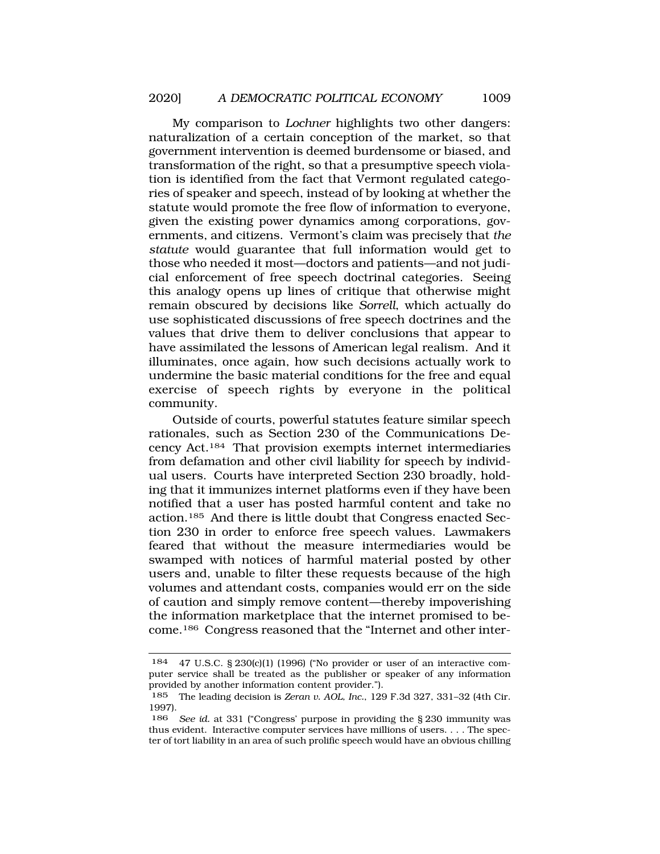My comparison to *Lochner* highlights two other dangers: naturalization of a certain conception of the market, so that government intervention is deemed burdensome or biased, and transformation of the right, so that a presumptive speech violation is identified from the fact that Vermont regulated categories of speaker and speech, instead of by looking at whether the statute would promote the free flow of information to everyone, given the existing power dynamics among corporations, governments, and citizens. Vermont's claim was precisely that *the statute* would guarantee that full information would get to those who needed it most—doctors and patients—and not judicial enforcement of free speech doctrinal categories. Seeing this analogy opens up lines of critique that otherwise might remain obscured by decisions like *Sorrell*, which actually do use sophisticated discussions of free speech doctrines and the values that drive them to deliver conclusions that appear to have assimilated the lessons of American legal realism. And it

illuminates, once again, how such decisions actually work to undermine the basic material conditions for the free and equal exercise of speech rights by everyone in the political community.

Outside of courts, powerful statutes feature similar speech rationales, such as Section 230 of the Communications Decency Act.184 That provision exempts internet intermediaries from defamation and other civil liability for speech by individual users. Courts have interpreted Section 230 broadly, holding that it immunizes internet platforms even if they have been notified that a user has posted harmful content and take no action.185 And there is little doubt that Congress enacted Section 230 in order to enforce free speech values. Lawmakers feared that without the measure intermediaries would be swamped with notices of harmful material posted by other users and, unable to filter these requests because of the high volumes and attendant costs, companies would err on the side of caution and simply remove content—thereby impoverishing the information marketplace that the internet promised to become.186 Congress reasoned that the "Internet and other inter-

<sup>184 47</sup> U.S.C. § 230(c)(1) (1996) ("No provider or user of an interactive computer service shall be treated as the publisher or speaker of any information provided by another information content provider.").

<sup>185</sup> The leading decision is *Zeran v. AOL, Inc.*, 129 F.3d 327, 331–32 (4th Cir. 1997).

<sup>186</sup> *See id.* at 331 ("Congress' purpose in providing the § 230 immunity was thus evident. Interactive computer services have millions of users. . . . The specter of tort liability in an area of such prolific speech would have an obvious chilling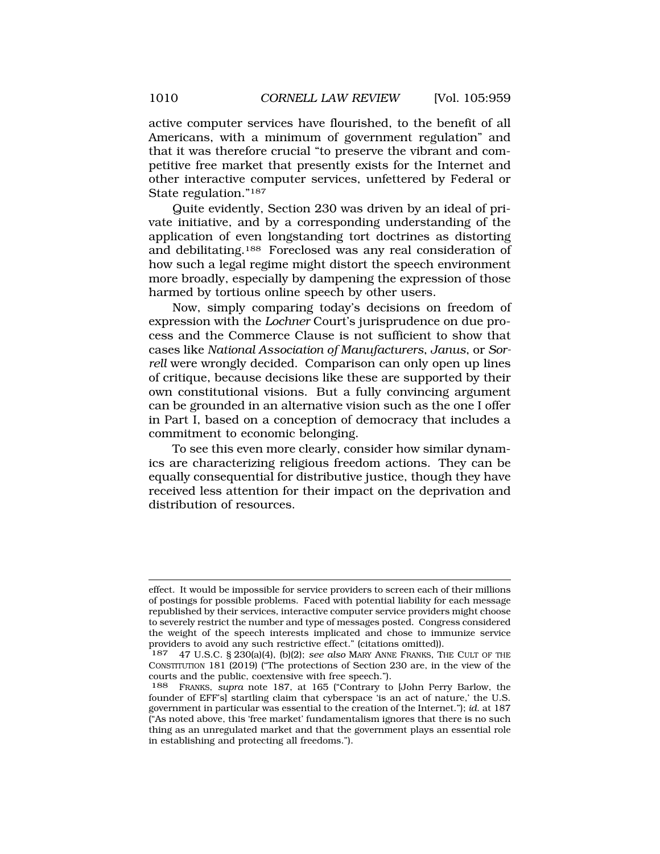active computer services have flourished, to the benefit of all Americans, with a minimum of government regulation" and that it was therefore crucial "to preserve the vibrant and competitive free market that presently exists for the Internet and other interactive computer services, unfettered by Federal or State regulation."187

Quite evidently, Section 230 was driven by an ideal of private initiative, and by a corresponding understanding of the application of even longstanding tort doctrines as distorting and debilitating.188 Foreclosed was any real consideration of how such a legal regime might distort the speech environment more broadly, especially by dampening the expression of those harmed by tortious online speech by other users.

Now, simply comparing today's decisions on freedom of expression with the *Lochner* Court's jurisprudence on due process and the Commerce Clause is not sufficient to show that cases like *National Association of Manufacturers*, *Janus*, or *Sorrell* were wrongly decided. Comparison can only open up lines of critique, because decisions like these are supported by their own constitutional visions. But a fully convincing argument can be grounded in an alternative vision such as the one I offer in Part I, based on a conception of democracy that includes a commitment to economic belonging.

To see this even more clearly, consider how similar dynamics are characterizing religious freedom actions. They can be equally consequential for distributive justice, though they have received less attention for their impact on the deprivation and distribution of resources.

effect. It would be impossible for service providers to screen each of their millions of postings for possible problems. Faced with potential liability for each message republished by their services, interactive computer service providers might choose to severely restrict the number and type of messages posted. Congress considered the weight of the speech interests implicated and chose to immunize service providers to avoid any such restrictive effect." (citations omitted)).

<sup>187 47</sup> U.S.C. § 230(a)(4), (b)(2); *see also* MARY ANNE FRANKS, THE CULT OF THE CONSTITUTION 181 (2019) ("The protections of Section 230 are, in the view of the courts and the public, coextensive with free speech.").

<sup>188</sup> FRANKS, *supra* note 187, at 165 ("Contrary to [John Perry Barlow, the founder of EFF's] startling claim that cyberspace 'is an act of nature,' the U.S. government in particular was essential to the creation of the Internet."); *id*. at 187 ("As noted above, this 'free market' fundamentalism ignores that there is no such thing as an unregulated market and that the government plays an essential role in establishing and protecting all freedoms.").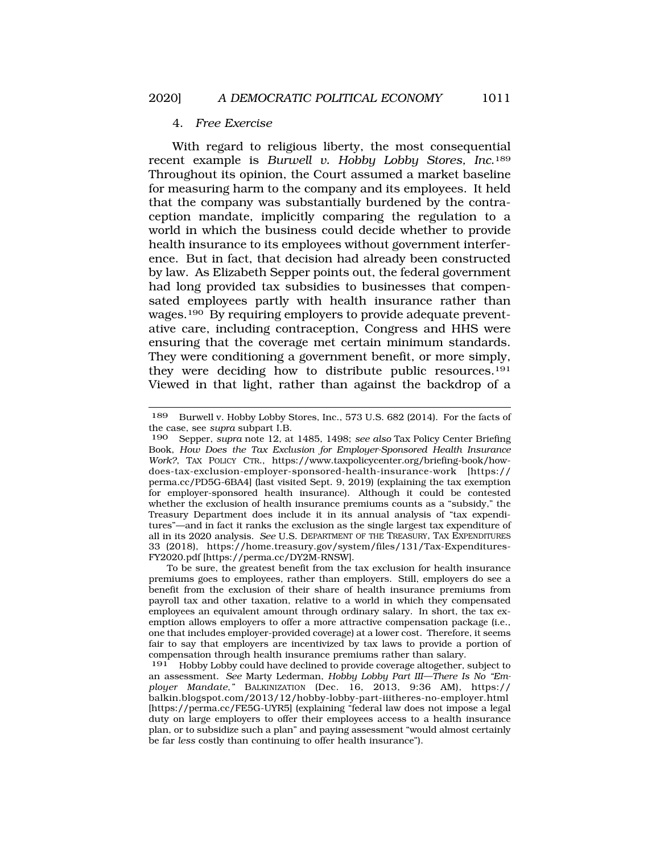## 4. *Free Exercise*

With regard to religious liberty, the most consequential recent example is *Burwell v. Hobby Lobby Stores, Inc*.189 Throughout its opinion, the Court assumed a market baseline for measuring harm to the company and its employees. It held that the company was substantially burdened by the contraception mandate, implicitly comparing the regulation to a world in which the business could decide whether to provide health insurance to its employees without government interference. But in fact, that decision had already been constructed by law. As Elizabeth Sepper points out, the federal government had long provided tax subsidies to businesses that compensated employees partly with health insurance rather than wages.190 By requiring employers to provide adequate preventative care, including contraception, Congress and HHS were ensuring that the coverage met certain minimum standards. They were conditioning a government benefit, or more simply, they were deciding how to distribute public resources.191 Viewed in that light, rather than against the backdrop of a

To be sure, the greatest benefit from the tax exclusion for health insurance premiums goes to employees, rather than employers. Still, employers do see a benefit from the exclusion of their share of health insurance premiums from payroll tax and other taxation, relative to a world in which they compensated employees an equivalent amount through ordinary salary. In short, the tax exemption allows employers to offer a more attractive compensation package (i.e., one that includes employer-provided coverage) at a lower cost. Therefore, it seems fair to say that employers are incentivized by tax laws to provide a portion of compensation through health insurance premiums rather than salary.<br>191 Hobby Lobby could have declined to provide coverage altogether.

191 Hobby Lobby could have declined to provide coverage altogether, subject to an assessment. *See* Marty Lederman, *Hobby Lobby Part III—There Is No "Employer Mandate*,*"* BALKINIZATION (Dec. 16, 2013, 9:36 AM), https:// [balkin.blogspot.com/2013/12/hobby-lobby-part-iiitheres-no-employer.html](https://balkin.blogspot.com/2013/12/hobby-lobby-part-iiitheres-no-employer.html) [[https://perma.cc/FE5G-UYR5\]](https://perma.cc/FE5G-UYR5) (explaining "federal law does not impose a legal duty on large employers to offer their employees access to a health insurance plan, or to subsidize such a plan" and paying assessment "would almost certainly be far *less* costly than continuing to offer health insurance").

<sup>189</sup> Burwell v. Hobby Lobby Stores, Inc., 573 U.S. 682 (2014). For the facts of the case, see *supra* subpart I.B.

<sup>190</sup> Sepper, *supra* note 12, at 1485, 1498; *see also* Tax Policy Center Briefing Book, *How Does the Tax Exclusion for Employer-Sponsored Health Insurance Work?*, TAX POLICY CTR., <https://www.taxpolicycenter.org/briefing-book/how>does-tax-exclusion-employer-sponsored-health-insurance-work [https:// perma.cc/PD5G-6BA4] (last visited Sept. 9, 2019) (explaining the tax exemption for employer-sponsored health insurance). Although it could be contested whether the exclusion of health insurance premiums counts as a "subsidy," the Treasury Department does include it in its annual analysis of "tax expenditures"—and in fact it ranks the exclusion as the single largest tax expenditure of all in its 2020 analysis. *See* U.S. DEPARTMENT OF THE TREASURY, TAX EXPENDITURES 33 (2018), <https://home.treasury.gov/system/files/131/Tax-Expenditures>-FY2020.pdf [\[https://perma.cc/DY2M-RNSW\]](https://perma.cc/DY2M-RNSW).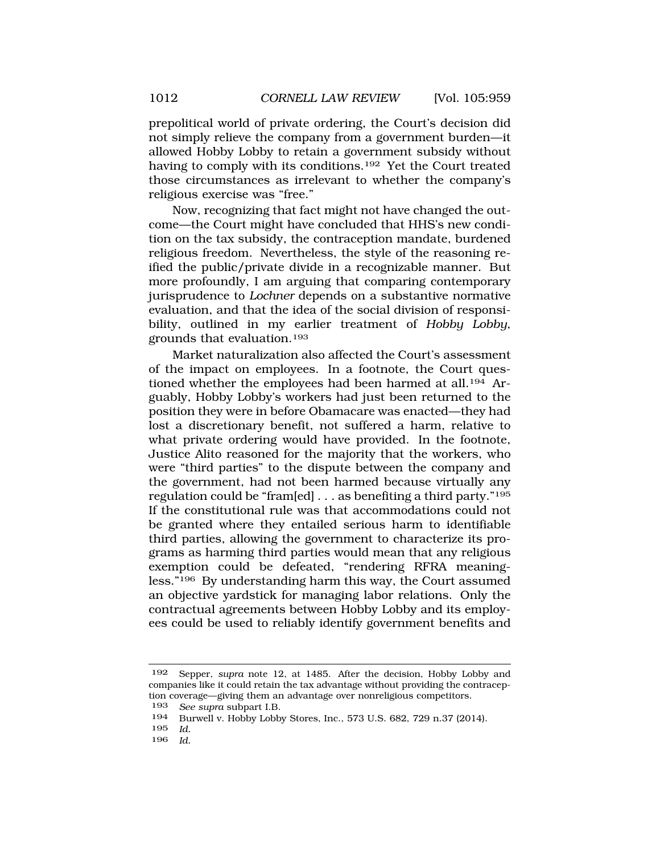prepolitical world of private ordering, the Court's decision did not simply relieve the company from a government burden—it allowed Hobby Lobby to retain a government subsidy without having to comply with its conditions.<sup>192</sup> Yet the Court treated those circumstances as irrelevant to whether the company's religious exercise was "free."

Now, recognizing that fact might not have changed the outcome—the Court might have concluded that HHS's new condition on the tax subsidy, the contraception mandate, burdened religious freedom. Nevertheless, the style of the reasoning reified the public/private divide in a recognizable manner. But more profoundly, I am arguing that comparing contemporary jurisprudence to *Lochner* depends on a substantive normative evaluation, and that the idea of the social division of responsibility, outlined in my earlier treatment of *Hobby Lobby*, grounds that evaluation.193

Market naturalization also affected the Court's assessment of the impact on employees. In a footnote, the Court questioned whether the employees had been harmed at all.<sup>194</sup> Arguably, Hobby Lobby's workers had just been returned to the position they were in before Obamacare was enacted—they had lost a discretionary benefit, not suffered a harm, relative to what private ordering would have provided. In the footnote, Justice Alito reasoned for the majority that the workers, who were "third parties" to the dispute between the company and the government, had not been harmed because virtually any regulation could be "fram[ed]  $\ldots$  as benefiting a third party."<sup>195</sup> If the constitutional rule was that accommodations could not be granted where they entailed serious harm to identifiable third parties, allowing the government to characterize its programs as harming third parties would mean that any religious exemption could be defeated, "rendering RFRA meaningless."196 By understanding harm this way, the Court assumed an objective yardstick for managing labor relations. Only the contractual agreements between Hobby Lobby and its employees could be used to reliably identify government benefits and

<sup>192</sup> Sepper, *supra* note 12, at 1485. After the decision, Hobby Lobby and companies like it could retain the tax advantage without providing the contraception coverage—giving them an advantage over nonreligious competitors.

<sup>193</sup> *See supra* subpart I.B.

<sup>194</sup> Burwell v. Hobby Lobby Stores, Inc., 573 U.S. 682, 729 n.37 (2014).

<sup>195</sup> *Id.*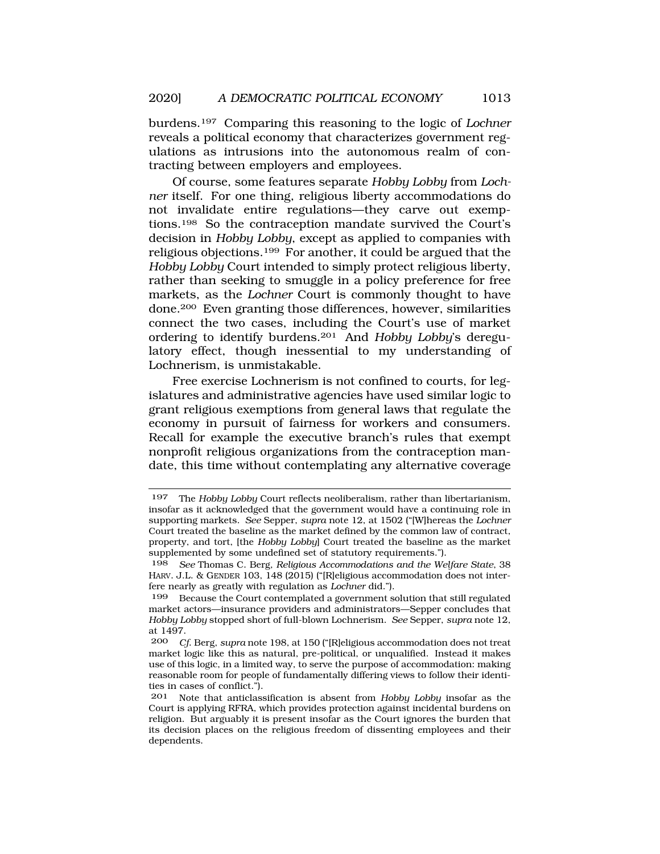burdens.197 Comparing this reasoning to the logic of *Lochner*  reveals a political economy that characterizes government regulations as intrusions into the autonomous realm of contracting between employers and employees.

Of course, some features separate *Hobby Lobby* from *Lochner* itself. For one thing, religious liberty accommodations do not invalidate entire regulations—they carve out exemptions.198 So the contraception mandate survived the Court's decision in *Hobby Lobby*, except as applied to companies with religious objections.199 For another, it could be argued that the *Hobby Lobby* Court intended to simply protect religious liberty, rather than seeking to smuggle in a policy preference for free markets, as the *Lochner* Court is commonly thought to have done.200 Even granting those differences, however, similarities connect the two cases, including the Court's use of market ordering to identify burdens.201 And *Hobby Lobby*'s deregulatory effect, though inessential to my understanding of Lochnerism, is unmistakable.

Free exercise Lochnerism is not confined to courts, for legislatures and administrative agencies have used similar logic to grant religious exemptions from general laws that regulate the economy in pursuit of fairness for workers and consumers. Recall for example the executive branch's rules that exempt nonprofit religious organizations from the contraception mandate, this time without contemplating any alternative coverage

<sup>197</sup> The *Hobby Lobby* Court reflects neoliberalism, rather than libertarianism, insofar as it acknowledged that the government would have a continuing role in supporting markets. *See* Sepper, *supra* note 12, at 1502 ("[W]hereas the *Lochner*  Court treated the baseline as the market defined by the common law of contract, property, and tort, [the *Hobby Lobby*] Court treated the baseline as the market supplemented by some undefined set of statutory requirements.").

<sup>198</sup> *See* Thomas C. Berg, *Religious Accommodations and the Welfare State*, 38 HARV. J.L. & GENDER 103, 148 (2015) ("[R]eligious accommodation does not interfere nearly as greatly with regulation as *Lochner* did.").

<sup>199</sup> Because the Court contemplated a government solution that still regulated market actors—insurance providers and administrators—Sepper concludes that *Hobby Lobby* stopped short of full-blown Lochnerism. *See* Sepper, *supra* note 12, at 1497.

<sup>200</sup> *Cf*. Berg, *supra* note 198, at 150 ("[R]eligious accommodation does not treat market logic like this as natural, pre-political, or unqualified. Instead it makes use of this logic, in a limited way, to serve the purpose of accommodation: making reasonable room for people of fundamentally differing views to follow their identities in cases of conflict.").

<sup>201</sup> Note that anticlassification is absent from *Hobby Lobby* insofar as the Court is applying RFRA, which provides protection against incidental burdens on religion. But arguably it is present insofar as the Court ignores the burden that its decision places on the religious freedom of dissenting employees and their dependents.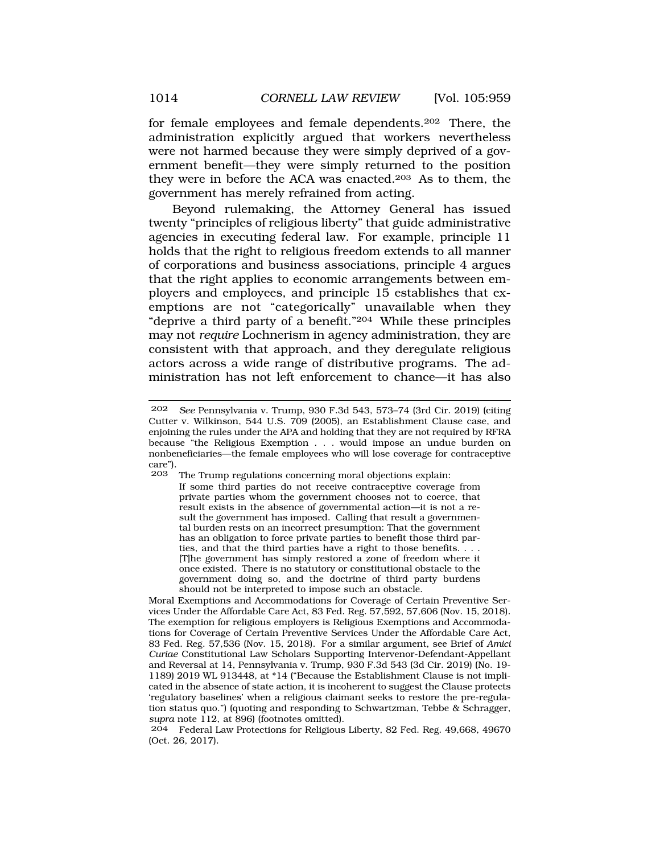for female employees and female dependents.202 There, the administration explicitly argued that workers nevertheless were not harmed because they were simply deprived of a government benefit—they were simply returned to the position they were in before the ACA was enacted.203 As to them, the government has merely refrained from acting.

Beyond rulemaking, the Attorney General has issued twenty "principles of religious liberty" that guide administrative agencies in executing federal law. For example, principle 11 holds that the right to religious freedom extends to all manner of corporations and business associations, principle 4 argues that the right applies to economic arrangements between employers and employees, and principle 15 establishes that exemptions are not "categorically" unavailable when they "deprive a third party of a benefit."204 While these principles may not *require* Lochnerism in agency administration, they are consistent with that approach, and they deregulate religious actors across a wide range of distributive programs. The administration has not left enforcement to chance—it has also

The Trump regulations concerning moral objections explain:

If some third parties do not receive contraceptive coverage from private parties whom the government chooses not to coerce, that result exists in the absence of governmental action—it is not a result the government has imposed. Calling that result a governmental burden rests on an incorrect presumption: That the government has an obligation to force private parties to benefit those third parties, and that the third parties have a right to those benefits. . . . [T]he government has simply restored a zone of freedom where it once existed. There is no statutory or constitutional obstacle to the government doing so, and the doctrine of third party burdens should not be interpreted to impose such an obstacle.

Moral Exemptions and Accommodations for Coverage of Certain Preventive Services Under the Affordable Care Act, 83 Fed. Reg. 57,592, 57,606 (Nov. 15, 2018). The exemption for religious employers is Religious Exemptions and Accommodations for Coverage of Certain Preventive Services Under the Affordable Care Act, 83 Fed. Reg. 57,536 (Nov. 15, 2018). For a similar argument, see Brief of *Amici Curiae* Constitutional Law Scholars Supporting Intervenor-Defendant-Appellant and Reversal at 14, Pennsylvania v. Trump, 930 F.3d 543 (3d Cir. 2019) (No. 19- 1189) 2019 WL 913448, at \*14 ("Because the Establishment Clause is not implicated in the absence of state action, it is incoherent to suggest the Clause protects 'regulatory baselines' when a religious claimant seeks to restore the pre-regulation status quo.") (quoting and responding to Schwartzman, Tebbe & Schragger, *supra* note 112, at 896) (footnotes omitted).

204 Federal Law Protections for Religious Liberty, 82 Fed. Reg. 49,668, 49670 (Oct. 26, 2017).

<sup>202</sup> *See* Pennsylvania v. Trump, 930 F.3d 543, 573–74 (3rd Cir. 2019) (citing Cutter v. Wilkinson, 544 U.S. 709 (2005), an Establishment Clause case, and enjoining the rules under the APA and holding that they are not required by RFRA because "the Religious Exemption . . . would impose an undue burden on nonbeneficiaries—the female employees who will lose coverage for contraceptive care").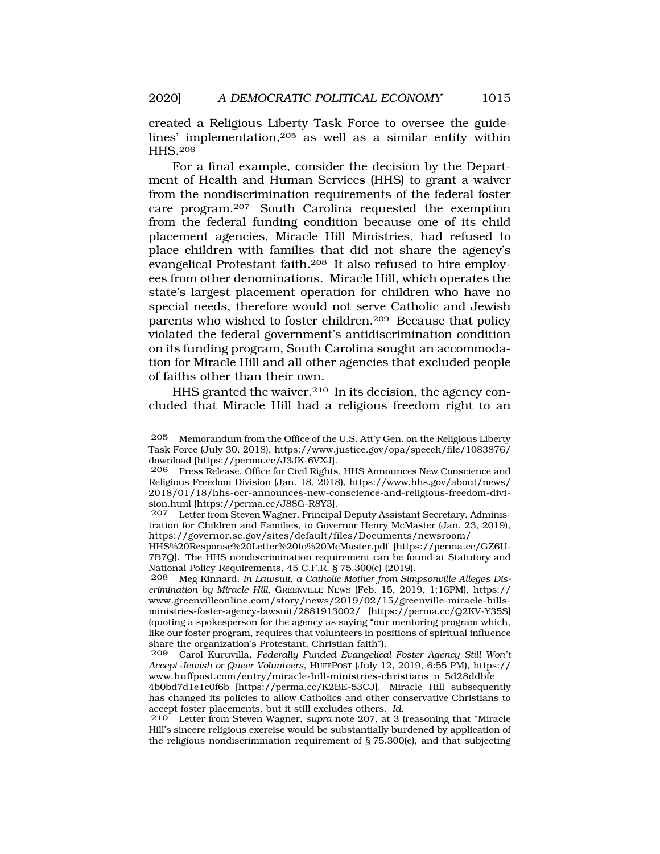created a Religious Liberty Task Force to oversee the guidelines' implementation,205 as well as a similar entity within HHS.206

For a final example, consider the decision by the Department of Health and Human Services (HHS) to grant a waiver from the nondiscrimination requirements of the federal foster care program.207 South Carolina requested the exemption from the federal funding condition because one of its child placement agencies, Miracle Hill Ministries, had refused to place children with families that did not share the agency's evangelical Protestant faith.208 It also refused to hire employees from other denominations. Miracle Hill, which operates the state's largest placement operation for children who have no special needs, therefore would not serve Catholic and Jewish parents who wished to foster children.209 Because that policy violated the federal government's antidiscrimination condition on its funding program, South Carolina sought an accommodation for Miracle Hill and all other agencies that excluded people of faiths other than their own.

HHS granted the waiver.210 In its decision, the agency concluded that Miracle Hill had a religious freedom right to an

Letter from Steven Wagner, Principal Deputy Assistant Secretary, Administration for Children and Families, to Governor Henry McMaster (Jan. 23, 2019), <https://governor.sc.gov/sites/default/files/Documents/newsroom>/

HHS%20Response%20Letter%20to%20McMaster.pdf [[https://perma.cc/GZ6U-](https://perma.cc/GZ6U)7B7Q]. The HHS nondiscrimination requirement can be found at Statutory and National Policy Requirements, 45 C.F.R. § 75.300(c) (2019).<br>208 Meg Kinnard, In Lausuit, a Catholic Mother from Sim

Meg Kinnard, *In Lawsuit, a Catholic Mother from Simpsonville Alleges Discrimination by Miracle Hill*, GREENVILLE NEWS (Feb. 15, 2019, 1:16PM), https:// <www.greenvilleonline.com/story/news/2019/02/15/greenville-miracle-hills>ministries-foster-agency-lawsuit/2881913002/ [<https://perma.cc/Q2KV-Y35S>] (quoting a spokesperson for the agency as saying "our mentoring program which, like our foster program, requires that volunteers in positions of spiritual influence share the organization's Protestant, Christian faith").

209 Carol Kuruvilla, *Federally Funded Evangelical Foster Agency Still Won't Accept Jewish or Queer Volunteers*, HUFFPOST (July 12, 2019, 6:55 PM), https:// [www.huffpost.com/entry/miracle-hill-ministries-christians\\_n\\_5d28ddbfe](www.huffpost.com/entry/miracle-hill-ministries-christians_n_5d28ddbfe)

4b0bd7d1e1c0f6b [\[https://perma.cc/K2BE-53CJ\]](https://perma.cc/K2BE-53CJ). Miracle Hill subsequently has changed its policies to allow Catholics and other conservative Christians to accept foster placements, but it still excludes others. *Id.* 

210 Letter from Steven Wagner, *supra* note 207, at 3 (reasoning that "Miracle Hill's sincere religious exercise would be substantially burdened by application of the religious nondiscrimination requirement of § 75.300(c), and that subjecting

<sup>205</sup> Memorandum from the Office of the U.S. Att'y Gen. on the Religious Liberty Task Force (July 30, 2018), [https://www.justice.gov/opa/speech/file/1083876/](https://www.justice.gov/opa/speech/file/1083876) download [<https://perma.cc/J3JK-6VXJ>].<br>206 Press Release Office for Civil Rights

Press Release, Office for Civil Rights, HHS Announces New Conscience and Religious Freedom Division (Jan. 18, 2018), [https://www.hhs.gov/about/news/](https://www.hhs.gov/about/news) 2018/01/18/hhs-ocr-announces-new-conscience-and-religious-freedom-division.html [<https://perma.cc/J88G-R8Y3>].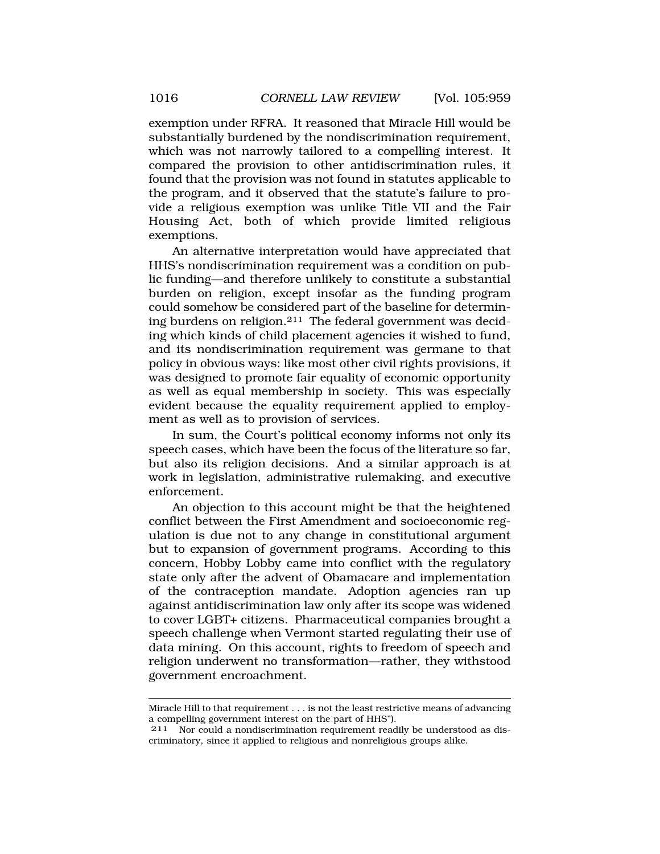exemption under RFRA. It reasoned that Miracle Hill would be substantially burdened by the nondiscrimination requirement, which was not narrowly tailored to a compelling interest. It compared the provision to other antidiscrimination rules, it found that the provision was not found in statutes applicable to the program, and it observed that the statute's failure to provide a religious exemption was unlike Title VII and the Fair Housing Act, both of which provide limited religious exemptions.

An alternative interpretation would have appreciated that HHS's nondiscrimination requirement was a condition on public funding—and therefore unlikely to constitute a substantial burden on religion, except insofar as the funding program could somehow be considered part of the baseline for determining burdens on religion.211 The federal government was deciding which kinds of child placement agencies it wished to fund, and its nondiscrimination requirement was germane to that policy in obvious ways: like most other civil rights provisions, it was designed to promote fair equality of economic opportunity as well as equal membership in society. This was especially evident because the equality requirement applied to employment as well as to provision of services.

In sum, the Court's political economy informs not only its speech cases, which have been the focus of the literature so far, but also its religion decisions. And a similar approach is at work in legislation, administrative rulemaking, and executive enforcement.

An objection to this account might be that the heightened conflict between the First Amendment and socioeconomic regulation is due not to any change in constitutional argument but to expansion of government programs. According to this concern, Hobby Lobby came into conflict with the regulatory state only after the advent of Obamacare and implementation of the contraception mandate. Adoption agencies ran up against antidiscrimination law only after its scope was widened to cover LGBT+ citizens. Pharmaceutical companies brought a speech challenge when Vermont started regulating their use of data mining. On this account, rights to freedom of speech and religion underwent no transformation—rather, they withstood government encroachment.

Miracle Hill to that requirement . . . is not the least restrictive means of advancing a compelling government interest on the part of HHS").

<sup>211</sup> Nor could a nondiscrimination requirement readily be understood as discriminatory, since it applied to religious and nonreligious groups alike.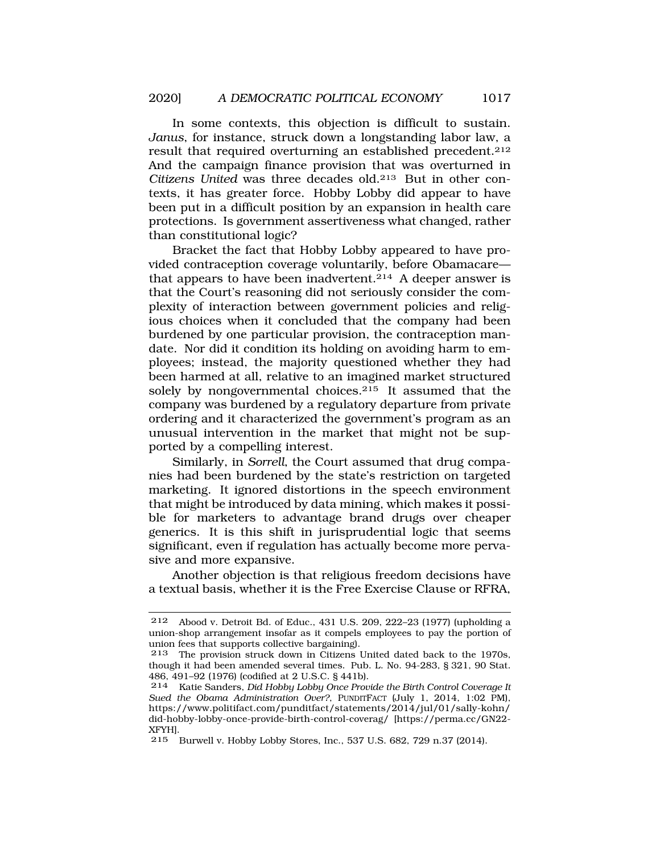In some contexts, this objection is difficult to sustain. *Janus*, for instance, struck down a longstanding labor law, a result that required overturning an established precedent.212 And the campaign finance provision that was overturned in *Citizens United* was three decades old.213 But in other contexts, it has greater force. Hobby Lobby did appear to have been put in a difficult position by an expansion in health care protections. Is government assertiveness what changed, rather than constitutional logic?

Bracket the fact that Hobby Lobby appeared to have provided contraception coverage voluntarily, before Obamacare that appears to have been inadvertent.<sup>214</sup> A deeper answer is that the Court's reasoning did not seriously consider the complexity of interaction between government policies and religious choices when it concluded that the company had been burdened by one particular provision, the contraception mandate. Nor did it condition its holding on avoiding harm to employees; instead, the majority questioned whether they had been harmed at all, relative to an imagined market structured solely by nongovernmental choices.215 It assumed that the company was burdened by a regulatory departure from private ordering and it characterized the government's program as an unusual intervention in the market that might not be supported by a compelling interest.

Similarly, in *Sorrell*, the Court assumed that drug companies had been burdened by the state's restriction on targeted marketing. It ignored distortions in the speech environment that might be introduced by data mining, which makes it possible for marketers to advantage brand drugs over cheaper generics. It is this shift in jurisprudential logic that seems significant, even if regulation has actually become more pervasive and more expansive.

Another objection is that religious freedom decisions have a textual basis, whether it is the Free Exercise Clause or RFRA,

<sup>212</sup> Abood v. Detroit Bd. of Educ., 431 U.S. 209, 222–23 (1977) (upholding a union-shop arrangement insofar as it compels employees to pay the portion of union fees that supports collective bargaining).

<sup>213</sup> The provision struck down in Citizens United dated back to the 1970s, though it had been amended several times. Pub. L. No. 94-283, § 321, 90 Stat. 486, 491–92 (1976) (codified at 2 U.S.C. § 441b).

<sup>214</sup> Katie Sanders, *Did Hobby Lobby Once Provide the Birth Control Coverage It Sued the Obama Administration Over?*, PUNDITFACT (July 1, 2014, 1:02 PM), <https://www.politifact.com/punditfact/statements/2014/jul/01/sally-kohn>/ did-hobby-lobby-once-provide-birth-control-coverag/ [\[https://perma.cc/GN22-](https://perma.cc/GN22) XFYH].

<sup>215</sup> Burwell v. Hobby Lobby Stores, Inc., 537 U.S. 682, 729 n.37 (2014).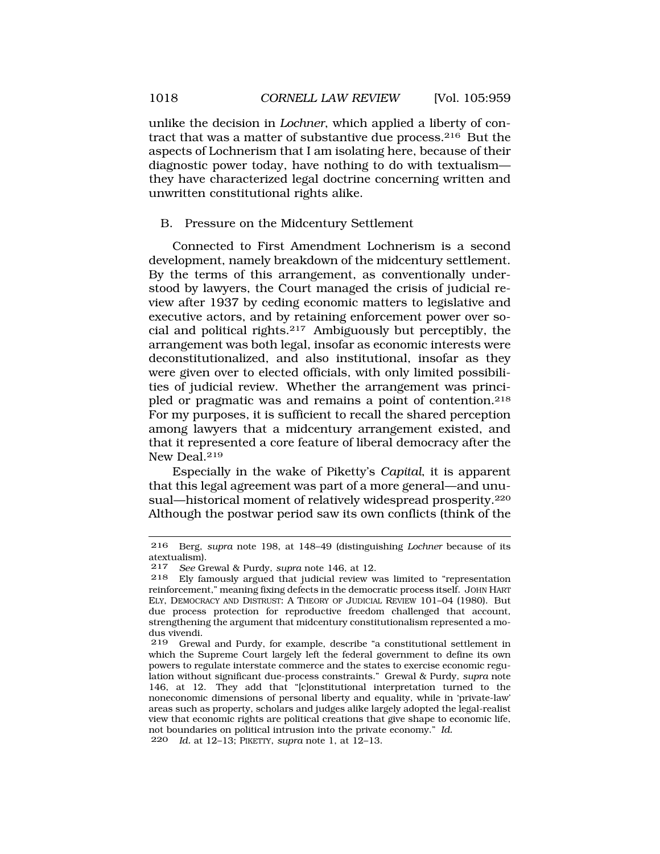unlike the decision in *Lochner*, which applied a liberty of contract that was a matter of substantive due process.216 But the aspects of Lochnerism that I am isolating here, because of their diagnostic power today, have nothing to do with textualism they have characterized legal doctrine concerning written and unwritten constitutional rights alike.

## B. Pressure on the Midcentury Settlement

Connected to First Amendment Lochnerism is a second development, namely breakdown of the midcentury settlement. By the terms of this arrangement, as conventionally understood by lawyers, the Court managed the crisis of judicial review after 1937 by ceding economic matters to legislative and executive actors, and by retaining enforcement power over social and political rights.217 Ambiguously but perceptibly, the arrangement was both legal, insofar as economic interests were deconstitutionalized, and also institutional, insofar as they were given over to elected officials, with only limited possibilities of judicial review. Whether the arrangement was principled or pragmatic was and remains a point of contention.218 For my purposes, it is sufficient to recall the shared perception among lawyers that a midcentury arrangement existed, and that it represented a core feature of liberal democracy after the New Deal.<sup>219</sup>

Especially in the wake of Piketty's *Capital*, it is apparent that this legal agreement was part of a more general—and unusual—historical moment of relatively widespread prosperity.220 Although the postwar period saw its own conflicts (think of the

<sup>216</sup> Berg, *supra* note 198, at 148–49 (distinguishing *Lochner* because of its atextualism).<br> $217$  See Gr.

<sup>217</sup> *See* Grewal & Purdy, *supra* note 146, at 12.

Ely famously argued that judicial review was limited to "representation" reinforcement," meaning fixing defects in the democratic process itself. JOHN HART ELY, DEMOCRACY AND DISTRUST: A THEORY OF JUDICIAL REVIEW 101–04 (1980). But due process protection for reproductive freedom challenged that account, strengthening the argument that midcentury constitutionalism represented a modus vivendi.<br>219 Grews

Grewal and Purdy, for example, describe "a constitutional settlement in which the Supreme Court largely left the federal government to define its own powers to regulate interstate commerce and the states to exercise economic regulation without significant due-process constraints." Grewal & Purdy, *supra* note 146, at 12. They add that "[c]onstitutional interpretation turned to the noneconomic dimensions of personal liberty and equality, while in 'private-law' areas such as property, scholars and judges alike largely adopted the legal-realist view that economic rights are political creations that give shape to economic life, not boundaries on political intrusion into the private economy." *Id.*  220 *Id.* at 12–13; PIKETTY, *supra* note 1, at 12–13.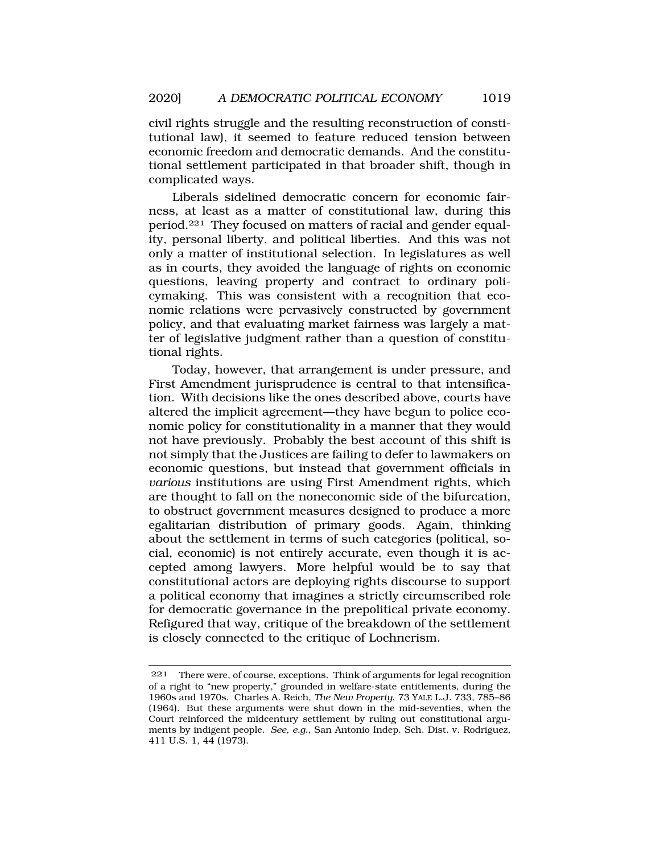civil rights struggle and the resulting reconstruction of constitutional law), it seemed to feature reduced tension between economic freedom and democratic demands. And the constitutional settlement participated in that broader shift, though in complicated ways.

Liberals sidelined democratic concern for economic fairness, at least as a matter of constitutional law, during this period.221 They focused on matters of racial and gender equality, personal liberty, and political liberties. And this was not only a matter of institutional selection. In legislatures as well as in courts, they avoided the language of rights on economic questions, leaving property and contract to ordinary policymaking. This was consistent with a recognition that economic relations were pervasively constructed by government policy, and that evaluating market fairness was largely a matter of legislative judgment rather than a question of constitutional rights.

Today, however, that arrangement is under pressure, and First Amendment jurisprudence is central to that intensification. With decisions like the ones described above, courts have altered the implicit agreement—they have begun to police economic policy for constitutionality in a manner that they would not have previously. Probably the best account of this shift is not simply that the Justices are failing to defer to lawmakers on economic questions, but instead that government officials in *various* institutions are using First Amendment rights, which are thought to fall on the noneconomic side of the bifurcation, to obstruct government measures designed to produce a more egalitarian distribution of primary goods. Again, thinking about the settlement in terms of such categories (political, social, economic) is not entirely accurate, even though it is accepted among lawyers. More helpful would be to say that constitutional actors are deploying rights discourse to support a political economy that imagines a strictly circumscribed role for democratic governance in the prepolitical private economy. Refigured that way, critique of the breakdown of the settlement is closely connected to the critique of Lochnerism.

<sup>221</sup> There were, of course, exceptions. Think of arguments for legal recognition of a right to "new property," grounded in welfare-state entitlements, during the 1960s and 1970s. Charles A. Reich, *The New Property*, 73 YALE L.J. 733, 785–86 (1964). But these arguments were shut down in the mid-seventies, when the Court reinforced the midcentury settlement by ruling out constitutional arguments by indigent people. *See, e.g.*, San Antonio Indep. Sch. Dist. v. Rodriguez, 411 U.S. 1, 44 (1973).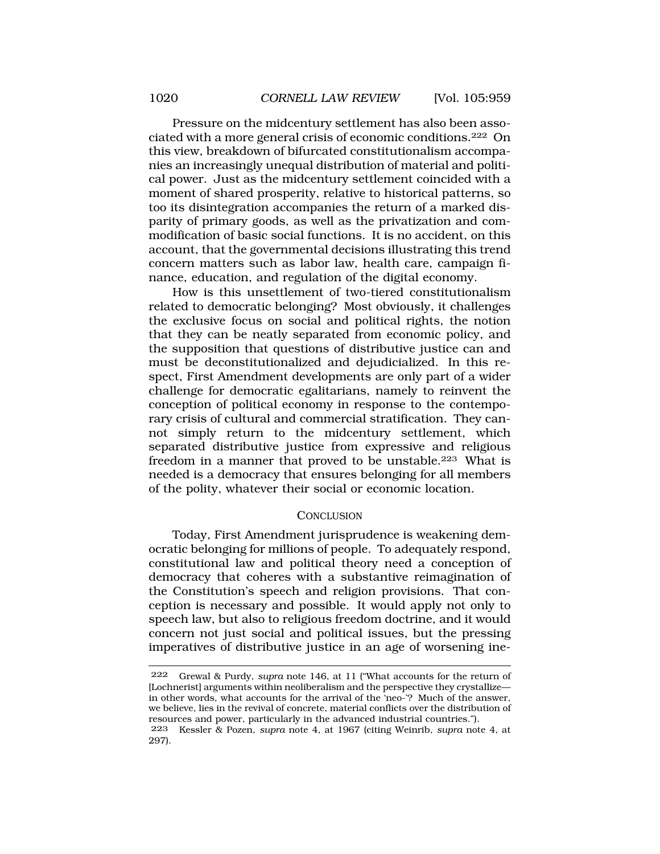Pressure on the midcentury settlement has also been associated with a more general crisis of economic conditions.222 On this view, breakdown of bifurcated constitutionalism accompanies an increasingly unequal distribution of material and political power. Just as the midcentury settlement coincided with a moment of shared prosperity, relative to historical patterns, so too its disintegration accompanies the return of a marked disparity of primary goods, as well as the privatization and commodification of basic social functions. It is no accident, on this account, that the governmental decisions illustrating this trend concern matters such as labor law, health care, campaign finance, education, and regulation of the digital economy.

How is this unsettlement of two-tiered constitutionalism related to democratic belonging? Most obviously, it challenges the exclusive focus on social and political rights, the notion that they can be neatly separated from economic policy, and the supposition that questions of distributive justice can and must be deconstitutionalized and dejudicialized. In this respect, First Amendment developments are only part of a wider challenge for democratic egalitarians, namely to reinvent the conception of political economy in response to the contemporary crisis of cultural and commercial stratification. They cannot simply return to the midcentury settlement, which separated distributive justice from expressive and religious freedom in a manner that proved to be unstable.<sup>223</sup> What is needed is a democracy that ensures belonging for all members of the polity, whatever their social or economic location.

#### **CONCLUSION**

Today, First Amendment jurisprudence is weakening democratic belonging for millions of people. To adequately respond, constitutional law and political theory need a conception of democracy that coheres with a substantive reimagination of the Constitution's speech and religion provisions. That conception is necessary and possible. It would apply not only to speech law, but also to religious freedom doctrine, and it would concern not just social and political issues, but the pressing imperatives of distributive justice in an age of worsening ine-

<sup>222</sup> Grewal & Purdy, *supra* note 146, at 11 ("What accounts for the return of [Lochnerist] arguments within neoliberalism and the perspective they crystallize in other words, what accounts for the arrival of the 'neo-'? Much of the answer, we believe, lies in the revival of concrete, material conflicts over the distribution of resources and power, particularly in the advanced industrial countries.").

<sup>223</sup> Kessler & Pozen, *supra* note 4, at 1967 (citing Weinrib, *supra* note 4, at 297).